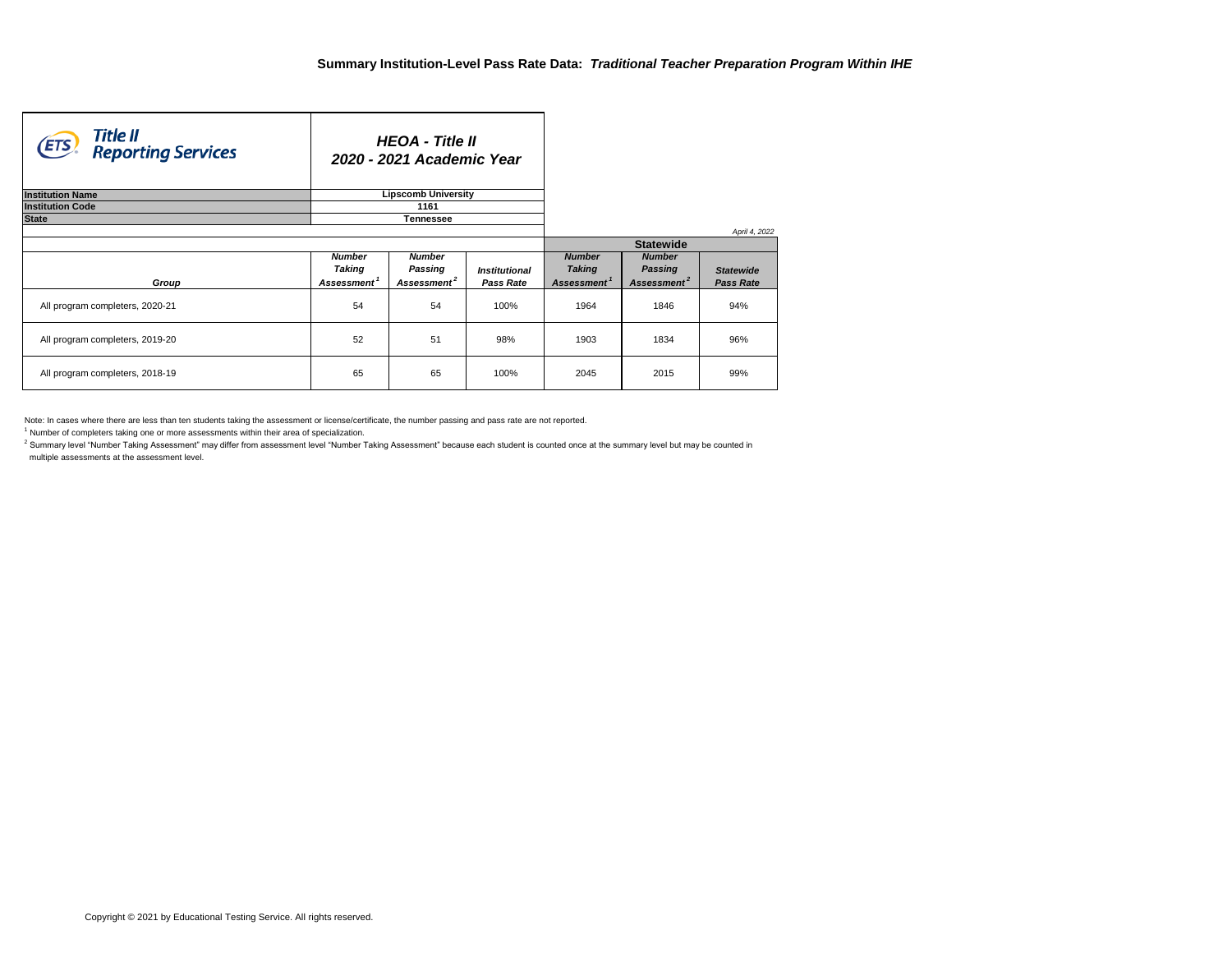$^{\text{2}}$  Summary level "Number Taking Assessment" may differ from assessment level "Number Taking Assessment" because each student is counted once at the summary level but may be counted in multiple assessments at the assessment level.

Note: In cases where there are less than ten students taking the assessment or license/certificate, the number passing and pass rate are not reported.

 $1$  Number of completers taking one or more assessments within their area of specialization.

| Title II<br>(ETS)<br><b>Reporting Services</b> |                         | <b>HEOA - Title II</b><br>2020 - 2021 Academic Year |                             |                         |                         |                  |  |  |
|------------------------------------------------|-------------------------|-----------------------------------------------------|-----------------------------|-------------------------|-------------------------|------------------|--|--|
| <b>Institution Name</b>                        |                         | <b>Lipscomb University</b>                          |                             |                         |                         |                  |  |  |
| <b>Institution Code</b>                        |                         | 1161                                                |                             |                         |                         |                  |  |  |
| <b>State</b>                                   |                         | <b>Tennessee</b>                                    |                             |                         |                         |                  |  |  |
|                                                |                         |                                                     |                             |                         |                         | April 4, 2022    |  |  |
|                                                |                         |                                                     |                             |                         | <b>Statewide</b>        |                  |  |  |
|                                                | <b>Number</b>           | <b>Number</b>                                       |                             | <b>Number</b>           | <b>Number</b>           |                  |  |  |
|                                                | Taking                  | <b>Passing</b>                                      | <i><b>Institutional</b></i> | <b>Taking</b>           | <b>Passing</b>          | <b>Statewide</b> |  |  |
| Group                                          | Assessment <sup>1</sup> | Assessment <sup>2</sup>                             | <b>Pass Rate</b>            | Assessment <sup>1</sup> | Assessment <sup>2</sup> | <b>Pass Rate</b> |  |  |
| All program completers, 2020-21                | 54                      | 54                                                  | 100%                        | 1964                    | 1846                    | 94%              |  |  |
| All program completers, 2019-20                | 52<br>51<br>98%         |                                                     |                             |                         | 1834                    | 96%              |  |  |
| All program completers, 2018-19                | 65                      | 65                                                  | 100%                        | 2045                    | 2015                    | 99%              |  |  |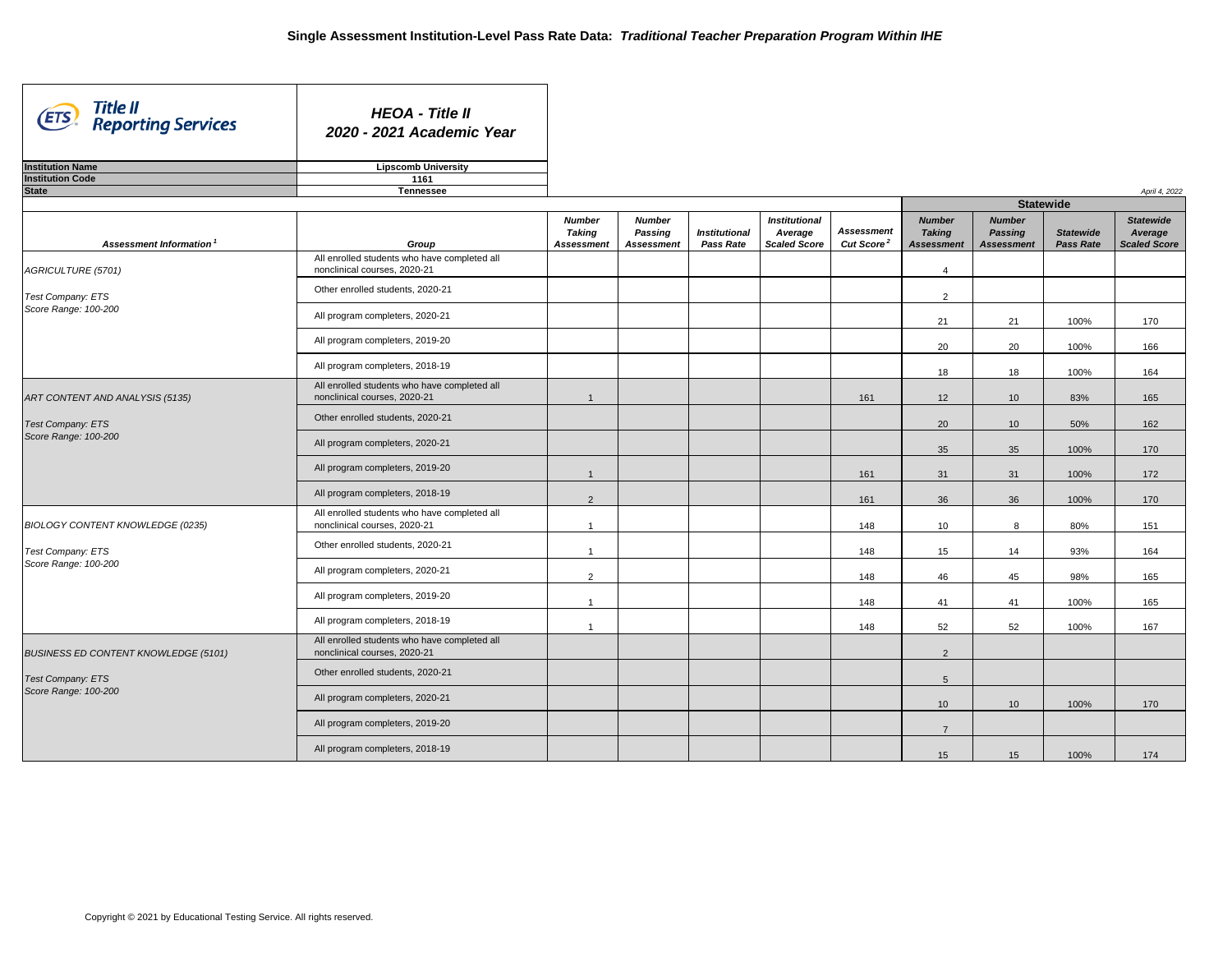| Title II<br>(ETS)<br><b>Reporting Services</b> | <b>HEOA - Title II</b><br>2020 - 2021 Academic Year                          |                                                     |                                                      |                                          |                                                        |                                                   |                                                     |                                                      |                                      |                                                    |
|------------------------------------------------|------------------------------------------------------------------------------|-----------------------------------------------------|------------------------------------------------------|------------------------------------------|--------------------------------------------------------|---------------------------------------------------|-----------------------------------------------------|------------------------------------------------------|--------------------------------------|----------------------------------------------------|
| <b>Institution Name</b>                        | <b>Lipscomb University</b>                                                   |                                                     |                                                      |                                          |                                                        |                                                   |                                                     |                                                      |                                      |                                                    |
| <b>Institution Code</b>                        | 1161                                                                         |                                                     |                                                      |                                          |                                                        |                                                   |                                                     |                                                      |                                      |                                                    |
| <b>State</b>                                   | <b>Tennessee</b>                                                             |                                                     |                                                      |                                          |                                                        |                                                   |                                                     |                                                      |                                      | April 4, 2022                                      |
|                                                |                                                                              |                                                     |                                                      |                                          |                                                        |                                                   |                                                     |                                                      | <b>Statewide</b>                     |                                                    |
| Assessment Information <sup>1</sup>            | Group                                                                        | <b>Number</b><br><b>Taking</b><br><b>Assessment</b> | <b>Number</b><br><b>Passing</b><br><b>Assessment</b> | <b>Institutional</b><br><b>Pass Rate</b> | <b>Institutional</b><br>Average<br><b>Scaled Score</b> | <b>Assessment</b><br><b>Cut Score<sup>2</sup></b> | <b>Number</b><br><b>Taking</b><br><b>Assessment</b> | <b>Number</b><br><b>Passing</b><br><b>Assessment</b> | <b>Statewide</b><br><b>Pass Rate</b> | <b>Statewide</b><br>Average<br><b>Scaled Score</b> |
| <b>AGRICULTURE (5701)</b>                      | All enrolled students who have completed all<br>nonclinical courses, 2020-21 |                                                     |                                                      |                                          |                                                        |                                                   | 4                                                   |                                                      |                                      |                                                    |
| Test Company: ETS                              | Other enrolled students, 2020-21                                             |                                                     |                                                      |                                          |                                                        |                                                   | 2                                                   |                                                      |                                      |                                                    |
| Score Range: 100-200                           | All program completers, 2020-21                                              |                                                     |                                                      |                                          |                                                        |                                                   | 21                                                  | 21                                                   | 100%                                 | 170                                                |
|                                                | All program completers, 2019-20                                              |                                                     |                                                      |                                          |                                                        |                                                   | 20                                                  | 20                                                   | 100%                                 | 166                                                |
|                                                | All program completers, 2018-19                                              |                                                     |                                                      |                                          |                                                        |                                                   | 18                                                  | 18                                                   | 100%                                 | 164                                                |
| ART CONTENT AND ANALYSIS (5135)                | All enrolled students who have completed all<br>nonclinical courses, 2020-21 |                                                     |                                                      |                                          |                                                        | 161                                               | 12                                                  | 10                                                   | 83%                                  | 165                                                |
| <b>Test Company: ETS</b>                       | Other enrolled students, 2020-21                                             |                                                     |                                                      |                                          |                                                        |                                                   | 20                                                  | 10 <sup>°</sup>                                      | 50%                                  | 162                                                |
| Score Range: 100-200                           | All program completers, 2020-21                                              |                                                     |                                                      |                                          |                                                        |                                                   | 35                                                  | 35                                                   | 100%                                 | 170                                                |
|                                                | All program completers, 2019-20                                              |                                                     |                                                      |                                          |                                                        | 161                                               | 31                                                  | 31                                                   | 100%                                 | 172                                                |
|                                                | All program completers, 2018-19                                              | $2^{\circ}$                                         |                                                      |                                          |                                                        | 161                                               | 36                                                  | 36                                                   | 100%                                 | 170                                                |
| <b>BIOLOGY CONTENT KNOWLEDGE (0235)</b>        | All enrolled students who have completed all<br>nonclinical courses, 2020-21 |                                                     |                                                      |                                          |                                                        | 148                                               | 10 <sup>°</sup>                                     | 8                                                    | 80%                                  | 151                                                |
| <b>Test Company: ETS</b>                       | Other enrolled students, 2020-21                                             | $\overline{\mathbf{1}}$                             |                                                      |                                          |                                                        | 148                                               | 15                                                  | 14                                                   | 93%                                  | 164                                                |
| Score Range: 100-200                           | All program completers, 2020-21                                              | $\overline{2}$                                      |                                                      |                                          |                                                        | 148                                               | 46                                                  | 45                                                   | 98%                                  | 165                                                |
|                                                | All program completers, 2019-20                                              | $\overline{\mathbf{1}}$                             |                                                      |                                          |                                                        | 148                                               | 41                                                  | 41                                                   | 100%                                 | 165                                                |
|                                                | All program completers, 2018-19                                              | 1                                                   |                                                      |                                          |                                                        | 148                                               | 52                                                  | 52                                                   | 100%                                 | 167                                                |
| <b>BUSINESS ED CONTENT KNOWLEDGE (5101)</b>    | All enrolled students who have completed all<br>nonclinical courses, 2020-21 |                                                     |                                                      |                                          |                                                        |                                                   | $\overline{2}$                                      |                                                      |                                      |                                                    |
| <b>Test Company: ETS</b>                       | Other enrolled students, 2020-21                                             |                                                     |                                                      |                                          |                                                        |                                                   | 5                                                   |                                                      |                                      |                                                    |
| Score Range: 100-200                           | All program completers, 2020-21                                              |                                                     |                                                      |                                          |                                                        |                                                   | 10 <sup>°</sup>                                     | 10 <sup>°</sup>                                      | 100%                                 | 170                                                |
|                                                | All program completers, 2019-20                                              |                                                     |                                                      |                                          |                                                        |                                                   | $\overline{7}$                                      |                                                      |                                      |                                                    |
|                                                | All program completers, 2018-19                                              |                                                     |                                                      |                                          |                                                        |                                                   | 15                                                  | 15                                                   | 100%                                 | 174                                                |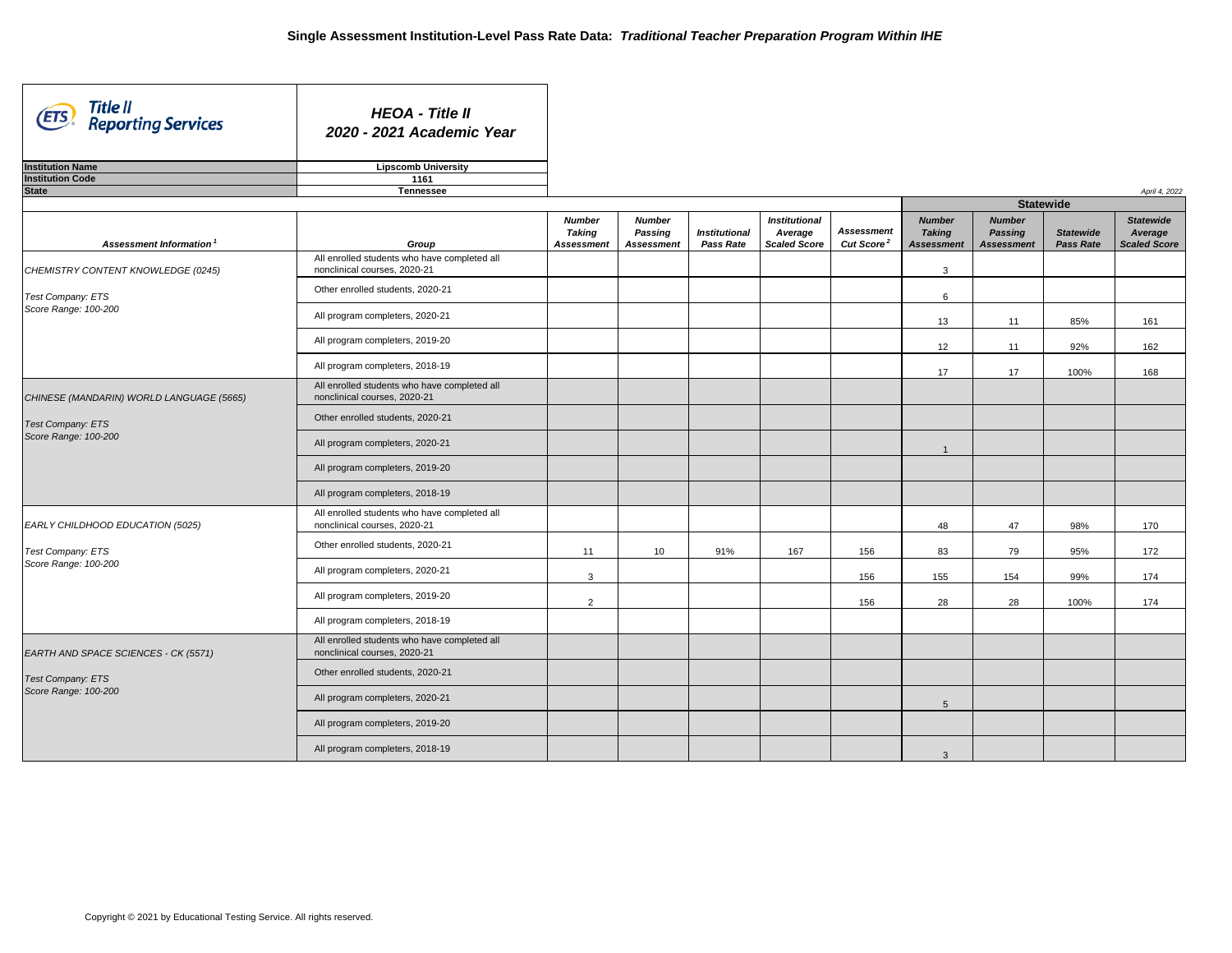| Title II<br>(ETS)<br><b>Reporting Services</b> | <b>HEOA - Title II</b><br>2020 - 2021 Academic Year                          |                                |                                 |                      |                                 |                        |                                |                                 |                  |                             |
|------------------------------------------------|------------------------------------------------------------------------------|--------------------------------|---------------------------------|----------------------|---------------------------------|------------------------|--------------------------------|---------------------------------|------------------|-----------------------------|
| <b>Institution Name</b>                        | <b>Lipscomb University</b>                                                   |                                |                                 |                      |                                 |                        |                                |                                 |                  |                             |
| <b>Institution Code</b>                        | 1161                                                                         |                                |                                 |                      |                                 |                        |                                |                                 |                  |                             |
| <b>State</b>                                   | <b>Tennessee</b>                                                             |                                |                                 |                      |                                 |                        |                                | <b>Statewide</b>                |                  | April 4, 2022               |
|                                                |                                                                              | <b>Number</b><br><b>Taking</b> | <b>Number</b><br><b>Passing</b> | <b>Institutional</b> | <b>Institutional</b><br>Average | <b>Assessment</b>      | <b>Number</b><br><b>Taking</b> | <b>Number</b><br><b>Passing</b> | <b>Statewide</b> | <b>Statewide</b><br>Average |
| <b>Assessment Information</b>                  | Group                                                                        | <b>Assessment</b>              | <b>Assessment</b>               | <b>Pass Rate</b>     | <b>Scaled Score</b>             | Cut Score <sup>2</sup> | <b>Assessment</b>              | <b>Assessment</b>               | <b>Pass Rate</b> | <b>Scaled Score</b>         |
| CHEMISTRY CONTENT KNOWLEDGE (0245)             | All enrolled students who have completed all<br>nonclinical courses, 2020-21 |                                |                                 |                      |                                 |                        | 3                              |                                 |                  |                             |
| Test Company: ETS                              | Other enrolled students, 2020-21                                             |                                |                                 |                      |                                 |                        | 6                              |                                 |                  |                             |
| Score Range: 100-200                           | All program completers, 2020-21                                              |                                |                                 |                      |                                 |                        | 13                             | 11                              | 85%              | 161                         |
|                                                | All program completers, 2019-20                                              |                                |                                 |                      |                                 |                        | 12                             | 11                              | 92%              | 162                         |
|                                                | All program completers, 2018-19                                              |                                |                                 |                      |                                 |                        | 17                             | 17                              | 100%             | 168                         |
| CHINESE (MANDARIN) WORLD LANGUAGE (5665)       | All enrolled students who have completed all<br>nonclinical courses, 2020-21 |                                |                                 |                      |                                 |                        |                                |                                 |                  |                             |
| <b>Test Company: ETS</b>                       | Other enrolled students, 2020-21                                             |                                |                                 |                      |                                 |                        |                                |                                 |                  |                             |
| Score Range: 100-200                           | All program completers, 2020-21                                              |                                |                                 |                      |                                 |                        |                                |                                 |                  |                             |
|                                                | All program completers, 2019-20                                              |                                |                                 |                      |                                 |                        |                                |                                 |                  |                             |
|                                                | All program completers, 2018-19                                              |                                |                                 |                      |                                 |                        |                                |                                 |                  |                             |
| EARLY CHILDHOOD EDUCATION (5025)               | All enrolled students who have completed all<br>nonclinical courses, 2020-21 |                                |                                 |                      |                                 |                        | 48                             | 47                              | 98%              | 170                         |
| Test Company: ETS                              | Other enrolled students, 2020-21                                             | 11                             | 10                              | 91%                  | 167                             | 156                    | 83                             | 79                              | 95%              | 172                         |
| Score Range: 100-200                           | All program completers, 2020-21                                              | $\mathbf{3}$                   |                                 |                      |                                 | 156                    | 155                            | 154                             | 99%              | 174                         |
|                                                | All program completers, 2019-20                                              | 2                              |                                 |                      |                                 | 156                    | 28                             | 28                              | 100%             | 174                         |
|                                                | All program completers, 2018-19                                              |                                |                                 |                      |                                 |                        |                                |                                 |                  |                             |
| EARTH AND SPACE SCIENCES - CK (5571)           | All enrolled students who have completed all<br>nonclinical courses, 2020-21 |                                |                                 |                      |                                 |                        |                                |                                 |                  |                             |
| <b>Test Company: ETS</b>                       | Other enrolled students, 2020-21                                             |                                |                                 |                      |                                 |                        |                                |                                 |                  |                             |
| Score Range: 100-200                           | All program completers, 2020-21                                              |                                |                                 |                      |                                 |                        | 5                              |                                 |                  |                             |
|                                                | All program completers, 2019-20                                              |                                |                                 |                      |                                 |                        |                                |                                 |                  |                             |
|                                                | All program completers, 2018-19                                              |                                |                                 |                      |                                 |                        | $\mathbf{3}$                   |                                 |                  |                             |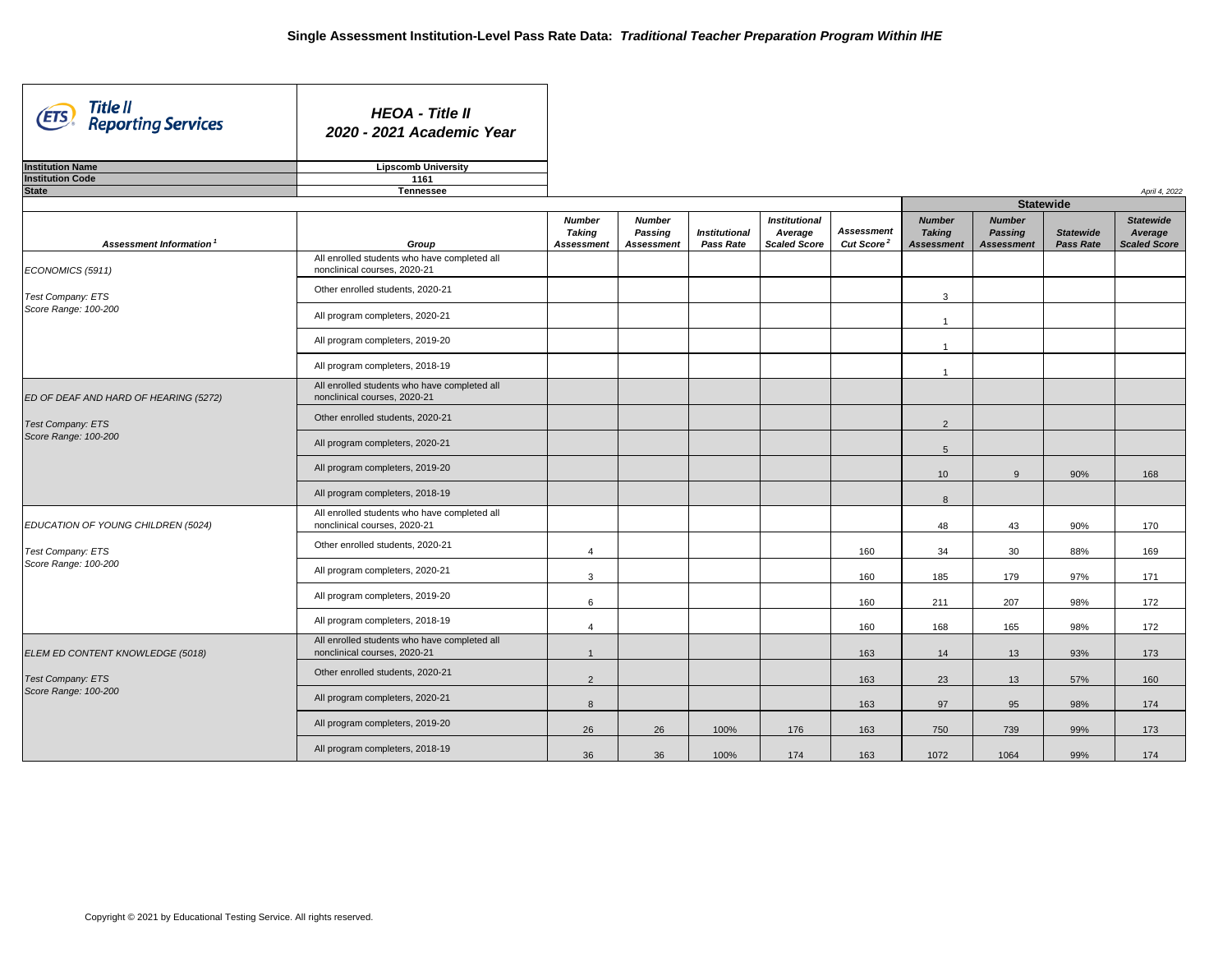| Title II<br>Reporting Services<br>(ETS) | <b>HEOA - Title II</b><br>2020 - 2021 Academic Year                          |                                                     |                                                      |                                          |                                                        |                                             |                                                     |                                                      |                                      |                                                    |
|-----------------------------------------|------------------------------------------------------------------------------|-----------------------------------------------------|------------------------------------------------------|------------------------------------------|--------------------------------------------------------|---------------------------------------------|-----------------------------------------------------|------------------------------------------------------|--------------------------------------|----------------------------------------------------|
| <b>Institution Name</b>                 | <b>Lipscomb University</b>                                                   |                                                     |                                                      |                                          |                                                        |                                             |                                                     |                                                      |                                      |                                                    |
| <b>Institution Code</b>                 | 1161                                                                         |                                                     |                                                      |                                          |                                                        |                                             |                                                     |                                                      |                                      |                                                    |
| <b>State</b>                            | <b>Tennessee</b>                                                             |                                                     |                                                      |                                          |                                                        |                                             |                                                     |                                                      |                                      | April 4, 2022                                      |
|                                         |                                                                              |                                                     |                                                      |                                          |                                                        |                                             |                                                     |                                                      | <b>Statewide</b>                     |                                                    |
| Assessment Information <sup>1</sup>     | Group                                                                        | <b>Number</b><br><b>Taking</b><br><b>Assessment</b> | <b>Number</b><br><b>Passing</b><br><b>Assessment</b> | <b>Institutional</b><br><b>Pass Rate</b> | <b>Institutional</b><br>Average<br><b>Scaled Score</b> | <b>Assessment</b><br>Cut Score <sup>2</sup> | <b>Number</b><br><b>Taking</b><br><b>Assessment</b> | <b>Number</b><br><b>Passing</b><br><b>Assessment</b> | <b>Statewide</b><br><b>Pass Rate</b> | <b>Statewide</b><br>Average<br><b>Scaled Score</b> |
| ECONOMICS (5911)                        | All enrolled students who have completed all<br>nonclinical courses, 2020-21 |                                                     |                                                      |                                          |                                                        |                                             |                                                     |                                                      |                                      |                                                    |
| Test Company: ETS                       | Other enrolled students, 2020-21                                             |                                                     |                                                      |                                          |                                                        |                                             | 3                                                   |                                                      |                                      |                                                    |
| Score Range: 100-200                    | All program completers, 2020-21                                              |                                                     |                                                      |                                          |                                                        |                                             |                                                     |                                                      |                                      |                                                    |
|                                         | All program completers, 2019-20                                              |                                                     |                                                      |                                          |                                                        |                                             |                                                     |                                                      |                                      |                                                    |
|                                         | All program completers, 2018-19                                              |                                                     |                                                      |                                          |                                                        |                                             |                                                     |                                                      |                                      |                                                    |
| ED OF DEAF AND HARD OF HEARING (5272)   | All enrolled students who have completed all<br>nonclinical courses, 2020-21 |                                                     |                                                      |                                          |                                                        |                                             |                                                     |                                                      |                                      |                                                    |
| <b>Test Company: ETS</b>                | Other enrolled students, 2020-21                                             |                                                     |                                                      |                                          |                                                        |                                             | $\overline{2}$                                      |                                                      |                                      |                                                    |
| Score Range: 100-200                    | All program completers, 2020-21                                              |                                                     |                                                      |                                          |                                                        |                                             | 5                                                   |                                                      |                                      |                                                    |
|                                         | All program completers, 2019-20                                              |                                                     |                                                      |                                          |                                                        |                                             | 10 <sup>1</sup>                                     | $\Omega$                                             | 90%                                  | 168                                                |
|                                         | All program completers, 2018-19                                              |                                                     |                                                      |                                          |                                                        |                                             | 8                                                   |                                                      |                                      |                                                    |
| EDUCATION OF YOUNG CHILDREN (5024)      | All enrolled students who have completed all<br>nonclinical courses, 2020-21 |                                                     |                                                      |                                          |                                                        |                                             | 48                                                  | 43                                                   | 90%                                  | 170                                                |
| <b>Test Company: ETS</b>                | Other enrolled students, 2020-21                                             | $\overline{4}$                                      |                                                      |                                          |                                                        | 160                                         | 34                                                  | 30                                                   | 88%                                  | 169                                                |
| Score Range: 100-200                    | All program completers, 2020-21                                              | $\mathbf{3}$                                        |                                                      |                                          |                                                        | 160                                         | 185                                                 | 179                                                  | 97%                                  | 171                                                |
|                                         | All program completers, 2019-20                                              | $6\overline{6}$                                     |                                                      |                                          |                                                        | 160                                         | 211                                                 | 207                                                  | 98%                                  | 172                                                |
|                                         | All program completers, 2018-19                                              |                                                     |                                                      |                                          |                                                        | 160                                         | 168                                                 | 165                                                  | 98%                                  | 172                                                |
| ELEM ED CONTENT KNOWLEDGE (5018)        | All enrolled students who have completed all<br>nonclinical courses, 2020-21 |                                                     |                                                      |                                          |                                                        | 163                                         | 14                                                  | 13                                                   | 93%                                  | 173                                                |
| <b>Test Company: ETS</b>                | Other enrolled students, 2020-21                                             | 2                                                   |                                                      |                                          |                                                        | 163                                         | 23                                                  | 13                                                   | 57%                                  | 160                                                |
| Score Range: 100-200                    | All program completers, 2020-21                                              | 8                                                   |                                                      |                                          |                                                        | 163                                         | 97                                                  | 95                                                   | 98%                                  | 174                                                |
|                                         | All program completers, 2019-20                                              | 26                                                  | 26                                                   | 100%                                     | 176                                                    | 163                                         | 750                                                 | 739                                                  | 99%                                  | 173                                                |
|                                         | All program completers, 2018-19                                              | 36                                                  | 36                                                   | 100%                                     | 174                                                    | 163                                         | 1072                                                | 1064                                                 | 99%                                  | 174                                                |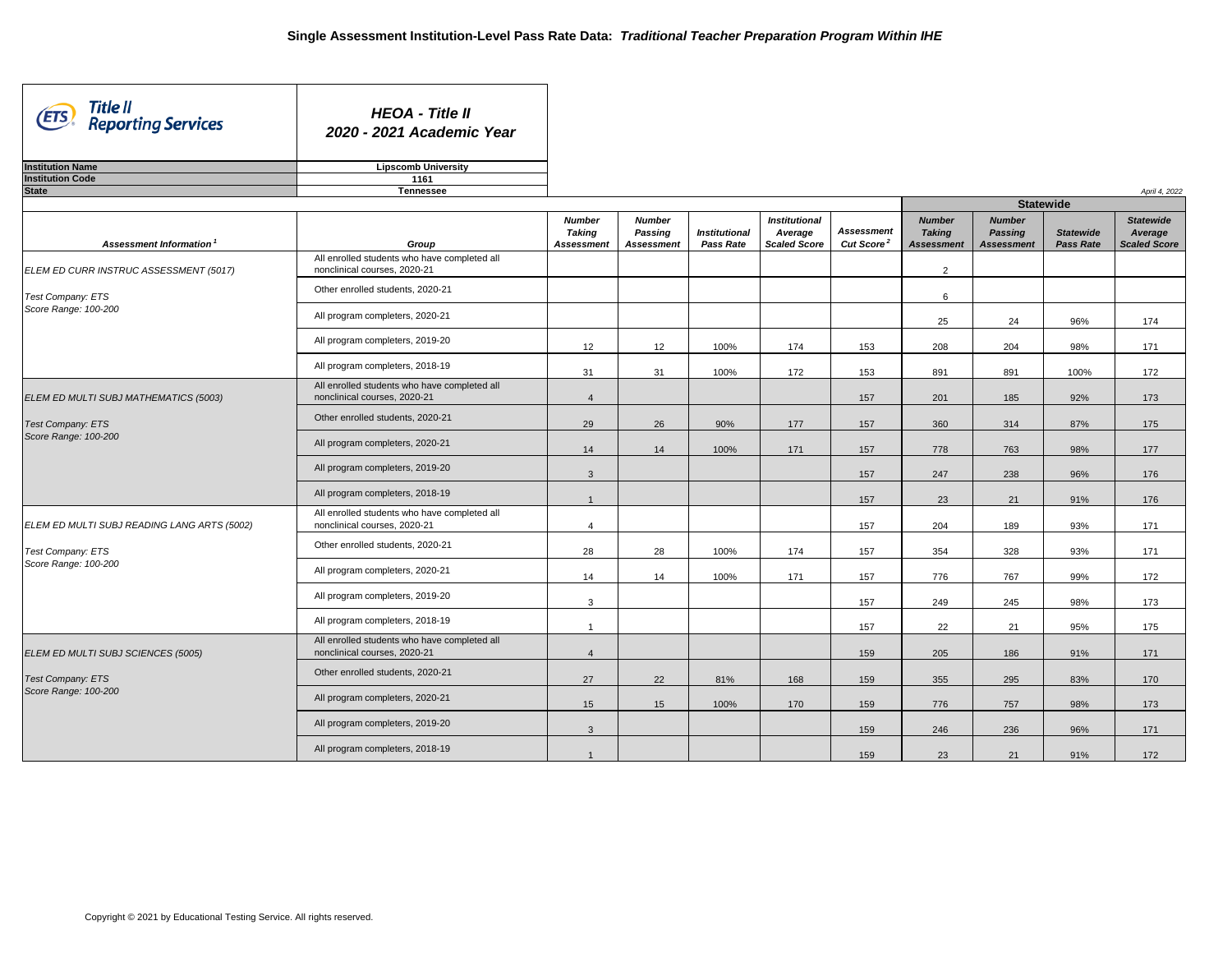| Title II<br>(ETS)<br><b>Reporting Services</b> | <b>HEOA - Title II</b><br>2020 - 2021 Academic Year                          |                                |                                                      |                                          |                                                        |                                             |                                                     |                                                      |                                      |                                                    |
|------------------------------------------------|------------------------------------------------------------------------------|--------------------------------|------------------------------------------------------|------------------------------------------|--------------------------------------------------------|---------------------------------------------|-----------------------------------------------------|------------------------------------------------------|--------------------------------------|----------------------------------------------------|
| <b>Institution Name</b>                        | <b>Lipscomb University</b>                                                   |                                |                                                      |                                          |                                                        |                                             |                                                     |                                                      |                                      |                                                    |
| <b>Institution Code</b>                        | 1161                                                                         |                                |                                                      |                                          |                                                        |                                             |                                                     |                                                      |                                      |                                                    |
| <b>State</b>                                   | <b>Tennessee</b>                                                             |                                |                                                      |                                          |                                                        |                                             |                                                     |                                                      | <b>Statewide</b>                     | April 4, 2022                                      |
|                                                |                                                                              |                                |                                                      |                                          |                                                        |                                             |                                                     |                                                      |                                      |                                                    |
| <b>Assessment Information</b>                  | Group                                                                        | <b>Number</b><br><b>Taking</b> | <b>Number</b><br><b>Passing</b><br><b>Assessment</b> | <b>Institutional</b><br><b>Pass Rate</b> | <b>Institutional</b><br>Average<br><b>Scaled Score</b> | <b>Assessment</b><br>Cut Score <sup>2</sup> | <b>Number</b><br><b>Taking</b><br><b>Assessment</b> | <b>Number</b><br><b>Passing</b><br><b>Assessment</b> | <b>Statewide</b><br><b>Pass Rate</b> | <b>Statewide</b><br>Average<br><b>Scaled Score</b> |
| ELEM ED CURR INSTRUC ASSESSMENT (5017)         | All enrolled students who have completed all<br>nonclinical courses, 2020-21 | <b>Assessment</b>              |                                                      |                                          |                                                        |                                             | $\overline{2}$                                      |                                                      |                                      |                                                    |
| Test Company: ETS                              | Other enrolled students, 2020-21                                             |                                |                                                      |                                          |                                                        |                                             | 6                                                   |                                                      |                                      |                                                    |
| Score Range: 100-200                           | All program completers, 2020-21                                              |                                |                                                      |                                          |                                                        |                                             | 25                                                  | 24                                                   | 96%                                  | 174                                                |
|                                                | All program completers, 2019-20                                              | 12                             | 12                                                   | 100%                                     | 174                                                    | 153                                         | 208                                                 | 204                                                  | 98%                                  | 171                                                |
|                                                | All program completers, 2018-19                                              | 31                             | 31                                                   | 100%                                     | 172                                                    | 153                                         | 891                                                 | 891                                                  | 100%                                 | 172                                                |
| ELEM ED MULTI SUBJ MATHEMATICS (5003)          | All enrolled students who have completed all<br>nonclinical courses, 2020-21 |                                |                                                      |                                          |                                                        | 157                                         | 201                                                 | 185                                                  | 92%                                  | 173                                                |
| <b>Test Company: ETS</b>                       | Other enrolled students, 2020-21                                             | 29                             | 26                                                   | 90%                                      | 177                                                    | 157                                         | 360                                                 | 314                                                  | 87%                                  | 175                                                |
| Score Range: 100-200                           | All program completers, 2020-21                                              | 14                             | 14                                                   | 100%                                     | 171                                                    | 157                                         | 778                                                 | 763                                                  | 98%                                  | 177                                                |
|                                                | All program completers, 2019-20                                              | $\mathbf{3}$                   |                                                      |                                          |                                                        | 157                                         | 247                                                 | 238                                                  | 96%                                  | 176                                                |
|                                                | All program completers, 2018-19                                              |                                |                                                      |                                          |                                                        | 157                                         | 23                                                  | 21                                                   | 91%                                  | 176                                                |
| ELEM ED MULTI SUBJ READING LANG ARTS (5002)    | All enrolled students who have completed all<br>nonclinical courses, 2020-21 | $\overline{4}$                 |                                                      |                                          |                                                        | 157                                         | 204                                                 | 189                                                  | 93%                                  | 171                                                |
| <b>Test Company: ETS</b>                       | Other enrolled students, 2020-21                                             | 28                             | 28                                                   | 100%                                     | 174                                                    | 157                                         | 354                                                 | 328                                                  | 93%                                  | 171                                                |
| Score Range: 100-200                           | All program completers, 2020-21                                              | 14                             | 14                                                   | 100%                                     | 171                                                    | 157                                         | 776                                                 | 767                                                  | 99%                                  | 172                                                |
|                                                | All program completers, 2019-20                                              | $\mathbf{3}$                   |                                                      |                                          |                                                        | 157                                         | 249                                                 | 245                                                  | 98%                                  | 173                                                |
|                                                | All program completers, 2018-19                                              | $\overline{1}$                 |                                                      |                                          |                                                        | 157                                         | 22                                                  | 21                                                   | 95%                                  | 175                                                |
| ELEM ED MULTI SUBJ SCIENCES (5005)             | All enrolled students who have completed all<br>nonclinical courses, 2020-21 | 4                              |                                                      |                                          |                                                        | 159                                         | 205                                                 | 186                                                  | 91%                                  | 171                                                |
| <b>Test Company: ETS</b>                       | Other enrolled students, 2020-21                                             | 27                             | 22                                                   | 81%                                      | 168                                                    | 159                                         | 355                                                 | 295                                                  | 83%                                  | 170                                                |
| Score Range: 100-200                           | All program completers, 2020-21                                              | 15                             | 15                                                   | 100%                                     | 170                                                    | 159                                         | 776                                                 | 757                                                  | 98%                                  | 173                                                |
|                                                | All program completers, 2019-20                                              | $\mathbf{3}$                   |                                                      |                                          |                                                        | 159                                         | 246                                                 | 236                                                  | 96%                                  | 171                                                |
|                                                | All program completers, 2018-19                                              |                                |                                                      |                                          |                                                        | 159                                         | 23                                                  | 21                                                   | 91%                                  | 172                                                |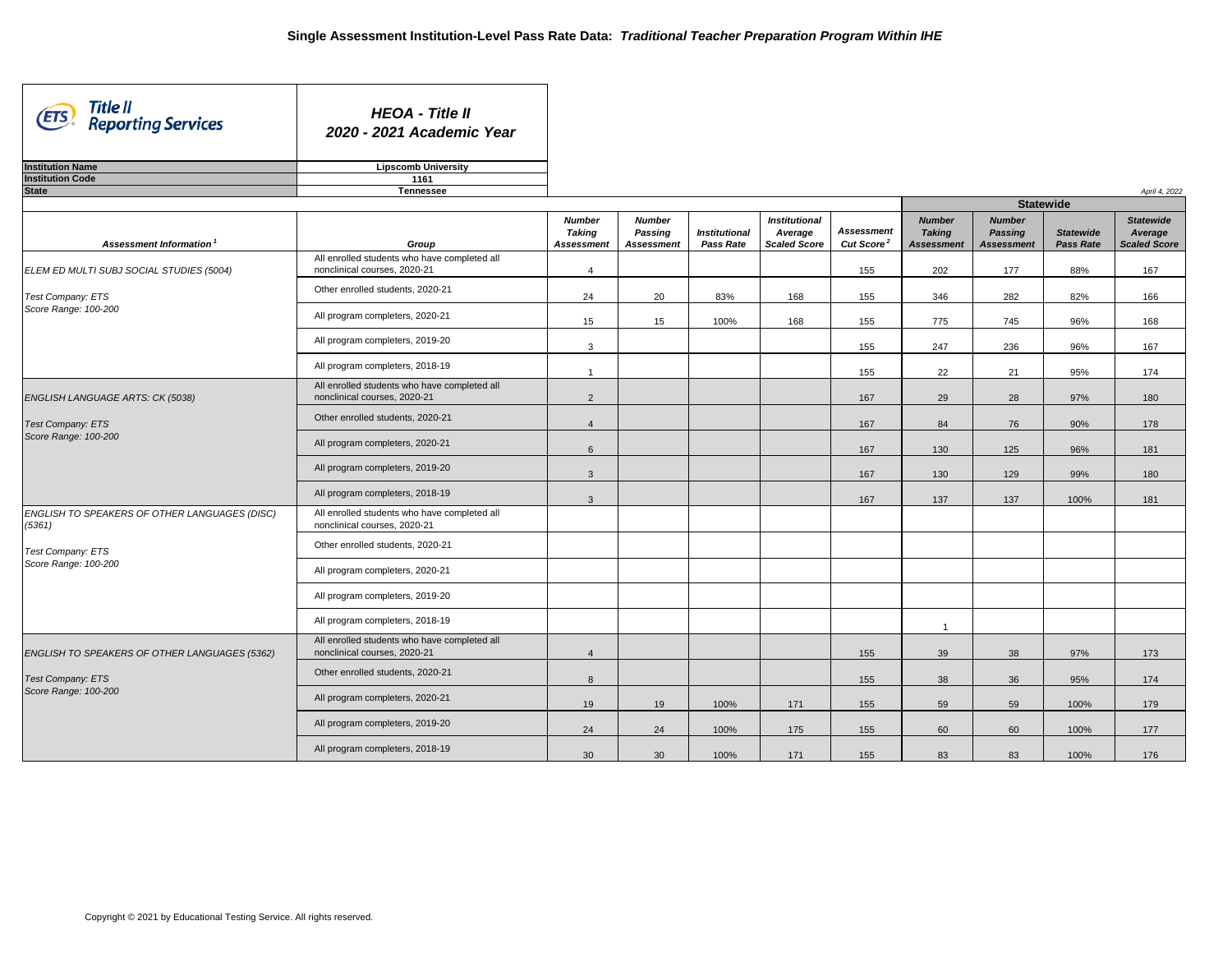| Title II<br>(ETS)<br><b>Reporting Services</b>          | <b>HEOA - Title II</b><br>2020 - 2021 Academic Year                          |                                                     |                                                      |                                          |                                                        |                                             |                                                     |                                                      |                                      |                                                    |
|---------------------------------------------------------|------------------------------------------------------------------------------|-----------------------------------------------------|------------------------------------------------------|------------------------------------------|--------------------------------------------------------|---------------------------------------------|-----------------------------------------------------|------------------------------------------------------|--------------------------------------|----------------------------------------------------|
| <b>Institution Name</b>                                 | <b>Lipscomb University</b>                                                   |                                                     |                                                      |                                          |                                                        |                                             |                                                     |                                                      |                                      |                                                    |
| <b>Institution Code</b>                                 | 1161                                                                         |                                                     |                                                      |                                          |                                                        |                                             |                                                     |                                                      |                                      |                                                    |
| <b>State</b>                                            | <b>Tennessee</b>                                                             |                                                     |                                                      |                                          |                                                        |                                             |                                                     |                                                      |                                      | April 4, 2022                                      |
|                                                         |                                                                              |                                                     |                                                      |                                          |                                                        |                                             |                                                     |                                                      | <b>Statewide</b>                     |                                                    |
| Assessment Information <sup>1</sup>                     | Group                                                                        | <b>Number</b><br><b>Taking</b><br><b>Assessment</b> | <b>Number</b><br><b>Passing</b><br><b>Assessment</b> | <b>Institutional</b><br><b>Pass Rate</b> | <b>Institutional</b><br>Average<br><b>Scaled Score</b> | <b>Assessment</b><br>Cut Score <sup>2</sup> | <b>Number</b><br><b>Taking</b><br><b>Assessment</b> | <b>Number</b><br><b>Passing</b><br><b>Assessment</b> | <b>Statewide</b><br><b>Pass Rate</b> | <b>Statewide</b><br>Average<br><b>Scaled Score</b> |
| ELEM ED MULTI SUBJ SOCIAL STUDIES (5004)                | All enrolled students who have completed all<br>nonclinical courses, 2020-21 | 4                                                   |                                                      |                                          |                                                        | 155                                         | 202                                                 | 177                                                  | 88%                                  | 167                                                |
| Test Company: ETS                                       | Other enrolled students, 2020-21                                             | 24                                                  | 20                                                   | 83%                                      | 168                                                    | 155                                         | 346                                                 | 282                                                  | 82%                                  | 166                                                |
| Score Range: 100-200                                    | All program completers, 2020-21                                              | 15                                                  | 15                                                   | 100%                                     | 168                                                    | 155                                         | 775                                                 | 745                                                  | 96%                                  | 168                                                |
|                                                         | All program completers, 2019-20                                              | 3                                                   |                                                      |                                          |                                                        | 155                                         | 247                                                 | 236                                                  | 96%                                  | 167                                                |
|                                                         | All program completers, 2018-19                                              |                                                     |                                                      |                                          |                                                        | 155                                         | 22                                                  | 21                                                   | 95%                                  | 174                                                |
| ENGLISH LANGUAGE ARTS: CK (5038)                        | All enrolled students who have completed all<br>nonclinical courses, 2020-21 | $\overline{2}$                                      |                                                      |                                          |                                                        | 167                                         | 29                                                  | 28                                                   | 97%                                  | 180                                                |
| <b>Test Company: ETS</b>                                | Other enrolled students, 2020-21                                             | $\overline{4}$                                      |                                                      |                                          |                                                        | 167                                         | 84                                                  | 76                                                   | 90%                                  | 178                                                |
| Score Range: 100-200                                    | All program completers, 2020-21                                              | 6                                                   |                                                      |                                          |                                                        | 167                                         | 130                                                 | 125                                                  | 96%                                  | 181                                                |
|                                                         | All program completers, 2019-20                                              | $\mathbf{3}$                                        |                                                      |                                          |                                                        | 167                                         | 130                                                 | 129                                                  | 99%                                  | 180                                                |
|                                                         | All program completers, 2018-19                                              | $\mathbf{3}$                                        |                                                      |                                          |                                                        | 167                                         | 137                                                 | 137                                                  | 100%                                 | 181                                                |
| ENGLISH TO SPEAKERS OF OTHER LANGUAGES (DISC)<br>(5361) | All enrolled students who have completed all<br>nonclinical courses, 2020-21 |                                                     |                                                      |                                          |                                                        |                                             |                                                     |                                                      |                                      |                                                    |
| Test Company: ETS                                       | Other enrolled students, 2020-21                                             |                                                     |                                                      |                                          |                                                        |                                             |                                                     |                                                      |                                      |                                                    |
| Score Range: 100-200                                    | All program completers, 2020-21                                              |                                                     |                                                      |                                          |                                                        |                                             |                                                     |                                                      |                                      |                                                    |
|                                                         | All program completers, 2019-20                                              |                                                     |                                                      |                                          |                                                        |                                             |                                                     |                                                      |                                      |                                                    |
|                                                         | All program completers, 2018-19                                              |                                                     |                                                      |                                          |                                                        |                                             | $\overline{1}$                                      |                                                      |                                      |                                                    |
| ENGLISH TO SPEAKERS OF OTHER LANGUAGES (5362)           | All enrolled students who have completed all<br>nonclinical courses, 2020-21 | $\overline{4}$                                      |                                                      |                                          |                                                        | 155                                         | 39                                                  | 38                                                   | 97%                                  | 173                                                |
| <b>Test Company: ETS</b>                                | Other enrolled students, 2020-21                                             | 8                                                   |                                                      |                                          |                                                        | 155                                         | 38                                                  | 36                                                   | 95%                                  | 174                                                |
| Score Range: 100-200                                    | All program completers, 2020-21                                              | 19                                                  | 19                                                   | 100%                                     | 171                                                    | 155                                         | 59                                                  | 59                                                   | 100%                                 | 179                                                |
|                                                         | All program completers, 2019-20                                              | 24                                                  | 24                                                   | 100%                                     | 175                                                    | 155                                         | 60                                                  | 60                                                   | 100%                                 | 177                                                |
|                                                         | All program completers, 2018-19                                              | 30                                                  | 30                                                   | 100%                                     | 171                                                    | 155                                         | 83                                                  | 83                                                   | 100%                                 | 176                                                |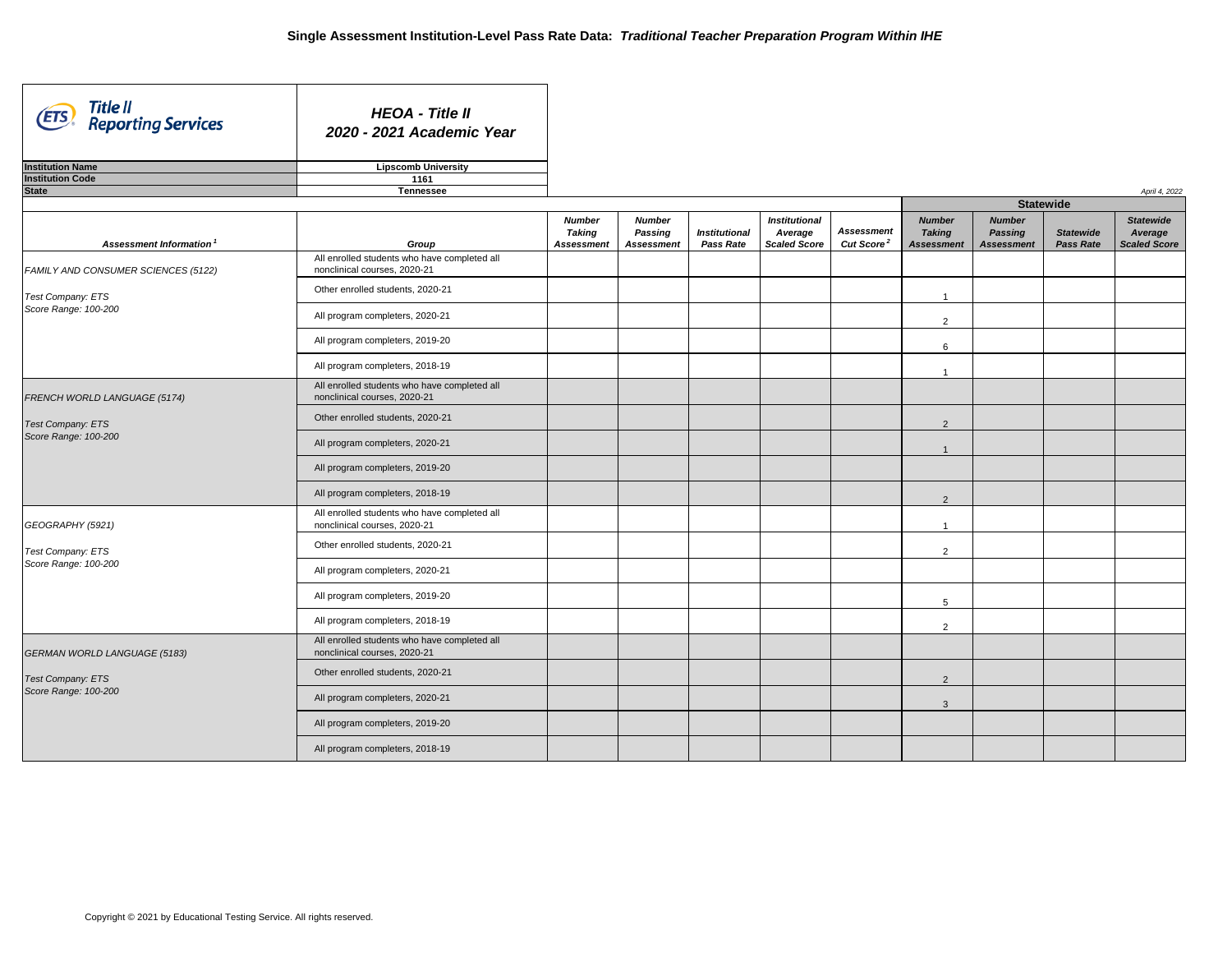┓

| Title II<br>(ETS)<br><b>Reporting Services</b> | <b>HEOA - Title II</b><br>2020 - 2021 Academic Year                          |                                                     |                                                      |                                          |                                                        |                                             |                                               |
|------------------------------------------------|------------------------------------------------------------------------------|-----------------------------------------------------|------------------------------------------------------|------------------------------------------|--------------------------------------------------------|---------------------------------------------|-----------------------------------------------|
| <b>Institution Name</b>                        | <b>Lipscomb University</b>                                                   |                                                     |                                                      |                                          |                                                        |                                             |                                               |
| <b>Institution Code</b>                        | 1161                                                                         |                                                     |                                                      |                                          |                                                        |                                             |                                               |
| <b>State</b>                                   | <b>Tennessee</b>                                                             |                                                     |                                                      |                                          |                                                        |                                             |                                               |
| Assessment Information <sup>1</sup>            | Group                                                                        | <b>Number</b><br><b>Taking</b><br><b>Assessment</b> | <b>Number</b><br><b>Passing</b><br><b>Assessment</b> | <b>Institutional</b><br><b>Pass Rate</b> | <b>Institutional</b><br>Average<br><b>Scaled Score</b> | <b>Assessment</b><br>Cut Score <sup>2</sup> | <b>Numb</b><br><b>Takin</b><br><b>Assessn</b> |
| FAMILY AND CONSUMER SCIENCES (5122)            | All enrolled students who have completed all<br>nonclinical courses, 2020-21 |                                                     |                                                      |                                          |                                                        |                                             |                                               |
| Test Company: ETS                              | Other enrolled students, 2020-21                                             |                                                     |                                                      |                                          |                                                        |                                             | -1                                            |
| Score Range: 100-200                           | All program completers, 2020-21                                              |                                                     |                                                      |                                          |                                                        |                                             | 2                                             |
|                                                | All program completers, 2019-20                                              |                                                     |                                                      |                                          |                                                        |                                             | 6                                             |
|                                                | All program completers, 2018-19                                              |                                                     |                                                      |                                          |                                                        |                                             | -1                                            |
| FRENCH WORLD LANGUAGE (5174)                   | All enrolled students who have completed all<br>nonclinical courses, 2020-21 |                                                     |                                                      |                                          |                                                        |                                             |                                               |
| Test Company: ETS                              | Other enrolled students, 2020-21                                             |                                                     |                                                      |                                          |                                                        |                                             | $\overline{2}$                                |
| Score Range: 100-200                           | All program completers, 2020-21                                              |                                                     |                                                      |                                          |                                                        |                                             | $\mathbf 1$                                   |
|                                                | All program completers, 2019-20                                              |                                                     |                                                      |                                          |                                                        |                                             |                                               |
|                                                | All program completers, 2018-19                                              |                                                     |                                                      |                                          |                                                        |                                             | 2                                             |
| GEOGRAPHY (5921)                               | All enrolled students who have completed all<br>nonclinical courses, 2020-21 |                                                     |                                                      |                                          |                                                        |                                             | -1                                            |
| Test Company: ETS                              | Other enrolled students, 2020-21                                             |                                                     |                                                      |                                          |                                                        |                                             | 2                                             |
| Score Range: 100-200                           | All program completers, 2020-21                                              |                                                     |                                                      |                                          |                                                        |                                             |                                               |
|                                                | All program completers, 2019-20                                              |                                                     |                                                      |                                          |                                                        |                                             | 5                                             |
|                                                | All program completers, 2018-19                                              |                                                     |                                                      |                                          |                                                        |                                             | $\overline{2}$                                |
| <b>GERMAN WORLD LANGUAGE (5183)</b>            | All enrolled students who have completed all<br>nonclinical courses, 2020-21 |                                                     |                                                      |                                          |                                                        |                                             |                                               |
| <b>Test Company: ETS</b>                       | Other enrolled students, 2020-21                                             |                                                     |                                                      |                                          |                                                        |                                             | $\overline{2}$                                |
| Score Range: 100-200                           | All program completers, 2020-21                                              |                                                     |                                                      |                                          |                                                        |                                             | 3                                             |
|                                                | All program completers, 2019-20                                              |                                                     |                                                      |                                          |                                                        |                                             |                                               |
|                                                | All program completers, 2018-19                                              |                                                     |                                                      |                                          |                                                        |                                             |                                               |

|                                             |                                                     |                                                      |                                      | April 4, 2022                                      |
|---------------------------------------------|-----------------------------------------------------|------------------------------------------------------|--------------------------------------|----------------------------------------------------|
|                                             |                                                     |                                                      | <b>Statewide</b>                     |                                                    |
| <b>Assessment</b><br>Cut Score <sup>2</sup> | <b>Number</b><br><b>Taking</b><br><b>Assessment</b> | <b>Number</b><br><b>Passing</b><br><b>Assessment</b> | <b>Statewide</b><br><b>Pass Rate</b> | <b>Statewide</b><br>Average<br><b>Scaled Score</b> |
|                                             |                                                     |                                                      |                                      |                                                    |
|                                             |                                                     |                                                      |                                      |                                                    |
|                                             | $\mathbf{1}$                                        |                                                      |                                      |                                                    |
|                                             | $\overline{2}$                                      |                                                      |                                      |                                                    |
|                                             | 6                                                   |                                                      |                                      |                                                    |
|                                             | 1                                                   |                                                      |                                      |                                                    |
|                                             |                                                     |                                                      |                                      |                                                    |
|                                             | $\sqrt{2}$                                          |                                                      |                                      |                                                    |
|                                             | $\mathbf{1}$                                        |                                                      |                                      |                                                    |
|                                             |                                                     |                                                      |                                      |                                                    |
|                                             | $\overline{c}$                                      |                                                      |                                      |                                                    |
|                                             | $\mathbf{1}$                                        |                                                      |                                      |                                                    |
|                                             | $\overline{2}$                                      |                                                      |                                      |                                                    |
|                                             |                                                     |                                                      |                                      |                                                    |
|                                             | 5                                                   |                                                      |                                      |                                                    |
|                                             | $\overline{c}$                                      |                                                      |                                      |                                                    |
|                                             |                                                     |                                                      |                                      |                                                    |
|                                             | $\overline{2}$                                      |                                                      |                                      |                                                    |
|                                             | 3                                                   |                                                      |                                      |                                                    |
|                                             |                                                     |                                                      |                                      |                                                    |
|                                             |                                                     |                                                      |                                      |                                                    |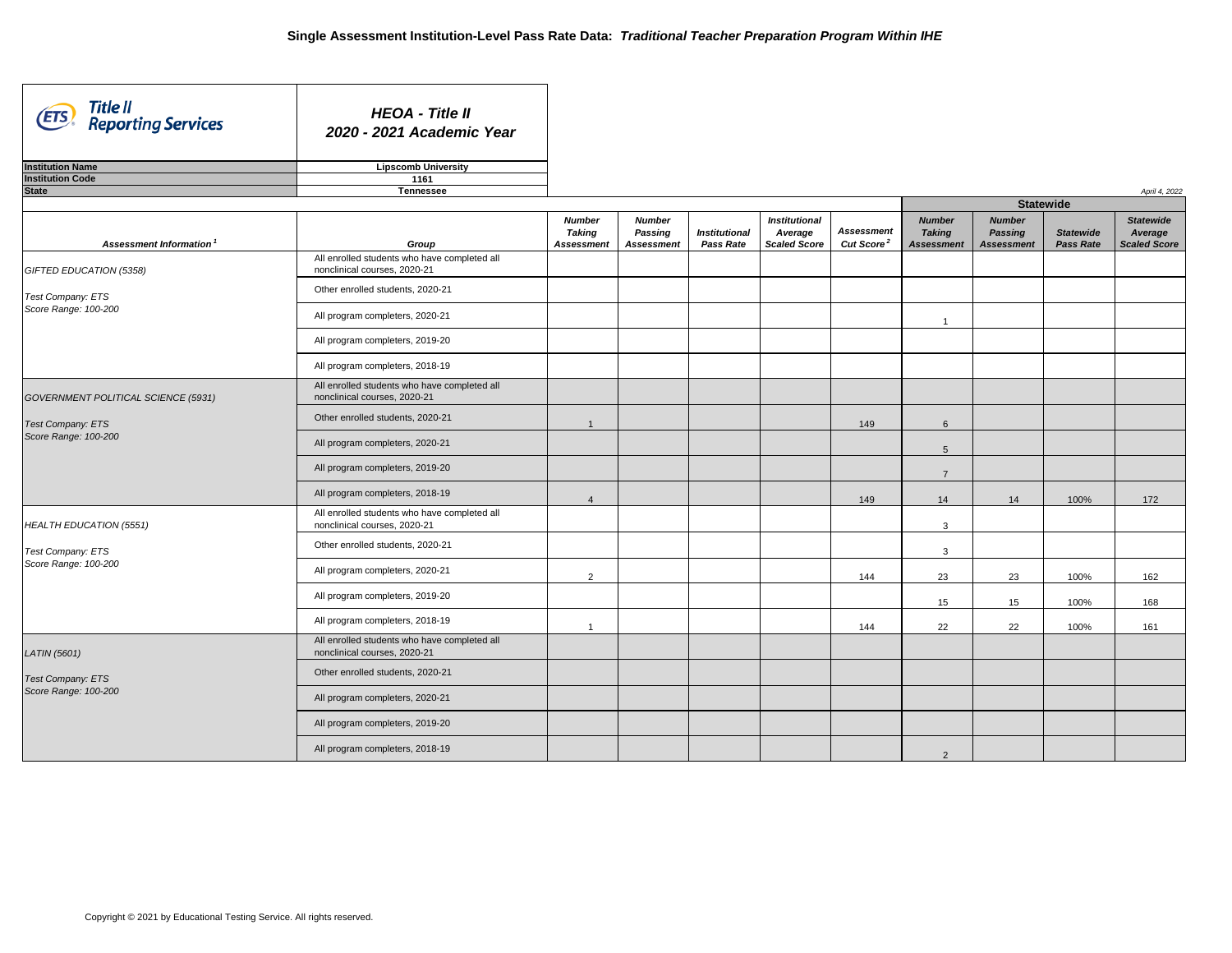| Title II<br>(ETS)<br><b>Reporting Services</b> | <b>HEOA - Title II</b><br>2020 - 2021 Academic Year                             |                                                     |                                                      |                                          |                                                        |                                             |                                                     |                                                      |                                      |                                                    |
|------------------------------------------------|---------------------------------------------------------------------------------|-----------------------------------------------------|------------------------------------------------------|------------------------------------------|--------------------------------------------------------|---------------------------------------------|-----------------------------------------------------|------------------------------------------------------|--------------------------------------|----------------------------------------------------|
| <b>Institution Name</b>                        | <b>Lipscomb University</b>                                                      |                                                     |                                                      |                                          |                                                        |                                             |                                                     |                                                      |                                      |                                                    |
| <b>Institution Code</b>                        | 1161                                                                            |                                                     |                                                      |                                          |                                                        |                                             |                                                     |                                                      |                                      |                                                    |
| <b>State</b>                                   | <b>Tennessee</b>                                                                |                                                     |                                                      |                                          |                                                        |                                             |                                                     |                                                      |                                      | April 4, 2022                                      |
|                                                |                                                                                 |                                                     |                                                      |                                          |                                                        |                                             |                                                     | <b>Statewide</b>                                     |                                      |                                                    |
| Assessment Information <sup>1</sup>            | Group                                                                           | <b>Number</b><br><b>Taking</b><br><b>Assessment</b> | <b>Number</b><br><b>Passing</b><br><b>Assessment</b> | <b>Institutional</b><br><b>Pass Rate</b> | <b>Institutional</b><br>Average<br><b>Scaled Score</b> | <b>Assessment</b><br>Cut Score <sup>2</sup> | <b>Number</b><br><b>Taking</b><br><b>Assessment</b> | <b>Number</b><br><b>Passing</b><br><b>Assessment</b> | <b>Statewide</b><br><b>Pass Rate</b> | <b>Statewide</b><br>Average<br><b>Scaled Score</b> |
| GIFTED EDUCATION (5358)                        | All enrolled students who have completed all<br>nonclinical courses, 2020-21    |                                                     |                                                      |                                          |                                                        |                                             |                                                     |                                                      |                                      |                                                    |
| Test Company: ETS                              | Other enrolled students, 2020-21                                                |                                                     |                                                      |                                          |                                                        |                                             |                                                     |                                                      |                                      |                                                    |
| Score Range: 100-200                           | All program completers, 2020-21                                                 |                                                     |                                                      |                                          |                                                        |                                             |                                                     |                                                      |                                      |                                                    |
|                                                | All program completers, 2019-20                                                 |                                                     |                                                      |                                          |                                                        |                                             |                                                     |                                                      |                                      |                                                    |
|                                                | All program completers, 2018-19                                                 |                                                     |                                                      |                                          |                                                        |                                             |                                                     |                                                      |                                      |                                                    |
| GOVERNMENT POLITICAL SCIENCE (5931)            | All enrolled students who have completed all<br>nonclinical courses, 2020-21    |                                                     |                                                      |                                          |                                                        |                                             |                                                     |                                                      |                                      |                                                    |
| <b>Test Company: ETS</b>                       | Other enrolled students, 2020-21                                                |                                                     |                                                      |                                          |                                                        | 149                                         | 6                                                   |                                                      |                                      |                                                    |
| Score Range: 100-200                           | All program completers, 2020-21                                                 |                                                     |                                                      |                                          |                                                        |                                             | 5                                                   |                                                      |                                      |                                                    |
|                                                | All program completers, 2019-20                                                 |                                                     |                                                      |                                          |                                                        |                                             | $\overline{7}$                                      |                                                      |                                      |                                                    |
|                                                | All program completers, 2018-19                                                 |                                                     |                                                      |                                          |                                                        | 149                                         | 14                                                  | 14                                                   | 100%                                 | 172                                                |
| <b>HEALTH EDUCATION (5551)</b>                 | All enrolled students who have completed all<br>nonclinical courses, 2020-21    |                                                     |                                                      |                                          |                                                        |                                             | $\mathbf{3}$                                        |                                                      |                                      |                                                    |
| Test Company: ETS                              | Other enrolled students, 2020-21                                                |                                                     |                                                      |                                          |                                                        |                                             | $\mathbf{3}$                                        |                                                      |                                      |                                                    |
| Score Range: 100-200                           | All program completers, 2020-21                                                 | $\overline{2}$                                      |                                                      |                                          |                                                        | 144                                         | 23                                                  | 23                                                   | 100%                                 | 162                                                |
|                                                | All program completers, 2019-20                                                 |                                                     |                                                      |                                          |                                                        |                                             | 15                                                  | 15                                                   | 100%                                 | 168                                                |
|                                                | All program completers, 2018-19<br>All enrolled students who have completed all |                                                     |                                                      |                                          |                                                        | 144                                         | 22                                                  | 22                                                   | 100%                                 | 161                                                |
| <b>LATIN</b> (5601)                            | nonclinical courses, 2020-21                                                    |                                                     |                                                      |                                          |                                                        |                                             |                                                     |                                                      |                                      |                                                    |
| <b>Test Company: ETS</b>                       | Other enrolled students, 2020-21                                                |                                                     |                                                      |                                          |                                                        |                                             |                                                     |                                                      |                                      |                                                    |
| Score Range: 100-200                           | All program completers, 2020-21                                                 |                                                     |                                                      |                                          |                                                        |                                             |                                                     |                                                      |                                      |                                                    |
|                                                | All program completers, 2019-20                                                 |                                                     |                                                      |                                          |                                                        |                                             |                                                     |                                                      |                                      |                                                    |
|                                                | All program completers, 2018-19                                                 |                                                     |                                                      |                                          |                                                        |                                             | 2                                                   |                                                      |                                      |                                                    |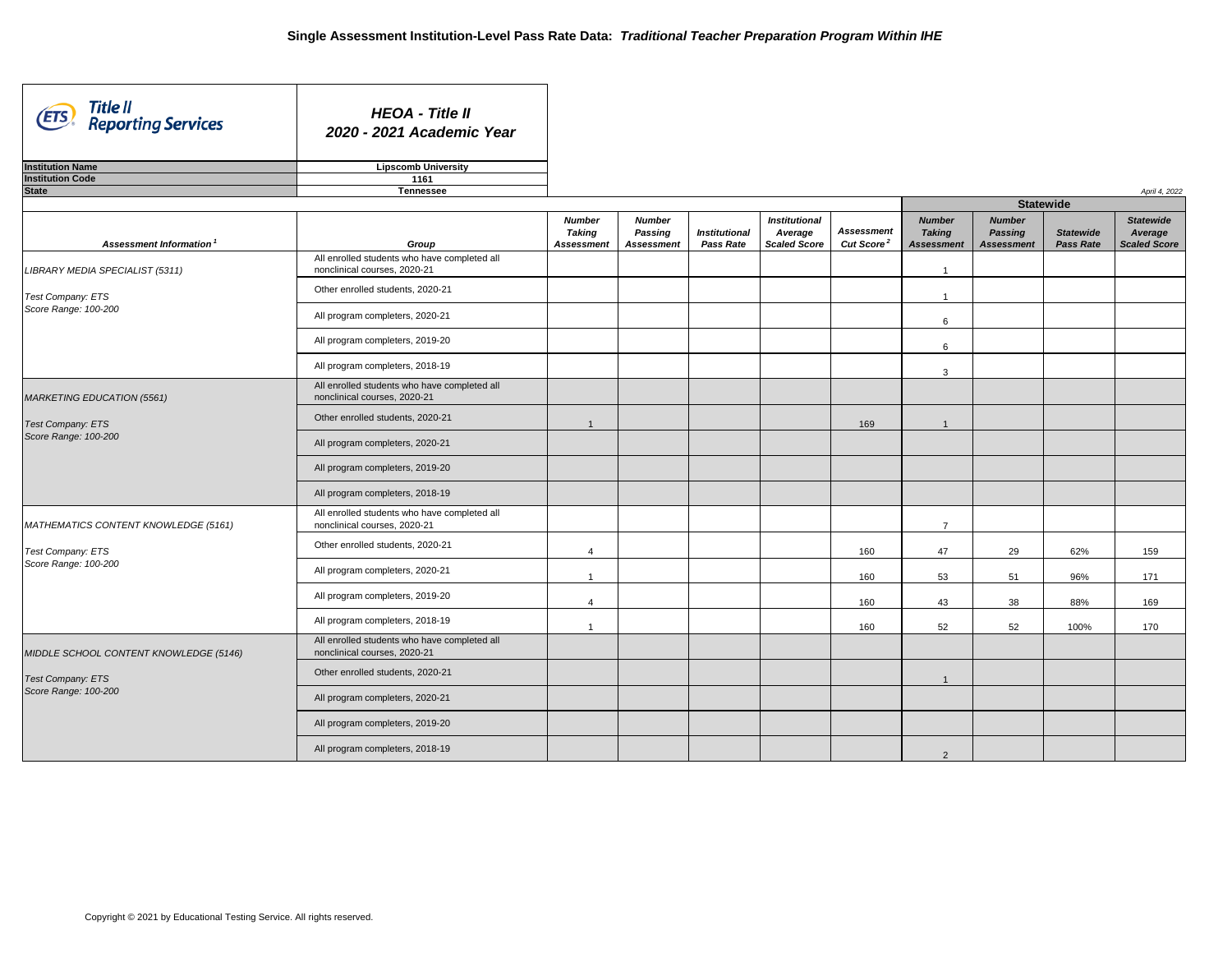| Title II<br>(ETS)<br><b>Reporting Services</b> | <b>HEOA - Title II</b><br>2020 - 2021 Academic Year                          |                                                     |                                                      |                                          |                                                        |                                             |                                                     |                                                      |                                      |                                             |
|------------------------------------------------|------------------------------------------------------------------------------|-----------------------------------------------------|------------------------------------------------------|------------------------------------------|--------------------------------------------------------|---------------------------------------------|-----------------------------------------------------|------------------------------------------------------|--------------------------------------|---------------------------------------------|
| <b>Institution Name</b>                        | <b>Lipscomb University</b>                                                   |                                                     |                                                      |                                          |                                                        |                                             |                                                     |                                                      |                                      |                                             |
| <b>Institution Code</b>                        | 1161                                                                         |                                                     |                                                      |                                          |                                                        |                                             |                                                     |                                                      |                                      |                                             |
| <b>State</b>                                   | <b>Tennessee</b>                                                             |                                                     |                                                      |                                          |                                                        |                                             |                                                     | <b>Statewide</b>                                     |                                      | April 4, 2022                               |
| Assessment Information <sup>1</sup>            | Group                                                                        | <b>Number</b><br><b>Taking</b><br><b>Assessment</b> | <b>Number</b><br><b>Passing</b><br><b>Assessment</b> | <b>Institutional</b><br><b>Pass Rate</b> | <b>Institutional</b><br>Average<br><b>Scaled Score</b> | <b>Assessment</b><br>Cut Score <sup>2</sup> | <b>Number</b><br><b>Taking</b><br><b>Assessment</b> | <b>Number</b><br><b>Passing</b><br><b>Assessment</b> | <b>Statewide</b><br><b>Pass Rate</b> | <b>Statewide</b><br>Average<br>Scaled Score |
| LIBRARY MEDIA SPECIALIST (5311)                | All enrolled students who have completed all<br>nonclinical courses, 2020-21 |                                                     |                                                      |                                          |                                                        |                                             |                                                     |                                                      |                                      |                                             |
| Test Company: ETS                              | Other enrolled students, 2020-21                                             |                                                     |                                                      |                                          |                                                        |                                             |                                                     |                                                      |                                      |                                             |
| Score Range: 100-200                           | All program completers, 2020-21                                              |                                                     |                                                      |                                          |                                                        |                                             | 6                                                   |                                                      |                                      |                                             |
|                                                | All program completers, 2019-20                                              |                                                     |                                                      |                                          |                                                        |                                             | 6                                                   |                                                      |                                      |                                             |
|                                                | All program completers, 2018-19                                              |                                                     |                                                      |                                          |                                                        |                                             | 3                                                   |                                                      |                                      |                                             |
| <b>MARKETING EDUCATION (5561)</b>              | All enrolled students who have completed all<br>nonclinical courses, 2020-21 |                                                     |                                                      |                                          |                                                        |                                             |                                                     |                                                      |                                      |                                             |
| <b>Test Company: ETS</b>                       | Other enrolled students, 2020-21                                             |                                                     |                                                      |                                          |                                                        | 169                                         |                                                     |                                                      |                                      |                                             |
| Score Range: 100-200                           | All program completers, 2020-21                                              |                                                     |                                                      |                                          |                                                        |                                             |                                                     |                                                      |                                      |                                             |
|                                                | All program completers, 2019-20                                              |                                                     |                                                      |                                          |                                                        |                                             |                                                     |                                                      |                                      |                                             |
|                                                | All program completers, 2018-19                                              |                                                     |                                                      |                                          |                                                        |                                             |                                                     |                                                      |                                      |                                             |
| MATHEMATICS CONTENT KNOWLEDGE (5161)           | All enrolled students who have completed all<br>nonclinical courses, 2020-21 |                                                     |                                                      |                                          |                                                        |                                             | $\overline{7}$                                      |                                                      |                                      |                                             |
| Test Company: ETS                              | Other enrolled students, 2020-21                                             |                                                     |                                                      |                                          |                                                        | 160                                         | 47                                                  | 29                                                   | 62%                                  | 159                                         |
| Score Range: 100-200                           | All program completers, 2020-21                                              |                                                     |                                                      |                                          |                                                        | 160                                         | 53                                                  | 51                                                   | 96%                                  | 171                                         |
|                                                | All program completers, 2019-20                                              |                                                     |                                                      |                                          |                                                        | 160                                         | 43                                                  | 38                                                   | 88%                                  | 169                                         |
|                                                | All program completers, 2018-19                                              |                                                     |                                                      |                                          |                                                        | 160                                         | 52                                                  | 52                                                   | 100%                                 | 170                                         |
| MIDDLE SCHOOL CONTENT KNOWLEDGE (5146)         | All enrolled students who have completed all<br>nonclinical courses, 2020-21 |                                                     |                                                      |                                          |                                                        |                                             |                                                     |                                                      |                                      |                                             |
| <b>Test Company: ETS</b>                       | Other enrolled students, 2020-21                                             |                                                     |                                                      |                                          |                                                        |                                             |                                                     |                                                      |                                      |                                             |
| Score Range: 100-200                           | All program completers, 2020-21                                              |                                                     |                                                      |                                          |                                                        |                                             |                                                     |                                                      |                                      |                                             |
|                                                | All program completers, 2019-20                                              |                                                     |                                                      |                                          |                                                        |                                             |                                                     |                                                      |                                      |                                             |
|                                                | All program completers, 2018-19                                              |                                                     |                                                      |                                          |                                                        |                                             | $\overline{2}$                                      |                                                      |                                      |                                             |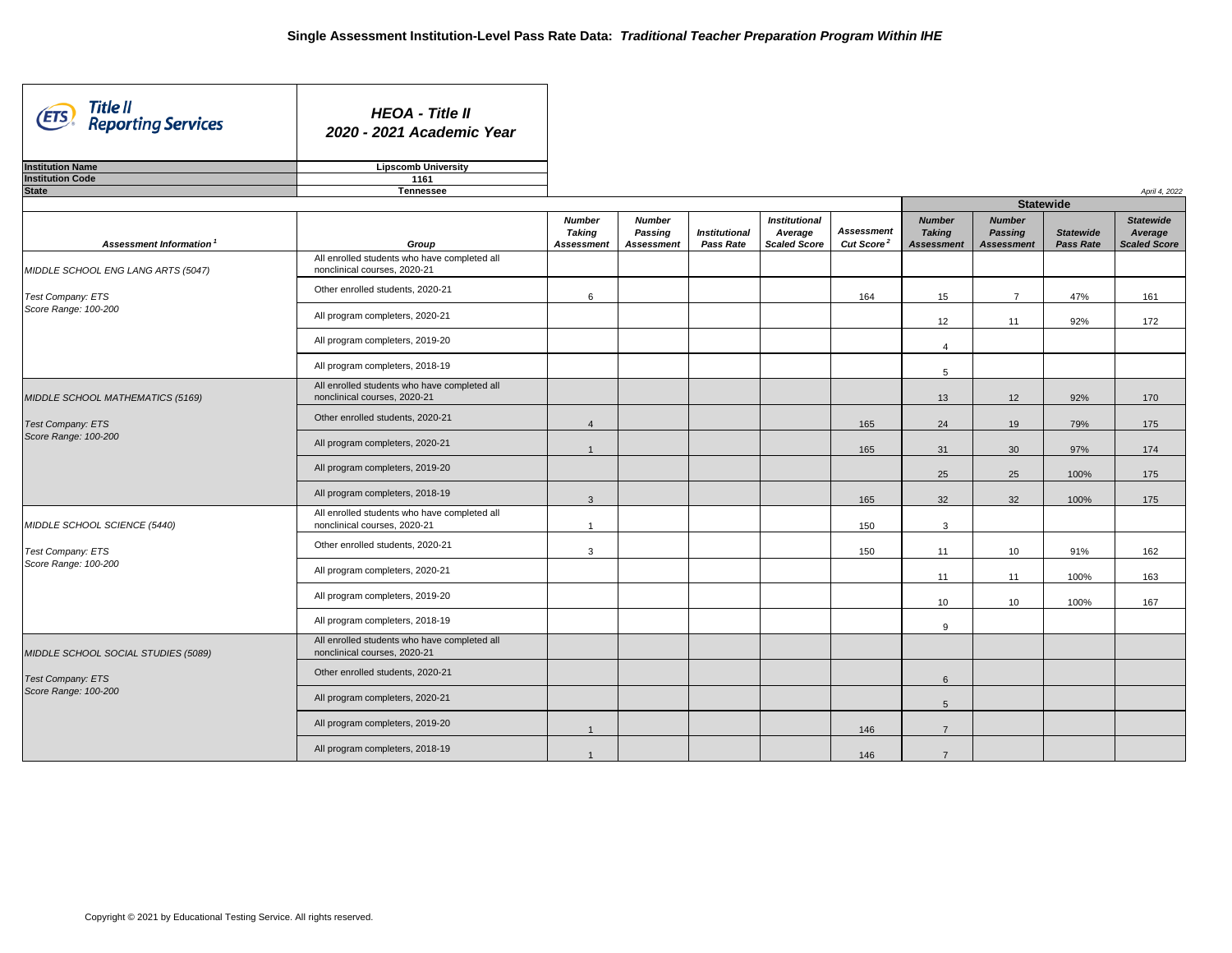| Title II<br>(ETS)<br><b>Reporting Services</b>   | <b>HEOA - Title II</b><br>2020 - 2021 Academic Year                             |                                                     |                                                      |                                          |                                                        |                                             |                                                     |                                                      |                                      |                                                    |
|--------------------------------------------------|---------------------------------------------------------------------------------|-----------------------------------------------------|------------------------------------------------------|------------------------------------------|--------------------------------------------------------|---------------------------------------------|-----------------------------------------------------|------------------------------------------------------|--------------------------------------|----------------------------------------------------|
| <b>Institution Name</b>                          | <b>Lipscomb University</b>                                                      |                                                     |                                                      |                                          |                                                        |                                             |                                                     |                                                      |                                      |                                                    |
| <b>Institution Code</b><br><b>State</b>          | 1161<br><b>Tennessee</b>                                                        |                                                     |                                                      |                                          |                                                        |                                             |                                                     |                                                      |                                      |                                                    |
|                                                  |                                                                                 |                                                     |                                                      |                                          |                                                        |                                             |                                                     | <b>Statewide</b>                                     |                                      | April 4, 2022                                      |
| <b>Assessment Information<sup>1</sup></b>        | Group                                                                           | <b>Number</b><br><b>Taking</b><br><b>Assessment</b> | <b>Number</b><br><b>Passing</b><br><b>Assessment</b> | <b>Institutional</b><br><b>Pass Rate</b> | <b>Institutional</b><br>Average<br><b>Scaled Score</b> | <b>Assessment</b><br>Cut Score <sup>2</sup> | <b>Number</b><br><b>Taking</b><br><b>Assessment</b> | <b>Number</b><br><b>Passing</b><br><b>Assessment</b> | <b>Statewide</b><br><b>Pass Rate</b> | <b>Statewide</b><br>Average<br><b>Scaled Score</b> |
| MIDDLE SCHOOL ENG LANG ARTS (5047)               | All enrolled students who have completed all<br>nonclinical courses, 2020-21    |                                                     |                                                      |                                          |                                                        |                                             |                                                     |                                                      |                                      |                                                    |
| Test Company: ETS                                | Other enrolled students, 2020-21                                                | 6                                                   |                                                      |                                          |                                                        | 164                                         | 15                                                  | $\overline{7}$                                       | 47%                                  | 161                                                |
| Score Range: 100-200                             | All program completers, 2020-21                                                 |                                                     |                                                      |                                          |                                                        |                                             | 12                                                  | 11                                                   | 92%                                  | 172                                                |
|                                                  | All program completers, 2019-20                                                 |                                                     |                                                      |                                          |                                                        |                                             | 4                                                   |                                                      |                                      |                                                    |
|                                                  | All program completers, 2018-19                                                 |                                                     |                                                      |                                          |                                                        |                                             | $5\phantom{.0}$                                     |                                                      |                                      |                                                    |
| MIDDLE SCHOOL MATHEMATICS (5169)                 | All enrolled students who have completed all<br>nonclinical courses, 2020-21    |                                                     |                                                      |                                          |                                                        |                                             | 13                                                  | 12                                                   | 92%                                  | 170                                                |
| <b>Test Company: ETS</b><br>Score Range: 100-200 | Other enrolled students, 2020-21                                                |                                                     |                                                      |                                          |                                                        | 165                                         | 24                                                  | 19                                                   | 79%                                  | 175                                                |
|                                                  | All program completers, 2020-21                                                 |                                                     |                                                      |                                          |                                                        | 165                                         | 31                                                  | 30                                                   | 97%                                  | 174                                                |
|                                                  | All program completers, 2019-20                                                 |                                                     |                                                      |                                          |                                                        |                                             | 25                                                  | 25                                                   | 100%                                 | 175                                                |
|                                                  | All program completers, 2018-19<br>All enrolled students who have completed all | $\mathbf{3}$                                        |                                                      |                                          |                                                        | 165                                         | 32                                                  | 32                                                   | 100%                                 | 175                                                |
| MIDDLE SCHOOL SCIENCE (5440)                     | nonclinical courses, 2020-21                                                    |                                                     |                                                      |                                          |                                                        | 150                                         | 3                                                   |                                                      |                                      |                                                    |
| Test Company: ETS<br>Score Range: 100-200        | Other enrolled students, 2020-21                                                | $\mathbf{3}$                                        |                                                      |                                          |                                                        | 150                                         | 11                                                  | 10 <sup>°</sup>                                      | 91%                                  | 162                                                |
|                                                  | All program completers, 2020-21                                                 |                                                     |                                                      |                                          |                                                        |                                             | 11                                                  | 11                                                   | 100%                                 | 163                                                |
|                                                  | All program completers, 2019-20                                                 |                                                     |                                                      |                                          |                                                        |                                             | 10                                                  | 10                                                   | 100%                                 | 167                                                |
|                                                  | All program completers, 2018-19<br>All enrolled students who have completed all |                                                     |                                                      |                                          |                                                        |                                             | 9                                                   |                                                      |                                      |                                                    |
| MIDDLE SCHOOL SOCIAL STUDIES (5089)              | nonclinical courses, 2020-21                                                    |                                                     |                                                      |                                          |                                                        |                                             |                                                     |                                                      |                                      |                                                    |
| Test Company: ETS<br>Score Range: 100-200        | Other enrolled students, 2020-21                                                |                                                     |                                                      |                                          |                                                        |                                             | $6\overline{6}$                                     |                                                      |                                      |                                                    |
|                                                  | All program completers, 2020-21                                                 |                                                     |                                                      |                                          |                                                        |                                             | $5\overline{)}$                                     |                                                      |                                      |                                                    |
|                                                  | All program completers, 2019-20                                                 |                                                     |                                                      |                                          |                                                        | 146                                         | $\overline{7}$                                      |                                                      |                                      |                                                    |
|                                                  | All program completers, 2018-19                                                 |                                                     |                                                      |                                          |                                                        | 146                                         |                                                     |                                                      |                                      |                                                    |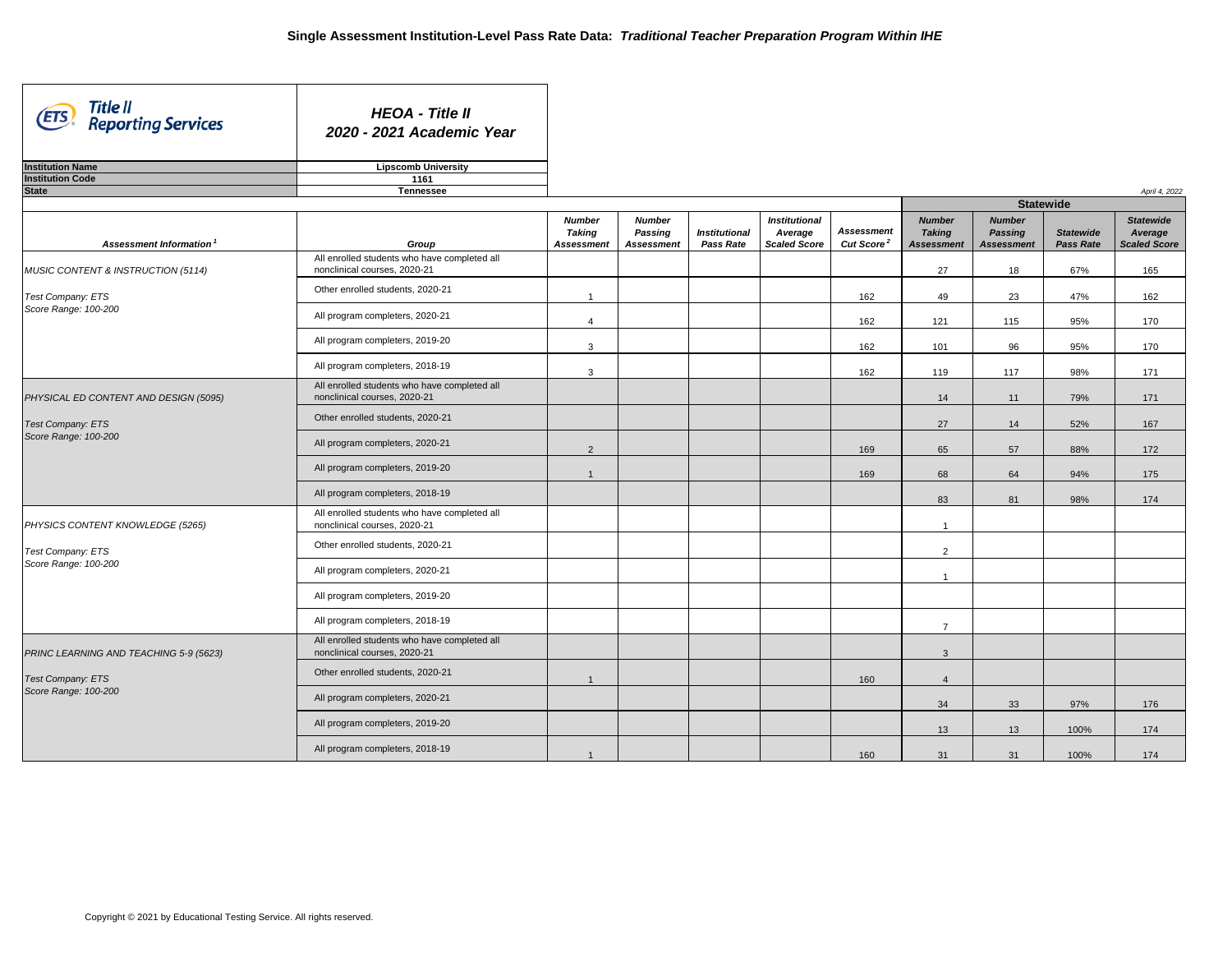| Title II<br><b>ETS</b><br><b>Reporting Services</b> | <b>HEOA - Title II</b><br>2020 - 2021 Academic Year                          |                   |                                 |                      |                      |                        |                         |                                 |                  |                     |
|-----------------------------------------------------|------------------------------------------------------------------------------|-------------------|---------------------------------|----------------------|----------------------|------------------------|-------------------------|---------------------------------|------------------|---------------------|
| <b>Institution Name</b>                             | <b>Lipscomb University</b>                                                   |                   |                                 |                      |                      |                        |                         |                                 |                  |                     |
| <b>Institution Code</b>                             | 1161                                                                         |                   |                                 |                      |                      |                        |                         |                                 |                  |                     |
| <b>State</b>                                        | <b>Tennessee</b>                                                             |                   |                                 |                      |                      |                        |                         | <b>Statewide</b>                |                  | April 4, 2022       |
|                                                     |                                                                              | <b>Number</b>     |                                 |                      | <b>Institutional</b> |                        | <b>Number</b>           |                                 |                  | <b>Statewide</b>    |
|                                                     |                                                                              | <b>Taking</b>     | <b>Number</b><br><b>Passing</b> | <b>Institutional</b> | Average              | <b>Assessment</b>      | <b>Taking</b>           | <b>Number</b><br><b>Passing</b> | <b>Statewide</b> | Average             |
| <b>Assessment Information<sup>1</sup></b>           | Group                                                                        | <b>Assessment</b> | <b>Assessment</b>               | <b>Pass Rate</b>     | <b>Scaled Score</b>  | Cut Score <sup>2</sup> | <b>Assessment</b>       | <b>Assessment</b>               | <b>Pass Rate</b> | <b>Scaled Score</b> |
| MUSIC CONTENT & INSTRUCTION (5114)                  | All enrolled students who have completed all<br>nonclinical courses, 2020-21 |                   |                                 |                      |                      |                        | 27                      | 18                              | 67%              | 165                 |
| Test Company: ETS                                   | Other enrolled students, 2020-21                                             |                   |                                 |                      |                      | 162                    | 49                      | 23                              | 47%              | 162                 |
| Score Range: 100-200                                | All program completers, 2020-21                                              | $\overline{4}$    |                                 |                      |                      | 162                    | 121                     | 115                             | 95%              | 170                 |
|                                                     | All program completers, 2019-20                                              | 3                 |                                 |                      |                      | 162                    | 101                     | 96                              | 95%              | 170                 |
|                                                     | All program completers, 2018-19                                              | 3                 |                                 |                      |                      | 162                    | 119                     | 117                             | 98%              | 171                 |
| PHYSICAL ED CONTENT AND DESIGN (5095)               | All enrolled students who have completed all<br>nonclinical courses, 2020-21 |                   |                                 |                      |                      |                        | 14                      | 11                              | 79%              | 171                 |
| <b>Test Company: ETS</b>                            | Other enrolled students, 2020-21                                             |                   |                                 |                      |                      |                        | 27                      | 14                              | 52%              | 167                 |
| Score Range: 100-200                                | All program completers, 2020-21                                              | $\overline{2}$    |                                 |                      |                      | 169                    | 65                      | 57                              | 88%              | 172                 |
|                                                     | All program completers, 2019-20                                              |                   |                                 |                      |                      | 169                    | 68                      | 64                              | 94%              | 175                 |
|                                                     | All program completers, 2018-19                                              |                   |                                 |                      |                      |                        | 83                      | 81                              | 98%              | 174                 |
| PHYSICS CONTENT KNOWLEDGE (5265)                    | All enrolled students who have completed all<br>nonclinical courses, 2020-21 |                   |                                 |                      |                      |                        | -1                      |                                 |                  |                     |
| Test Company: ETS                                   | Other enrolled students, 2020-21                                             |                   |                                 |                      |                      |                        | 2                       |                                 |                  |                     |
| Score Range: 100-200                                | All program completers, 2020-21                                              |                   |                                 |                      |                      |                        | $\overline{\mathbf{1}}$ |                                 |                  |                     |
|                                                     | All program completers, 2019-20                                              |                   |                                 |                      |                      |                        |                         |                                 |                  |                     |
|                                                     | All program completers, 2018-19                                              |                   |                                 |                      |                      |                        | $\overline{7}$          |                                 |                  |                     |
| PRINC LEARNING AND TEACHING 5-9 (5623)              | All enrolled students who have completed all<br>nonclinical courses, 2020-21 |                   |                                 |                      |                      |                        | $\mathbf{3}$            |                                 |                  |                     |
| Test Company: ETS                                   | Other enrolled students, 2020-21                                             |                   |                                 |                      |                      | 160                    | $\overline{4}$          |                                 |                  |                     |
| Score Range: 100-200                                | All program completers, 2020-21                                              |                   |                                 |                      |                      |                        | 34                      | 33                              | 97%              | 176                 |
|                                                     | All program completers, 2019-20                                              |                   |                                 |                      |                      |                        | 13                      | 13                              | 100%             | 174                 |
|                                                     | All program completers, 2018-19                                              |                   |                                 |                      |                      | 160                    | 31                      | 31                              | 100%             | 174                 |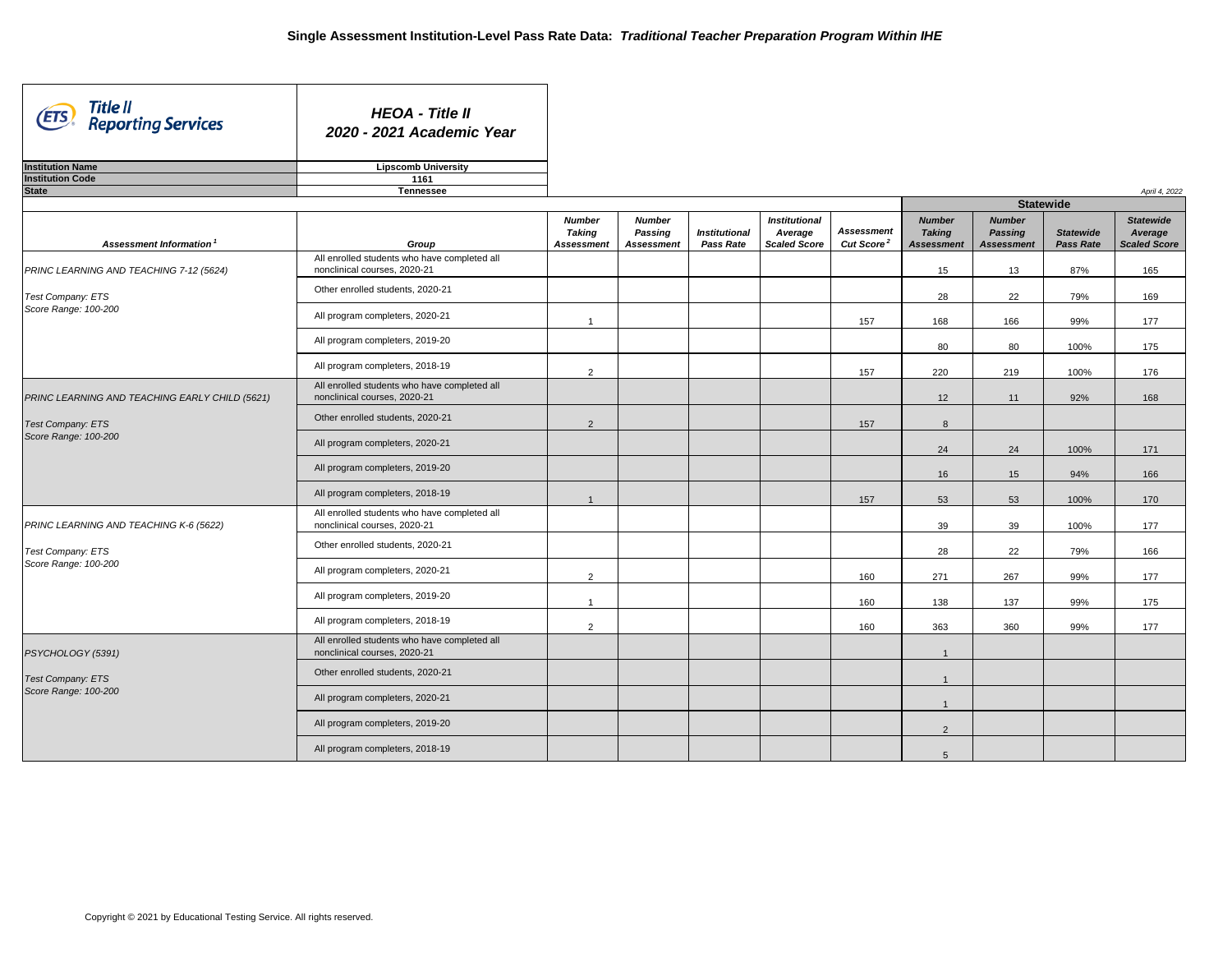| Title II<br>(ETS)<br><b>Reporting Services</b>   | <b>HEOA - Title II</b><br>2020 - 2021 Academic Year                             |                                                     |                                                      |                                          |                                                        |                                                   |                                                     |                                                      |                                      |                                                    |
|--------------------------------------------------|---------------------------------------------------------------------------------|-----------------------------------------------------|------------------------------------------------------|------------------------------------------|--------------------------------------------------------|---------------------------------------------------|-----------------------------------------------------|------------------------------------------------------|--------------------------------------|----------------------------------------------------|
| <b>Institution Name</b>                          | <b>Lipscomb University</b>                                                      |                                                     |                                                      |                                          |                                                        |                                                   |                                                     |                                                      |                                      |                                                    |
| <b>Institution Code</b><br><b>State</b>          | 1161                                                                            |                                                     |                                                      |                                          |                                                        |                                                   |                                                     |                                                      |                                      |                                                    |
|                                                  | <b>Tennessee</b>                                                                |                                                     |                                                      |                                          |                                                        |                                                   |                                                     | <b>Statewide</b>                                     |                                      | April 4, 2022                                      |
| <b>Assessment Information<sup>1</sup></b>        | Group                                                                           | <b>Number</b><br><b>Taking</b><br><b>Assessment</b> | <b>Number</b><br><b>Passing</b><br><b>Assessment</b> | <b>Institutional</b><br><b>Pass Rate</b> | <b>Institutional</b><br>Average<br><b>Scaled Score</b> | <b>Assessment</b><br><b>Cut Score<sup>2</sup></b> | <b>Number</b><br><b>Taking</b><br><b>Assessment</b> | <b>Number</b><br><b>Passing</b><br><b>Assessment</b> | <b>Statewide</b><br><b>Pass Rate</b> | <b>Statewide</b><br>Average<br><b>Scaled Score</b> |
| PRINC LEARNING AND TEACHING 7-12 (5624)          | All enrolled students who have completed all<br>nonclinical courses, 2020-21    |                                                     |                                                      |                                          |                                                        |                                                   | 15                                                  | 13                                                   | 87%                                  | 165                                                |
| Test Company: ETS                                | Other enrolled students, 2020-21                                                |                                                     |                                                      |                                          |                                                        |                                                   | 28                                                  | 22                                                   | 79%                                  | 169                                                |
| Score Range: 100-200                             | All program completers, 2020-21                                                 |                                                     |                                                      |                                          |                                                        | 157                                               | 168                                                 | 166                                                  | 99%                                  | 177                                                |
|                                                  | All program completers, 2019-20                                                 |                                                     |                                                      |                                          |                                                        |                                                   | 80                                                  | 80                                                   | 100%                                 | 175                                                |
|                                                  | All program completers, 2018-19                                                 | 2                                                   |                                                      |                                          |                                                        | 157                                               | 220                                                 | 219                                                  | 100%                                 | 176                                                |
| PRINC LEARNING AND TEACHING EARLY CHILD (5621)   | All enrolled students who have completed all<br>nonclinical courses, 2020-21    |                                                     |                                                      |                                          |                                                        |                                                   | 12                                                  | 11                                                   | 92%                                  | 168                                                |
| <b>Test Company: ETS</b><br>Score Range: 100-200 | Other enrolled students, 2020-21                                                | $\overline{2}$                                      |                                                      |                                          |                                                        | 157                                               | 8                                                   |                                                      |                                      |                                                    |
|                                                  | All program completers, 2020-21                                                 |                                                     |                                                      |                                          |                                                        |                                                   | 24                                                  | 24                                                   | 100%                                 | 171                                                |
|                                                  | All program completers, 2019-20                                                 |                                                     |                                                      |                                          |                                                        |                                                   | 16                                                  | 15                                                   | 94%                                  | 166                                                |
|                                                  | All program completers, 2018-19                                                 |                                                     |                                                      |                                          |                                                        | 157                                               | 53                                                  | 53                                                   | 100%                                 | 170                                                |
| PRINC LEARNING AND TEACHING K-6 (5622)           | All enrolled students who have completed all<br>nonclinical courses, 2020-21    |                                                     |                                                      |                                          |                                                        |                                                   | 39                                                  | 39                                                   | 100%                                 | 177                                                |
| Test Company: ETS<br>Score Range: 100-200        | Other enrolled students, 2020-21                                                |                                                     |                                                      |                                          |                                                        |                                                   | 28                                                  | 22                                                   | 79%                                  | 166                                                |
|                                                  | All program completers, 2020-21                                                 | 2                                                   |                                                      |                                          |                                                        | 160                                               | 271                                                 | 267                                                  | 99%                                  | 177                                                |
|                                                  | All program completers, 2019-20                                                 |                                                     |                                                      |                                          |                                                        | 160                                               | 138                                                 | 137                                                  | 99%                                  | 175                                                |
|                                                  | All program completers, 2018-19<br>All enrolled students who have completed all | 2                                                   |                                                      |                                          |                                                        | 160                                               | 363                                                 | 360                                                  | 99%                                  | 177                                                |
| PSYCHOLOGY (5391)                                | nonclinical courses, 2020-21                                                    |                                                     |                                                      |                                          |                                                        |                                                   |                                                     |                                                      |                                      |                                                    |
| <b>Test Company: ETS</b><br>Score Range: 100-200 | Other enrolled students, 2020-21                                                |                                                     |                                                      |                                          |                                                        |                                                   |                                                     |                                                      |                                      |                                                    |
|                                                  | All program completers, 2020-21                                                 |                                                     |                                                      |                                          |                                                        |                                                   |                                                     |                                                      |                                      |                                                    |
|                                                  | All program completers, 2019-20                                                 |                                                     |                                                      |                                          |                                                        |                                                   | $\overline{2}$                                      |                                                      |                                      |                                                    |
|                                                  | All program completers, 2018-19                                                 |                                                     |                                                      |                                          |                                                        |                                                   | $\overline{5}$                                      |                                                      |                                      |                                                    |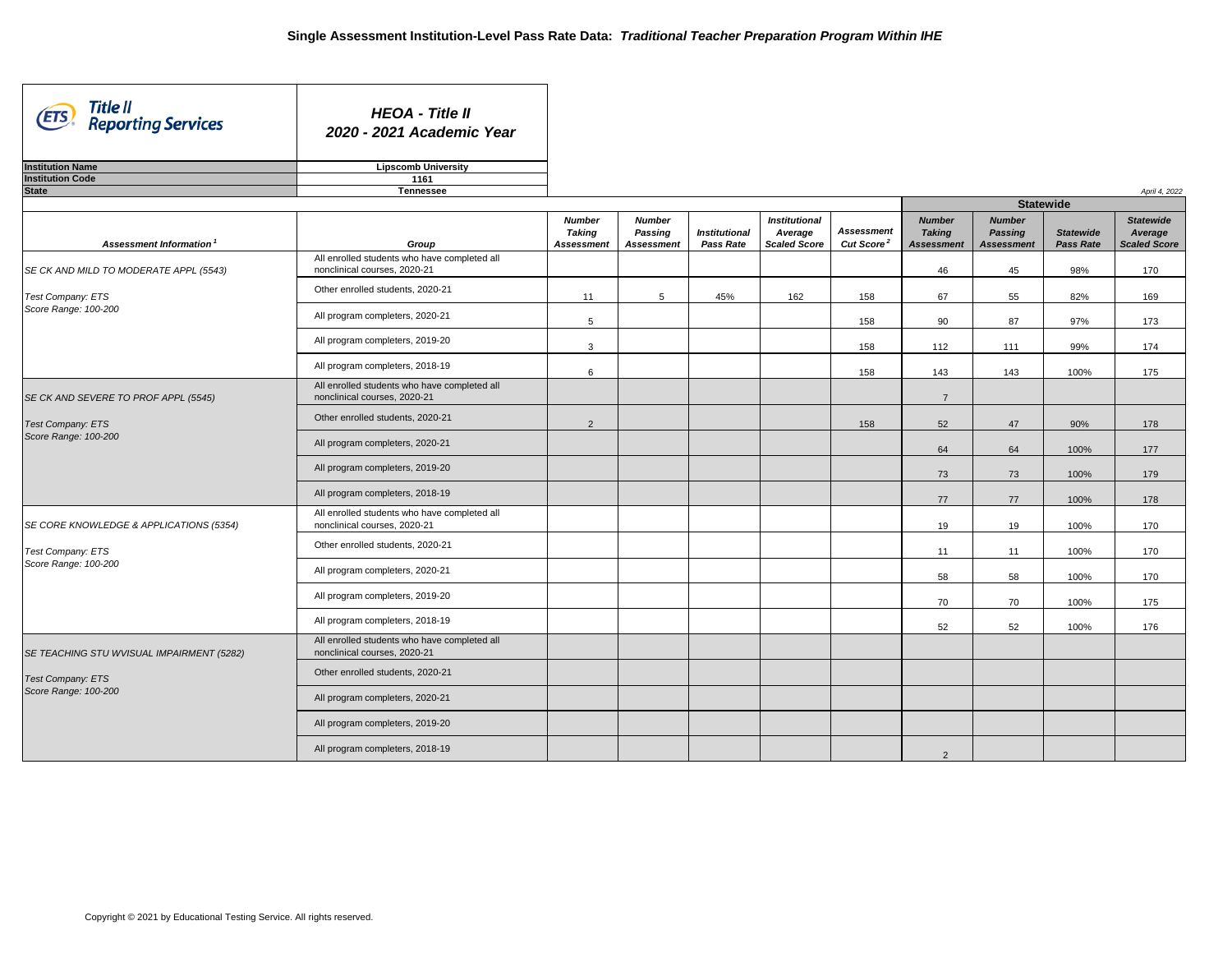| Title II<br>(ETS)<br><b>Reporting Services</b> | <b>HEOA - Title II</b><br>2020 - 2021 Academic Year                          |                                |                                 |                      |                                 |                        |                                |                                 |                  |                             |
|------------------------------------------------|------------------------------------------------------------------------------|--------------------------------|---------------------------------|----------------------|---------------------------------|------------------------|--------------------------------|---------------------------------|------------------|-----------------------------|
| <b>Institution Name</b>                        | <b>Lipscomb University</b>                                                   |                                |                                 |                      |                                 |                        |                                |                                 |                  |                             |
| <b>Institution Code</b>                        | 1161                                                                         |                                |                                 |                      |                                 |                        |                                |                                 |                  |                             |
| <b>State</b>                                   | <b>Tennessee</b>                                                             |                                |                                 |                      |                                 |                        |                                |                                 | <b>Statewide</b> | April 4, 2022               |
|                                                |                                                                              |                                |                                 |                      |                                 |                        |                                |                                 |                  |                             |
|                                                |                                                                              | <b>Number</b><br><b>Taking</b> | <b>Number</b><br><b>Passing</b> | <b>Institutional</b> | <b>Institutional</b><br>Average | <b>Assessment</b>      | <b>Number</b><br><b>Taking</b> | <b>Number</b><br><b>Passing</b> | <b>Statewide</b> | <b>Statewide</b><br>Average |
| <b>Assessment Information<sup>1</sup></b>      | Group                                                                        | <b>Assessment</b>              | <b>Assessment</b>               | <b>Pass Rate</b>     | <b>Scaled Score</b>             | Cut Score <sup>2</sup> | <b>Assessment</b>              | <b>Assessment</b>               | <b>Pass Rate</b> | <b>Scaled Score</b>         |
| SE CK AND MILD TO MODERATE APPL (5543)         | All enrolled students who have completed all<br>nonclinical courses, 2020-21 |                                |                                 |                      |                                 |                        | 46                             | 45                              | 98%              | 170                         |
| Test Company: ETS                              | Other enrolled students, 2020-21                                             | 11                             | 5 <sup>5</sup>                  | 45%                  | 162                             | 158                    | 67                             | 55                              | 82%              | 169                         |
| Score Range: 100-200                           | All program completers, 2020-21                                              | $\overline{5}$                 |                                 |                      |                                 | 158                    | 90                             | 87                              | 97%              | 173                         |
|                                                | All program completers, 2019-20                                              | 3                              |                                 |                      |                                 | 158                    | 112                            | 111                             | 99%              | 174                         |
|                                                | All program completers, 2018-19                                              | $6\phantom{1}6$                |                                 |                      |                                 | 158                    | 143                            | 143                             | 100%             | 175                         |
| SE CK AND SEVERE TO PROF APPL (5545)           | All enrolled students who have completed all<br>nonclinical courses, 2020-21 |                                |                                 |                      |                                 |                        | $\overline{7}$                 |                                 |                  |                             |
| <b>Test Company: ETS</b>                       | Other enrolled students, 2020-21                                             | $\overline{2}$                 |                                 |                      |                                 | 158                    | 52                             | 47                              | 90%              | 178                         |
| Score Range: 100-200                           | All program completers, 2020-21                                              |                                |                                 |                      |                                 |                        | 64                             | 64                              | 100%             | 177                         |
|                                                | All program completers, 2019-20                                              |                                |                                 |                      |                                 |                        | 73                             | 73                              | 100%             | 179                         |
|                                                | All program completers, 2018-19                                              |                                |                                 |                      |                                 |                        | 77                             | 77                              | 100%             | 178                         |
| SE CORE KNOWLEDGE & APPLICATIONS (5354)        | All enrolled students who have completed all<br>nonclinical courses, 2020-21 |                                |                                 |                      |                                 |                        | 19                             | 19                              | 100%             | 170                         |
| Test Company: ETS                              | Other enrolled students, 2020-21                                             |                                |                                 |                      |                                 |                        | 11                             | 11                              | 100%             | 170                         |
| Score Range: 100-200                           | All program completers, 2020-21                                              |                                |                                 |                      |                                 |                        | 58                             | 58                              | 100%             | 170                         |
|                                                | All program completers, 2019-20                                              |                                |                                 |                      |                                 |                        | 70                             | 70                              | 100%             | 175                         |
|                                                | All program completers, 2018-19                                              |                                |                                 |                      |                                 |                        | 52                             | 52                              | 100%             | 176                         |
| SE TEACHING STU WVISUAL IMPAIRMENT (5282)      | All enrolled students who have completed all<br>nonclinical courses, 2020-21 |                                |                                 |                      |                                 |                        |                                |                                 |                  |                             |
| <b>Test Company: ETS</b>                       | Other enrolled students, 2020-21                                             |                                |                                 |                      |                                 |                        |                                |                                 |                  |                             |
| Score Range: 100-200                           | All program completers, 2020-21                                              |                                |                                 |                      |                                 |                        |                                |                                 |                  |                             |
|                                                | All program completers, 2019-20                                              |                                |                                 |                      |                                 |                        |                                |                                 |                  |                             |
|                                                | All program completers, 2018-19                                              |                                |                                 |                      |                                 |                        | 2                              |                                 |                  |                             |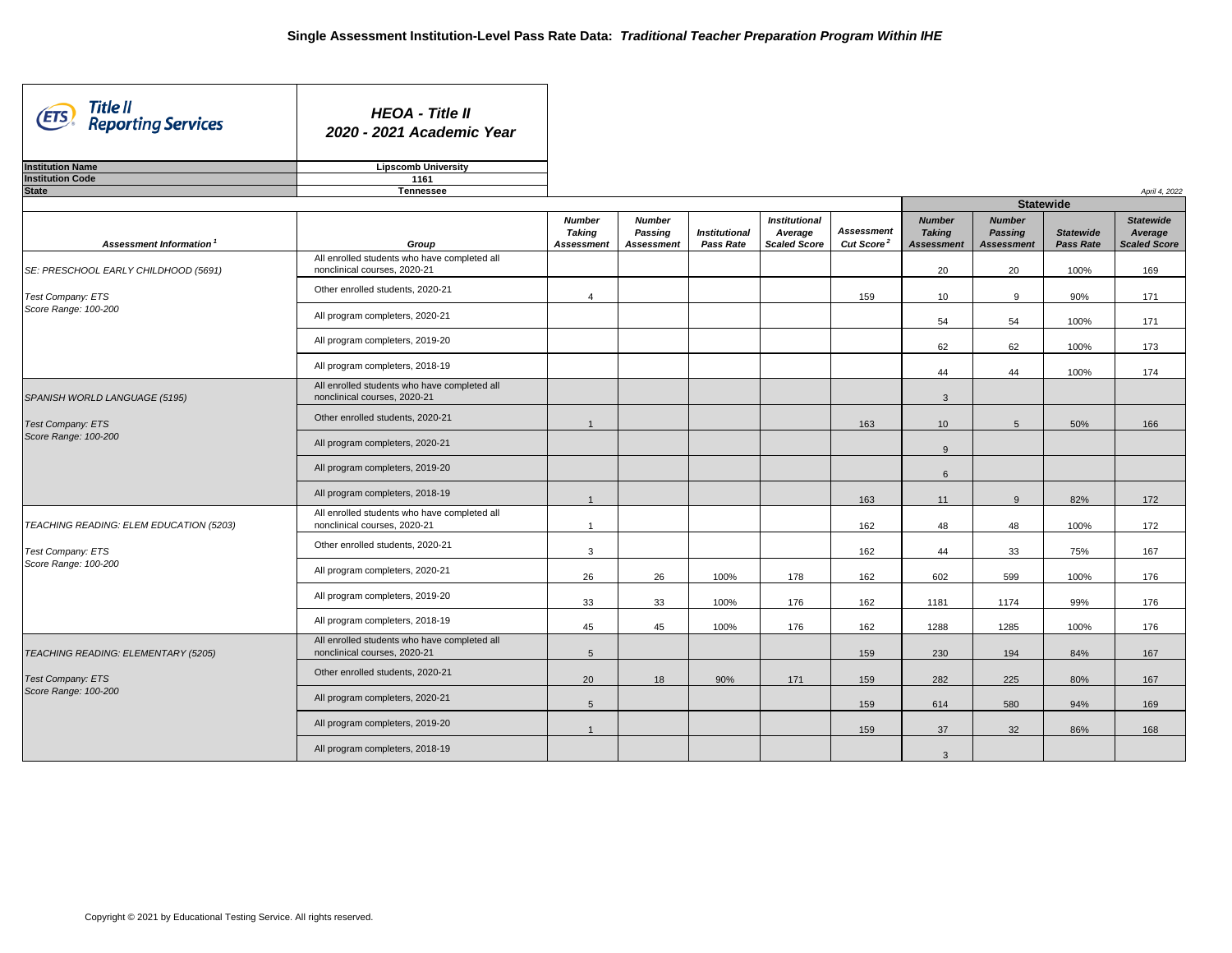| Title II<br><b>ETS</b><br><b>Reporting Services</b> | <b>HEOA - Title II</b><br>2020 - 2021 Academic Year                          |                                |                                 |                      |                                 |                        |                   |                                 |                  |                     |
|-----------------------------------------------------|------------------------------------------------------------------------------|--------------------------------|---------------------------------|----------------------|---------------------------------|------------------------|-------------------|---------------------------------|------------------|---------------------|
| <b>Institution Name</b>                             | <b>Lipscomb University</b>                                                   |                                |                                 |                      |                                 |                        |                   |                                 |                  |                     |
| <b>Institution Code</b>                             | 1161                                                                         |                                |                                 |                      |                                 |                        |                   |                                 |                  |                     |
| <b>State</b>                                        | <b>Tennessee</b>                                                             |                                |                                 |                      |                                 |                        |                   | <b>Statewide</b>                |                  | April 4, 2022       |
|                                                     |                                                                              |                                |                                 |                      |                                 |                        | <b>Number</b>     |                                 |                  | <b>Statewide</b>    |
|                                                     |                                                                              | <b>Number</b><br><b>Taking</b> | <b>Number</b><br><b>Passing</b> | <b>Institutional</b> | <b>Institutional</b><br>Average | <b>Assessment</b>      | <b>Taking</b>     | <b>Number</b><br><b>Passing</b> | <b>Statewide</b> | Average             |
| Assessment Information <sup>1</sup>                 | Group                                                                        | <b>Assessment</b>              | <b>Assessment</b>               | <b>Pass Rate</b>     | <b>Scaled Score</b>             | Cut Score <sup>2</sup> | <b>Assessment</b> | <b>Assessment</b>               | <b>Pass Rate</b> | <b>Scaled Score</b> |
| SE: PRESCHOOL EARLY CHILDHOOD (5691)                | All enrolled students who have completed all<br>nonclinical courses, 2020-21 |                                |                                 |                      |                                 |                        | 20                | 20                              | 100%             | 169                 |
| <b>Test Company: ETS</b>                            | Other enrolled students, 2020-21                                             |                                |                                 |                      |                                 | 159                    | 10 <sup>°</sup>   | 9                               | 90%              | 171                 |
| Score Range: 100-200                                | All program completers, 2020-21                                              |                                |                                 |                      |                                 |                        | 54                | 54                              | 100%             | 171                 |
|                                                     | All program completers, 2019-20                                              |                                |                                 |                      |                                 |                        | 62                | 62                              | 100%             | 173                 |
|                                                     | All program completers, 2018-19                                              |                                |                                 |                      |                                 |                        | 44                | 44                              | 100%             | 174                 |
| SPANISH WORLD LANGUAGE (5195)                       | All enrolled students who have completed all<br>nonclinical courses, 2020-21 |                                |                                 |                      |                                 |                        | $\mathbf{3}$      |                                 |                  |                     |
| <b>Test Company: ETS</b>                            | Other enrolled students, 2020-21                                             |                                |                                 |                      |                                 | 163                    | 10 <sup>°</sup>   | 5                               | 50%              | 166                 |
| Score Range: 100-200                                | All program completers, 2020-21                                              |                                |                                 |                      |                                 |                        | 9                 |                                 |                  |                     |
|                                                     | All program completers, 2019-20                                              |                                |                                 |                      |                                 |                        | 6                 |                                 |                  |                     |
|                                                     | All program completers, 2018-19                                              |                                |                                 |                      |                                 | 163                    | 11                | 9                               | 82%              | 172                 |
| TEACHING READING: ELEM EDUCATION (5203)             | All enrolled students who have completed all<br>nonclinical courses, 2020-21 |                                |                                 |                      |                                 | 162                    | 48                | 48                              | 100%             | 172                 |
| <b>Test Company: ETS</b>                            | Other enrolled students, 2020-21                                             | $\mathbf{3}$                   |                                 |                      |                                 | 162                    | 44                | 33                              | 75%              | 167                 |
| Score Range: 100-200                                | All program completers, 2020-21                                              | 26                             | 26                              | 100%                 | 178                             | 162                    | 602               | 599                             | 100%             | 176                 |
|                                                     | All program completers, 2019-20                                              | 33                             | 33                              | 100%                 | 176                             | 162                    | 1181              | 1174                            | 99%              | 176                 |
|                                                     | All program completers, 2018-19                                              | 45                             | 45                              | 100%                 | 176                             | 162                    | 1288              | 1285                            | 100%             | 176                 |
| TEACHING READING: ELEMENTARY (5205)                 | All enrolled students who have completed all<br>nonclinical courses, 2020-21 | $5\phantom{.0}$                |                                 |                      |                                 | 159                    | 230               | 194                             | 84%              | 167                 |
| <b>Test Company: ETS</b>                            | Other enrolled students, 2020-21                                             | 20                             | 18                              | 90%                  | 171                             | 159                    | 282               | 225                             | 80%              | 167                 |
| Score Range: 100-200                                | All program completers, 2020-21                                              | 5 <sup>5</sup>                 |                                 |                      |                                 | 159                    | 614               | 580                             | 94%              | 169                 |
|                                                     | All program completers, 2019-20                                              |                                |                                 |                      |                                 | 159                    | 37                | 32                              | 86%              | 168                 |
|                                                     | All program completers, 2018-19                                              |                                |                                 |                      |                                 |                        | $\mathbf{3}$      |                                 |                  |                     |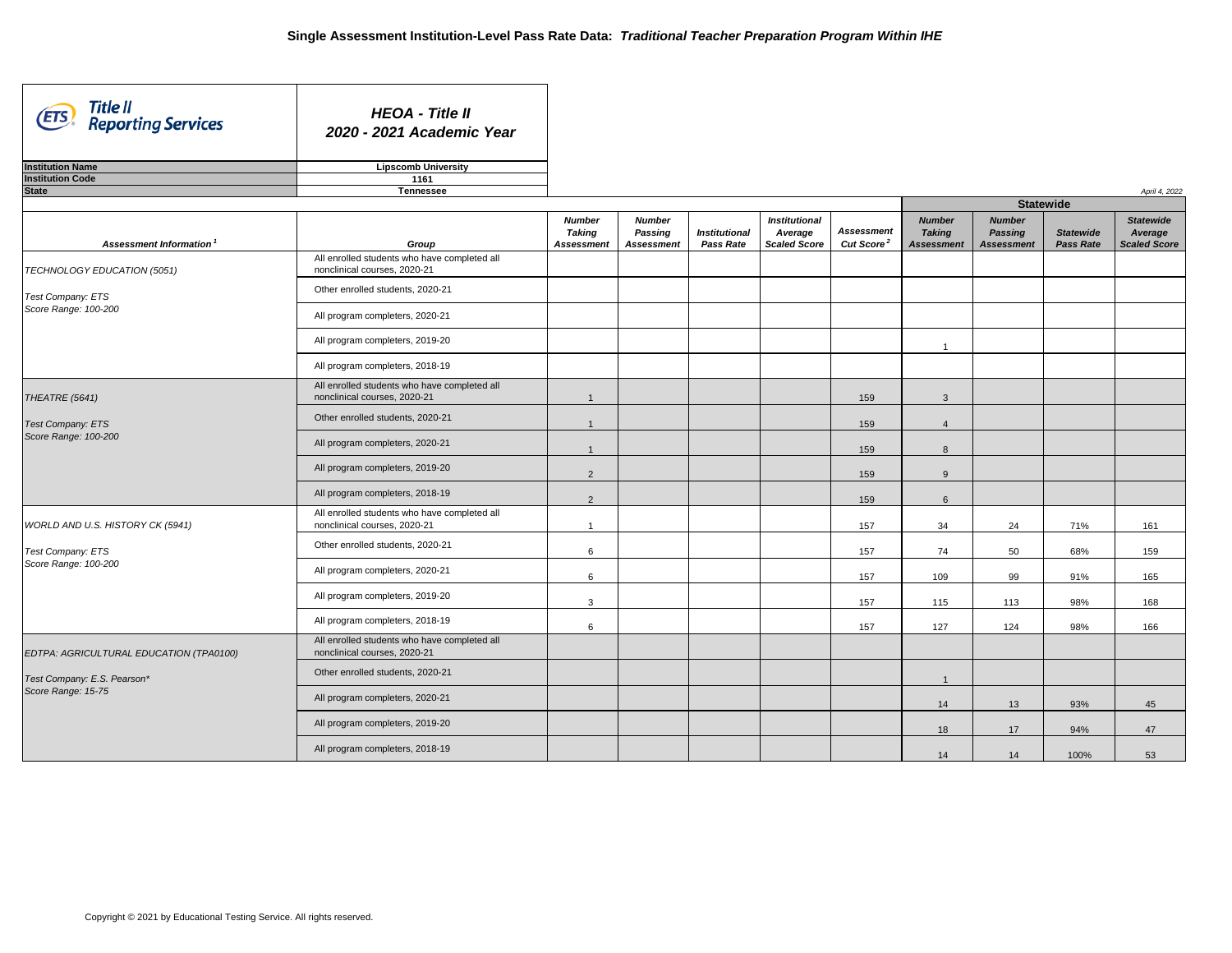| Title II<br>(ETS)<br><b>Reporting Services</b>    | <b>HEOA - Title II</b><br>2020 - 2021 Academic Year                             |                                                     |                                                      |                                          |                                                        |                                             |                                                     |                                                      |                                      |                                             |
|---------------------------------------------------|---------------------------------------------------------------------------------|-----------------------------------------------------|------------------------------------------------------|------------------------------------------|--------------------------------------------------------|---------------------------------------------|-----------------------------------------------------|------------------------------------------------------|--------------------------------------|---------------------------------------------|
| <b>Institution Name</b>                           | <b>Lipscomb University</b>                                                      |                                                     |                                                      |                                          |                                                        |                                             |                                                     |                                                      |                                      |                                             |
| <b>Institution Code</b>                           | 1161                                                                            |                                                     |                                                      |                                          |                                                        |                                             |                                                     |                                                      |                                      |                                             |
| <b>State</b>                                      | <b>Tennessee</b>                                                                |                                                     |                                                      |                                          |                                                        |                                             |                                                     | <b>Statewide</b>                                     |                                      | April 4, 2022                               |
|                                                   |                                                                                 |                                                     |                                                      |                                          |                                                        |                                             |                                                     |                                                      |                                      |                                             |
| Assessment Information                            | Group                                                                           | <b>Number</b><br><b>Taking</b><br><b>Assessment</b> | <b>Number</b><br><b>Passing</b><br><b>Assessment</b> | <b>Institutional</b><br><b>Pass Rate</b> | <b>Institutional</b><br>Average<br><b>Scaled Score</b> | <b>Assessment</b><br>Cut Score <sup>2</sup> | <b>Number</b><br><b>Taking</b><br><b>Assessment</b> | <b>Number</b><br><b>Passing</b><br><b>Assessment</b> | <b>Statewide</b><br><b>Pass Rate</b> | <b>Statewide</b><br>Average<br>Scaled Score |
| TECHNOLOGY EDUCATION (5051)                       | All enrolled students who have completed all<br>nonclinical courses, 2020-21    |                                                     |                                                      |                                          |                                                        |                                             |                                                     |                                                      |                                      |                                             |
| Test Company: ETS                                 | Other enrolled students, 2020-21                                                |                                                     |                                                      |                                          |                                                        |                                             |                                                     |                                                      |                                      |                                             |
| Score Range: 100-200                              | All program completers, 2020-21                                                 |                                                     |                                                      |                                          |                                                        |                                             |                                                     |                                                      |                                      |                                             |
|                                                   | All program completers, 2019-20                                                 |                                                     |                                                      |                                          |                                                        |                                             |                                                     |                                                      |                                      |                                             |
|                                                   | All program completers, 2018-19                                                 |                                                     |                                                      |                                          |                                                        |                                             |                                                     |                                                      |                                      |                                             |
| THEATRE (5641)                                    | All enrolled students who have completed all<br>nonclinical courses, 2020-21    |                                                     |                                                      |                                          |                                                        | 159                                         | $\mathbf{3}$                                        |                                                      |                                      |                                             |
| <b>Test Company: ETS</b><br>Score Range: 100-200  | Other enrolled students, 2020-21                                                |                                                     |                                                      |                                          |                                                        | 159                                         | $\overline{4}$                                      |                                                      |                                      |                                             |
|                                                   | All program completers, 2020-21                                                 |                                                     |                                                      |                                          |                                                        | 159                                         | 8                                                   |                                                      |                                      |                                             |
|                                                   | All program completers, 2019-20                                                 | $\overline{2}$                                      |                                                      |                                          |                                                        | 159                                         | 9                                                   |                                                      |                                      |                                             |
|                                                   | All program completers, 2018-19<br>All enrolled students who have completed all | $\overline{2}$                                      |                                                      |                                          |                                                        | 159                                         | 6                                                   |                                                      |                                      |                                             |
| WORLD AND U.S. HISTORY CK (5941)                  | nonclinical courses, 2020-21                                                    |                                                     |                                                      |                                          |                                                        | 157                                         | 34                                                  | 24                                                   | 71%                                  | 161                                         |
| <b>Test Company: ETS</b><br>Score Range: 100-200  | Other enrolled students, 2020-21                                                | $6\phantom{.}6$                                     |                                                      |                                          |                                                        | 157                                         | 74                                                  | 50                                                   | 68%                                  | 159                                         |
|                                                   | All program completers, 2020-21                                                 | $6\phantom{.}6$                                     |                                                      |                                          |                                                        | 157                                         | 109                                                 | 99                                                   | 91%                                  | 165                                         |
|                                                   | All program completers, 2019-20                                                 | $\mathbf{3}$                                        |                                                      |                                          |                                                        | 157                                         | 115                                                 | 113                                                  | 98%                                  | 168                                         |
|                                                   | All program completers, 2018-19<br>All enrolled students who have completed all | $6\phantom{.}6$                                     |                                                      |                                          |                                                        | 157                                         | 127                                                 | 124                                                  | 98%                                  | 166                                         |
| EDTPA: AGRICULTURAL EDUCATION (TPA0100)           | nonclinical courses, 2020-21<br>Other enrolled students, 2020-21                |                                                     |                                                      |                                          |                                                        |                                             |                                                     |                                                      |                                      |                                             |
| Test Company: E.S. Pearson*<br>Score Range: 15-75 | All program completers, 2020-21                                                 |                                                     |                                                      |                                          |                                                        |                                             |                                                     |                                                      |                                      |                                             |
|                                                   | All program completers, 2019-20                                                 |                                                     |                                                      |                                          |                                                        |                                             | 14                                                  | 13                                                   | 93%                                  | 45                                          |
|                                                   | All program completers, 2018-19                                                 |                                                     |                                                      |                                          |                                                        |                                             | 18                                                  | 17                                                   | 94%                                  | 47                                          |
|                                                   |                                                                                 |                                                     |                                                      |                                          |                                                        |                                             | 14                                                  | 14                                                   | 100%                                 | 53                                          |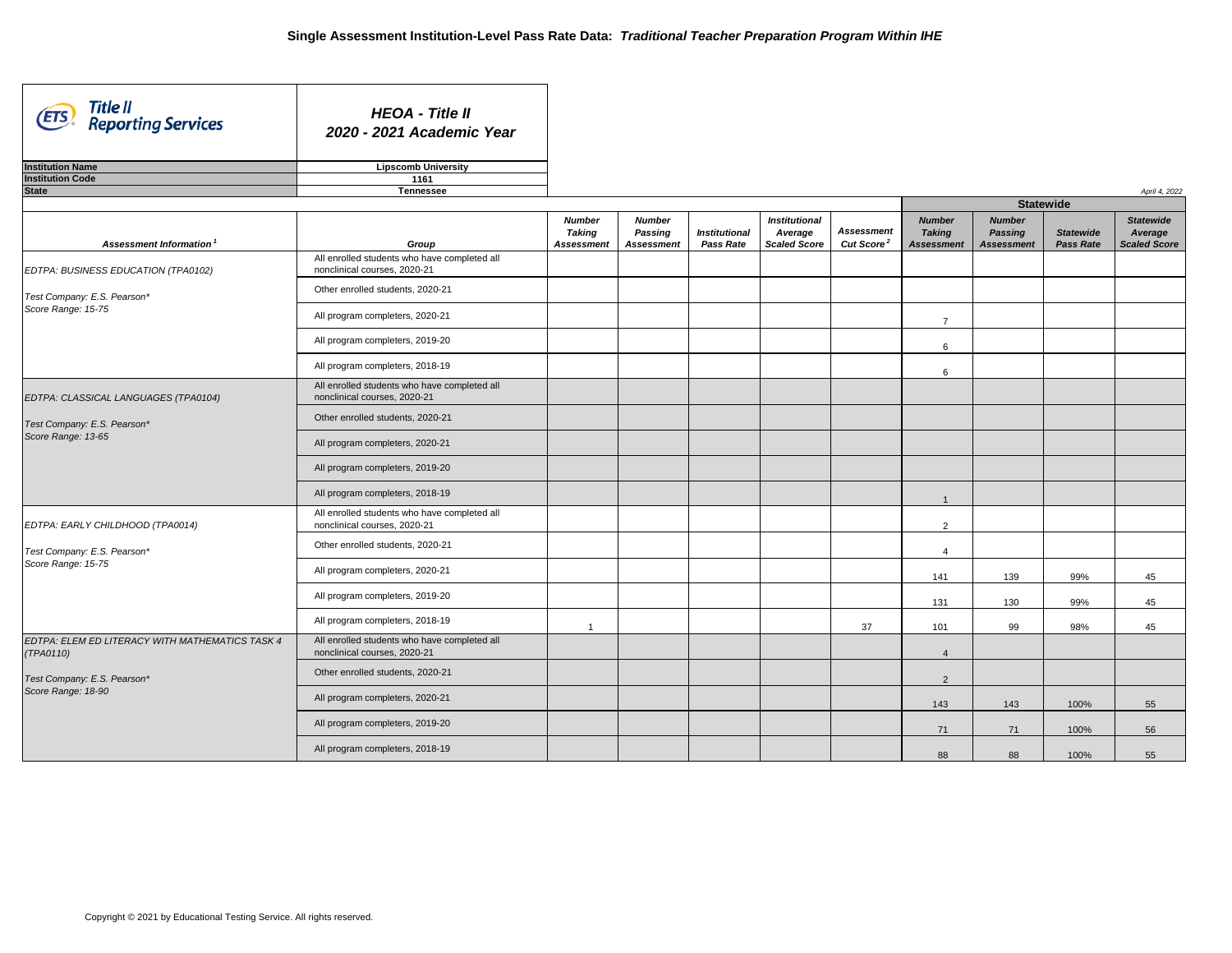| Title II<br>(ETS)<br><b>Reporting Services</b>               | <b>HEOA - Title II</b><br>2020 - 2021 Academic Year                          |                                                     |                                                      |                                          |                                                        |                                                   |                                                     |                                                      |                                      |                                             |
|--------------------------------------------------------------|------------------------------------------------------------------------------|-----------------------------------------------------|------------------------------------------------------|------------------------------------------|--------------------------------------------------------|---------------------------------------------------|-----------------------------------------------------|------------------------------------------------------|--------------------------------------|---------------------------------------------|
| <b>Institution Name</b>                                      | <b>Lipscomb University</b>                                                   |                                                     |                                                      |                                          |                                                        |                                                   |                                                     |                                                      |                                      |                                             |
| <b>Institution Code</b>                                      | 1161                                                                         |                                                     |                                                      |                                          |                                                        |                                                   |                                                     |                                                      |                                      |                                             |
| <b>State</b>                                                 | <b>Tennessee</b>                                                             |                                                     |                                                      |                                          |                                                        |                                                   |                                                     |                                                      |                                      | April 4, 2022                               |
|                                                              |                                                                              |                                                     |                                                      |                                          |                                                        |                                                   |                                                     | <b>Statewide</b>                                     |                                      |                                             |
| Assessment Information                                       | Group                                                                        | <b>Number</b><br><b>Taking</b><br><b>Assessment</b> | <b>Number</b><br><b>Passing</b><br><b>Assessment</b> | <b>Institutional</b><br><b>Pass Rate</b> | <b>Institutional</b><br>Average<br><b>Scaled Score</b> | <b>Assessment</b><br><b>Cut Score<sup>2</sup></b> | <b>Number</b><br><b>Taking</b><br><b>Assessment</b> | <b>Number</b><br><b>Passing</b><br><b>Assessment</b> | <b>Statewide</b><br><b>Pass Rate</b> | <b>Statewide</b><br>Average<br>Scaled Score |
| EDTPA: BUSINESS EDUCATION (TPA0102)                          | All enrolled students who have completed all<br>nonclinical courses, 2020-21 |                                                     |                                                      |                                          |                                                        |                                                   |                                                     |                                                      |                                      |                                             |
| Test Company: E.S. Pearson*                                  | Other enrolled students, 2020-21                                             |                                                     |                                                      |                                          |                                                        |                                                   |                                                     |                                                      |                                      |                                             |
| Score Range: 15-75                                           | All program completers, 2020-21                                              |                                                     |                                                      |                                          |                                                        |                                                   | $\overline{7}$                                      |                                                      |                                      |                                             |
|                                                              | All program completers, 2019-20                                              |                                                     |                                                      |                                          |                                                        |                                                   | 6                                                   |                                                      |                                      |                                             |
|                                                              | All program completers, 2018-19                                              |                                                     |                                                      |                                          |                                                        |                                                   | 6                                                   |                                                      |                                      |                                             |
| EDTPA: CLASSICAL LANGUAGES (TPA0104)                         | All enrolled students who have completed all<br>nonclinical courses, 2020-21 |                                                     |                                                      |                                          |                                                        |                                                   |                                                     |                                                      |                                      |                                             |
| Test Company: E.S. Pearson*                                  | Other enrolled students, 2020-21                                             |                                                     |                                                      |                                          |                                                        |                                                   |                                                     |                                                      |                                      |                                             |
| Score Range: 13-65                                           | All program completers, 2020-21                                              |                                                     |                                                      |                                          |                                                        |                                                   |                                                     |                                                      |                                      |                                             |
|                                                              | All program completers, 2019-20                                              |                                                     |                                                      |                                          |                                                        |                                                   |                                                     |                                                      |                                      |                                             |
|                                                              | All program completers, 2018-19                                              |                                                     |                                                      |                                          |                                                        |                                                   |                                                     |                                                      |                                      |                                             |
| EDTPA: EARLY CHILDHOOD (TPA0014)                             | All enrolled students who have completed all<br>nonclinical courses, 2020-21 |                                                     |                                                      |                                          |                                                        |                                                   | $\overline{2}$                                      |                                                      |                                      |                                             |
| Test Company: E.S. Pearson*                                  | Other enrolled students, 2020-21                                             |                                                     |                                                      |                                          |                                                        |                                                   | $\overline{4}$                                      |                                                      |                                      |                                             |
| Score Range: 15-75                                           | All program completers, 2020-21                                              |                                                     |                                                      |                                          |                                                        |                                                   | 141                                                 | 139                                                  | 99%                                  | 45                                          |
|                                                              | All program completers, 2019-20                                              |                                                     |                                                      |                                          |                                                        |                                                   | 131                                                 | 130                                                  | 99%                                  | 45                                          |
|                                                              | All program completers, 2018-19                                              |                                                     |                                                      |                                          |                                                        | 37                                                | 101                                                 | 99                                                   | 98%                                  | 45                                          |
| EDTPA: ELEM ED LITERACY WITH MATHEMATICS TASK 4<br>(TPA0110) | All enrolled students who have completed all<br>nonclinical courses, 2020-21 |                                                     |                                                      |                                          |                                                        |                                                   | $\overline{4}$                                      |                                                      |                                      |                                             |
| Test Company: E.S. Pearson*                                  | Other enrolled students, 2020-21                                             |                                                     |                                                      |                                          |                                                        |                                                   | $2^{\circ}$                                         |                                                      |                                      |                                             |
| Score Range: 18-90                                           | All program completers, 2020-21                                              |                                                     |                                                      |                                          |                                                        |                                                   | 143                                                 | 143                                                  | 100%                                 | 55                                          |
|                                                              | All program completers, 2019-20                                              |                                                     |                                                      |                                          |                                                        |                                                   | 71                                                  | 71                                                   | 100%                                 | 56                                          |
|                                                              | All program completers, 2018-19                                              |                                                     |                                                      |                                          |                                                        |                                                   | 88                                                  | 88                                                   | 100%                                 | 55                                          |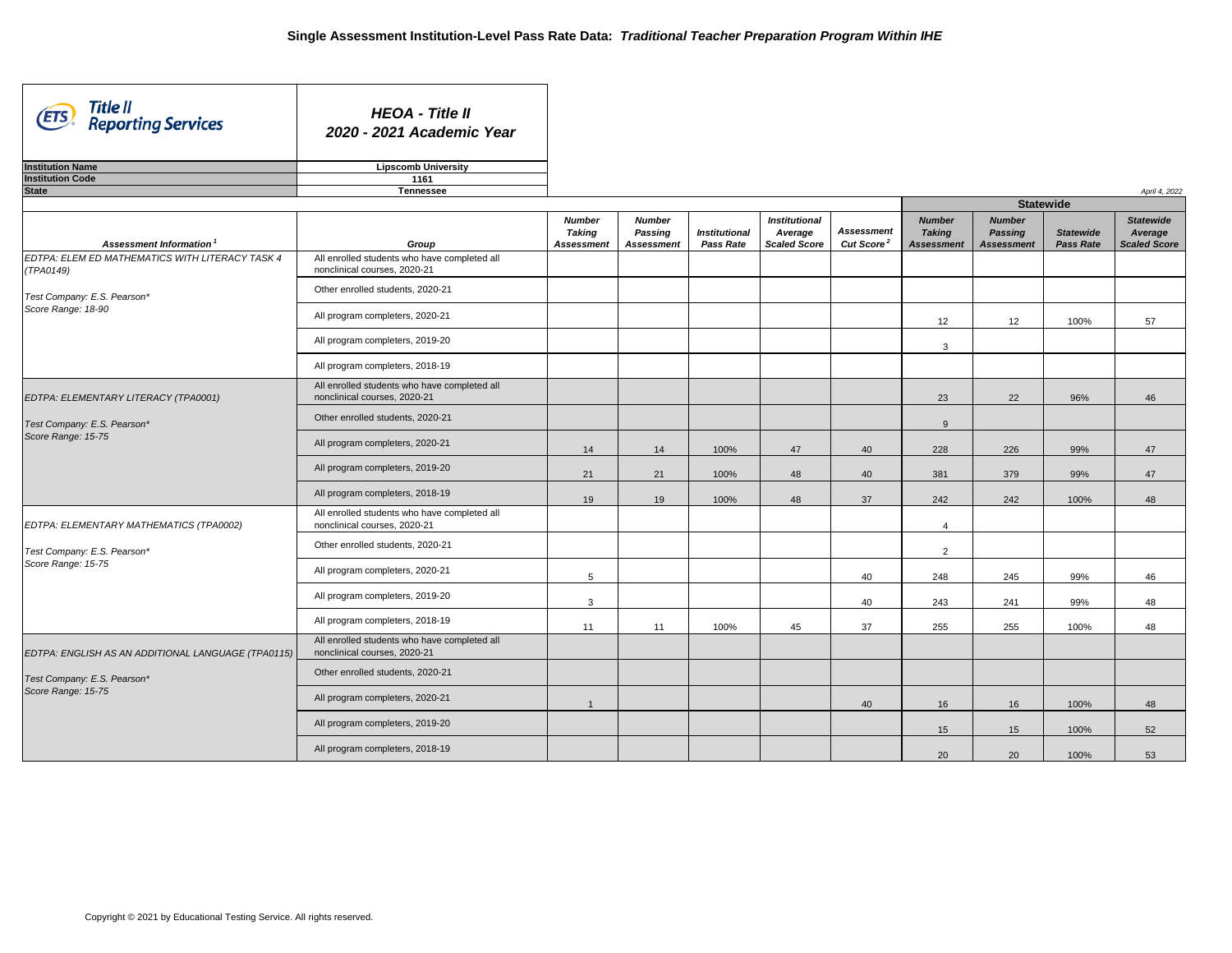| Title II<br>(ETS)<br><b>Reporting Services</b>               | <b>HEOA - Title II</b><br>2020 - 2021 Academic Year                             |                                                     |                                                      |                                          |                                                        |                                             |                                                     |                                                      |                                      |                                             |
|--------------------------------------------------------------|---------------------------------------------------------------------------------|-----------------------------------------------------|------------------------------------------------------|------------------------------------------|--------------------------------------------------------|---------------------------------------------|-----------------------------------------------------|------------------------------------------------------|--------------------------------------|---------------------------------------------|
| <b>Institution Name</b>                                      | <b>Lipscomb University</b>                                                      |                                                     |                                                      |                                          |                                                        |                                             |                                                     |                                                      |                                      |                                             |
| <b>Institution Code</b>                                      | 1161                                                                            |                                                     |                                                      |                                          |                                                        |                                             |                                                     |                                                      |                                      |                                             |
| <b>State</b>                                                 | <b>Tennessee</b>                                                                |                                                     |                                                      |                                          |                                                        |                                             |                                                     |                                                      |                                      | April 4, 2022                               |
|                                                              |                                                                                 |                                                     |                                                      |                                          |                                                        |                                             |                                                     | <b>Statewide</b>                                     |                                      |                                             |
| Assessment Information                                       | Group                                                                           | <b>Number</b><br><b>Taking</b><br><b>Assessment</b> | <b>Number</b><br><b>Passing</b><br><b>Assessment</b> | <b>Institutional</b><br><b>Pass Rate</b> | <b>Institutional</b><br>Average<br><b>Scaled Score</b> | <b>Assessment</b><br>Cut Score <sup>2</sup> | <b>Number</b><br><b>Taking</b><br><b>Assessment</b> | <b>Number</b><br><b>Passing</b><br><b>Assessment</b> | <b>Statewide</b><br><b>Pass Rate</b> | <b>Statewide</b><br>Average<br>Scaled Score |
| EDTPA: ELEM ED MATHEMATICS WITH LITERACY TASK 4<br>(TPA0149) | All enrolled students who have completed all<br>nonclinical courses, 2020-21    |                                                     |                                                      |                                          |                                                        |                                             |                                                     |                                                      |                                      |                                             |
| Test Company: E.S. Pearson*                                  | Other enrolled students, 2020-21                                                |                                                     |                                                      |                                          |                                                        |                                             |                                                     |                                                      |                                      |                                             |
| Score Range: 18-90                                           | All program completers, 2020-21                                                 |                                                     |                                                      |                                          |                                                        |                                             | 12                                                  | 12                                                   | 100%                                 | 57                                          |
|                                                              | All program completers, 2019-20                                                 |                                                     |                                                      |                                          |                                                        |                                             | 3                                                   |                                                      |                                      |                                             |
|                                                              | All program completers, 2018-19                                                 |                                                     |                                                      |                                          |                                                        |                                             |                                                     |                                                      |                                      |                                             |
| EDTPA: ELEMENTARY LITERACY (TPA0001)                         | All enrolled students who have completed all<br>nonclinical courses, 2020-21    |                                                     |                                                      |                                          |                                                        |                                             | 23                                                  | 22                                                   | 96%                                  | 46                                          |
| Test Company: E.S. Pearson*<br>Score Range: 15-75            | Other enrolled students, 2020-21                                                |                                                     |                                                      |                                          |                                                        |                                             | 9                                                   |                                                      |                                      |                                             |
|                                                              | All program completers, 2020-21                                                 | 14                                                  | 14                                                   | 100%                                     | 47                                                     | 40                                          | 228                                                 | 226                                                  | 99%                                  | 47                                          |
|                                                              | All program completers, 2019-20                                                 | 21                                                  | 21                                                   | 100%                                     | 48                                                     | 40                                          | 381                                                 | 379                                                  | 99%                                  | 47                                          |
|                                                              | All program completers, 2018-19                                                 | 19                                                  | 19                                                   | 100%                                     | 48                                                     | 37                                          | 242                                                 | 242                                                  | 100%                                 | 48                                          |
| EDTPA: ELEMENTARY MATHEMATICS (TPA0002)                      | All enrolled students who have completed all<br>nonclinical courses, 2020-21    |                                                     |                                                      |                                          |                                                        |                                             | $\overline{4}$                                      |                                                      |                                      |                                             |
| Test Company: E.S. Pearson*<br>Score Range: 15-75            | Other enrolled students, 2020-21                                                |                                                     |                                                      |                                          |                                                        |                                             | $\overline{2}$                                      |                                                      |                                      |                                             |
|                                                              | All program completers, 2020-21                                                 | $5\overline{)}$                                     |                                                      |                                          |                                                        | 40                                          | 248                                                 | 245                                                  | 99%                                  | 46                                          |
|                                                              | All program completers, 2019-20                                                 | $\mathbf{3}$                                        |                                                      |                                          |                                                        | 40                                          | 243                                                 | 241                                                  | 99%                                  | 48                                          |
|                                                              | All program completers, 2018-19<br>All enrolled students who have completed all | 11                                                  | 11                                                   | 100%                                     | 45                                                     | 37                                          | 255                                                 | 255                                                  | 100%                                 | 48                                          |
| EDTPA: ENGLISH AS AN ADDITIONAL LANGUAGE (TPA0115)           | nonclinical courses, 2020-21                                                    |                                                     |                                                      |                                          |                                                        |                                             |                                                     |                                                      |                                      |                                             |
| Test Company: E.S. Pearson*<br>Score Range: 15-75            | Other enrolled students, 2020-21                                                |                                                     |                                                      |                                          |                                                        |                                             |                                                     |                                                      |                                      |                                             |
|                                                              | All program completers, 2020-21                                                 |                                                     |                                                      |                                          |                                                        | 40                                          | 16                                                  | 16                                                   | 100%                                 | 48                                          |
|                                                              | All program completers, 2019-20                                                 |                                                     |                                                      |                                          |                                                        |                                             | 15                                                  | 15                                                   | 100%                                 | 52                                          |
|                                                              | All program completers, 2018-19                                                 |                                                     |                                                      |                                          |                                                        |                                             | 20                                                  | 20                                                   | 100%                                 | 53                                          |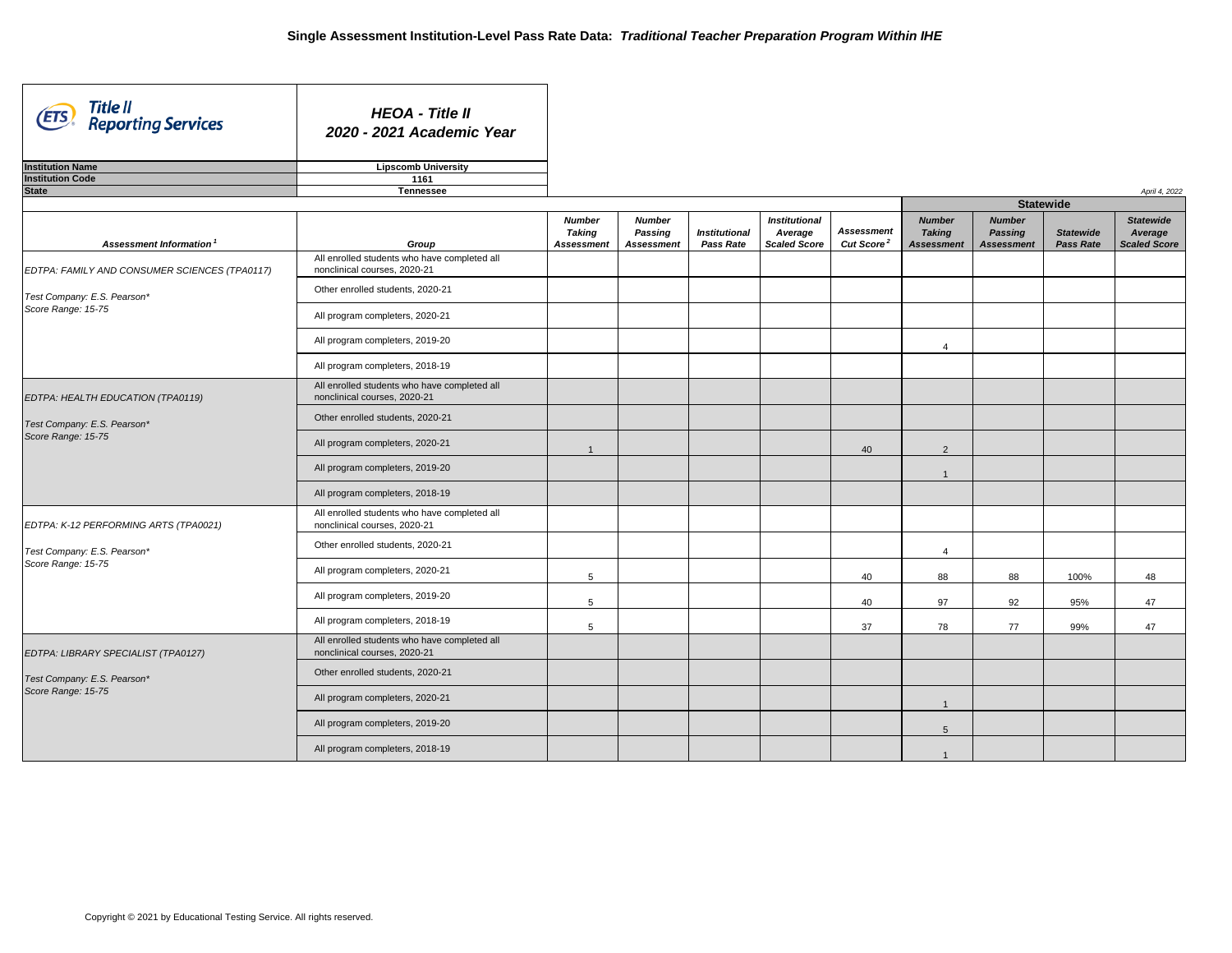| Title II<br>(ETS)<br><b>Reporting Services</b> | <b>HEOA - Title II</b><br>2020 - 2021 Academic Year                          |                                                     |                                                      |                                          |                                                        |                                             |                                                     |                                                      |                                      |                                                    |
|------------------------------------------------|------------------------------------------------------------------------------|-----------------------------------------------------|------------------------------------------------------|------------------------------------------|--------------------------------------------------------|---------------------------------------------|-----------------------------------------------------|------------------------------------------------------|--------------------------------------|----------------------------------------------------|
| <b>Institution Name</b>                        | <b>Lipscomb University</b>                                                   |                                                     |                                                      |                                          |                                                        |                                             |                                                     |                                                      |                                      |                                                    |
| <b>Institution Code</b>                        | 1161                                                                         |                                                     |                                                      |                                          |                                                        |                                             |                                                     |                                                      |                                      |                                                    |
| <b>State</b>                                   | <b>Tennessee</b>                                                             |                                                     |                                                      |                                          |                                                        |                                             |                                                     |                                                      |                                      | April 4, 2022                                      |
|                                                |                                                                              |                                                     |                                                      |                                          |                                                        |                                             |                                                     | <b>Statewide</b>                                     |                                      |                                                    |
| Assessment Information <sup>1</sup>            | Group                                                                        | <b>Number</b><br><b>Taking</b><br><b>Assessment</b> | <b>Number</b><br><b>Passing</b><br><b>Assessment</b> | <b>Institutional</b><br><b>Pass Rate</b> | <b>Institutional</b><br>Average<br><b>Scaled Score</b> | <b>Assessment</b><br>Cut Score <sup>2</sup> | <b>Number</b><br><b>Taking</b><br><b>Assessment</b> | <b>Number</b><br><b>Passing</b><br><b>Assessment</b> | <b>Statewide</b><br><b>Pass Rate</b> | <b>Statewide</b><br>Average<br><b>Scaled Score</b> |
| EDTPA: FAMILY AND CONSUMER SCIENCES (TPA0117)  | All enrolled students who have completed all<br>nonclinical courses, 2020-21 |                                                     |                                                      |                                          |                                                        |                                             |                                                     |                                                      |                                      |                                                    |
| Test Company: E.S. Pearson*                    | Other enrolled students, 2020-21                                             |                                                     |                                                      |                                          |                                                        |                                             |                                                     |                                                      |                                      |                                                    |
| Score Range: 15-75                             | All program completers, 2020-21                                              |                                                     |                                                      |                                          |                                                        |                                             |                                                     |                                                      |                                      |                                                    |
|                                                | All program completers, 2019-20                                              |                                                     |                                                      |                                          |                                                        |                                             | $\overline{4}$                                      |                                                      |                                      |                                                    |
|                                                | All program completers, 2018-19                                              |                                                     |                                                      |                                          |                                                        |                                             |                                                     |                                                      |                                      |                                                    |
| EDTPA: HEALTH EDUCATION (TPA0119)              | All enrolled students who have completed all<br>nonclinical courses, 2020-21 |                                                     |                                                      |                                          |                                                        |                                             |                                                     |                                                      |                                      |                                                    |
| Test Company: E.S. Pearson*                    | Other enrolled students, 2020-21                                             |                                                     |                                                      |                                          |                                                        |                                             |                                                     |                                                      |                                      |                                                    |
| Score Range: 15-75                             | All program completers, 2020-21                                              |                                                     |                                                      |                                          |                                                        | 40                                          | $\overline{2}$                                      |                                                      |                                      |                                                    |
|                                                | All program completers, 2019-20                                              |                                                     |                                                      |                                          |                                                        |                                             |                                                     |                                                      |                                      |                                                    |
|                                                | All program completers, 2018-19                                              |                                                     |                                                      |                                          |                                                        |                                             |                                                     |                                                      |                                      |                                                    |
| EDTPA: K-12 PERFORMING ARTS (TPA0021)          | All enrolled students who have completed all<br>nonclinical courses, 2020-21 |                                                     |                                                      |                                          |                                                        |                                             |                                                     |                                                      |                                      |                                                    |
| Test Company: E.S. Pearson*                    | Other enrolled students, 2020-21                                             |                                                     |                                                      |                                          |                                                        |                                             | 4                                                   |                                                      |                                      |                                                    |
| Score Range: 15-75                             | All program completers, 2020-21                                              | $5\overline{)}$                                     |                                                      |                                          |                                                        | 40                                          | 88                                                  | 88                                                   | 100%                                 | 48                                                 |
|                                                | All program completers, 2019-20                                              | $\overline{5}$                                      |                                                      |                                          |                                                        | 40                                          | 97                                                  | 92                                                   | 95%                                  | 47                                                 |
|                                                | All program completers, 2018-19                                              | $5\phantom{.0}$                                     |                                                      |                                          |                                                        | 37                                          | 78                                                  | 77                                                   | 99%                                  | 47                                                 |
| EDTPA: LIBRARY SPECIALIST (TPA0127)            | All enrolled students who have completed all<br>nonclinical courses, 2020-21 |                                                     |                                                      |                                          |                                                        |                                             |                                                     |                                                      |                                      |                                                    |
| Test Company: E.S. Pearson*                    | Other enrolled students, 2020-21                                             |                                                     |                                                      |                                          |                                                        |                                             |                                                     |                                                      |                                      |                                                    |
| Score Range: 15-75                             | All program completers, 2020-21                                              |                                                     |                                                      |                                          |                                                        |                                             |                                                     |                                                      |                                      |                                                    |
|                                                | All program completers, 2019-20                                              |                                                     |                                                      |                                          |                                                        |                                             | $5\overline{)}$                                     |                                                      |                                      |                                                    |
|                                                | All program completers, 2018-19                                              |                                                     |                                                      |                                          |                                                        |                                             |                                                     |                                                      |                                      |                                                    |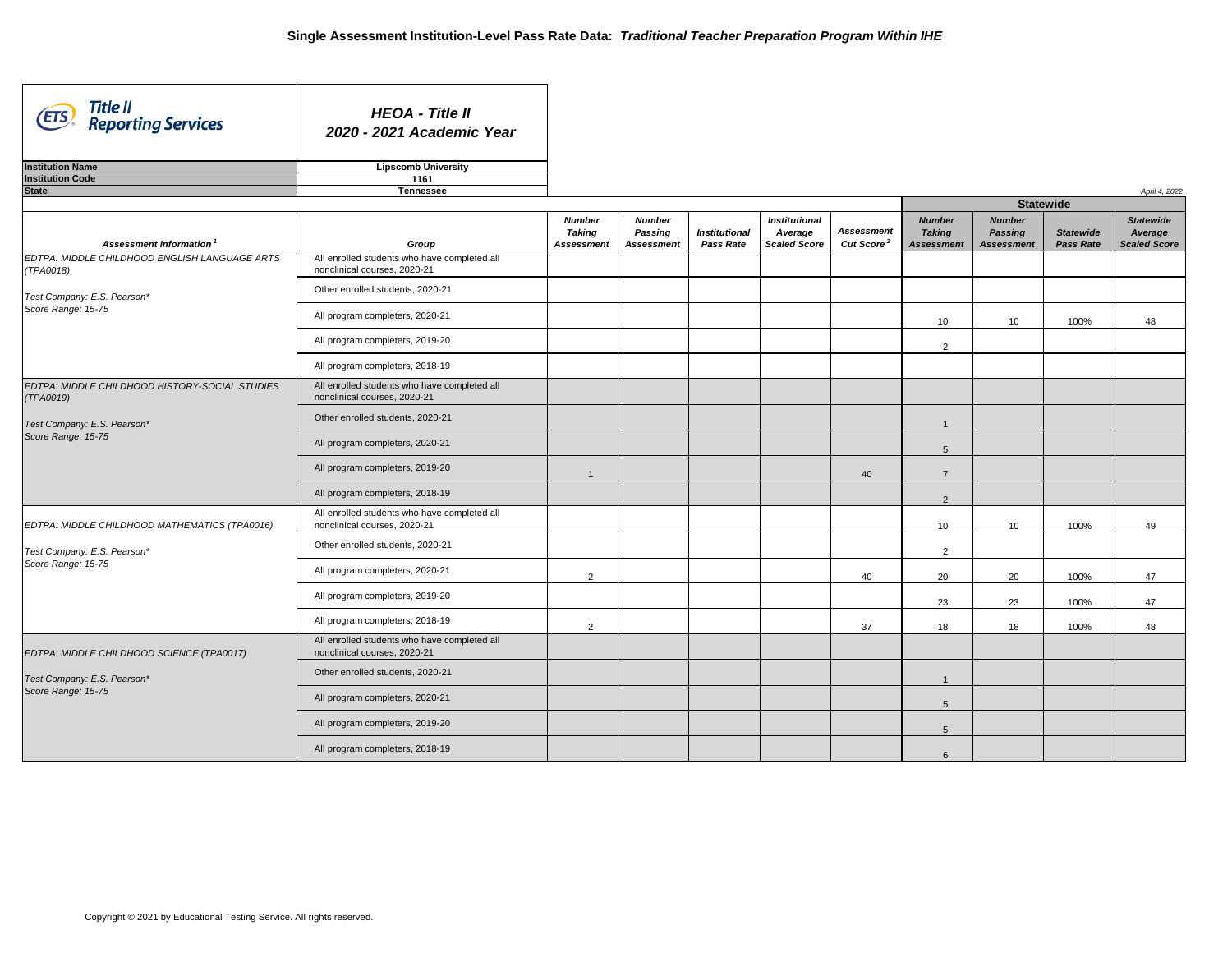| Title II<br>(ETS)<br><b>Reporting Services</b>              | <b>HEOA - Title II</b><br>2020 - 2021 Academic Year                          |                                                     |                                                      |                                          |                                                        |                                             |                                                     |                                                      |                                      |                                             |
|-------------------------------------------------------------|------------------------------------------------------------------------------|-----------------------------------------------------|------------------------------------------------------|------------------------------------------|--------------------------------------------------------|---------------------------------------------|-----------------------------------------------------|------------------------------------------------------|--------------------------------------|---------------------------------------------|
| <b>Institution Name</b>                                     | <b>Lipscomb University</b>                                                   |                                                     |                                                      |                                          |                                                        |                                             |                                                     |                                                      |                                      |                                             |
| <b>Institution Code</b>                                     | 1161                                                                         |                                                     |                                                      |                                          |                                                        |                                             |                                                     |                                                      |                                      |                                             |
| <b>State</b>                                                | <b>Tennessee</b>                                                             |                                                     |                                                      |                                          |                                                        |                                             |                                                     | <b>Statewide</b>                                     |                                      | April 4, 2022                               |
|                                                             |                                                                              |                                                     |                                                      |                                          |                                                        |                                             |                                                     |                                                      |                                      |                                             |
| <b>Assessment Information</b>                               | Group                                                                        | <b>Number</b><br><b>Taking</b><br><b>Assessment</b> | <b>Number</b><br><b>Passing</b><br><b>Assessment</b> | <b>Institutional</b><br><b>Pass Rate</b> | <b>Institutional</b><br>Average<br><b>Scaled Score</b> | <b>Assessment</b><br>Cut Score <sup>2</sup> | <b>Number</b><br><b>Taking</b><br><b>Assessment</b> | <b>Number</b><br><b>Passing</b><br><b>Assessment</b> | <b>Statewide</b><br><b>Pass Rate</b> | <b>Statewide</b><br>Average<br>Scaled Score |
| EDTPA: MIDDLE CHILDHOOD ENGLISH LANGUAGE ARTS<br>(TPA0018)  | All enrolled students who have completed all<br>nonclinical courses, 2020-21 |                                                     |                                                      |                                          |                                                        |                                             |                                                     |                                                      |                                      |                                             |
| Test Company: E.S. Pearson*                                 | Other enrolled students, 2020-21                                             |                                                     |                                                      |                                          |                                                        |                                             |                                                     |                                                      |                                      |                                             |
| Score Range: 15-75                                          | All program completers, 2020-21                                              |                                                     |                                                      |                                          |                                                        |                                             | 10 <sup>°</sup>                                     | 10 <sup>°</sup>                                      | 100%                                 | 48                                          |
|                                                             | All program completers, 2019-20                                              |                                                     |                                                      |                                          |                                                        |                                             | $\overline{2}$                                      |                                                      |                                      |                                             |
|                                                             | All program completers, 2018-19                                              |                                                     |                                                      |                                          |                                                        |                                             |                                                     |                                                      |                                      |                                             |
| EDTPA: MIDDLE CHILDHOOD HISTORY-SOCIAL STUDIES<br>(TPA0019) | All enrolled students who have completed all<br>nonclinical courses, 2020-21 |                                                     |                                                      |                                          |                                                        |                                             |                                                     |                                                      |                                      |                                             |
| Test Company: E.S. Pearson*                                 | Other enrolled students, 2020-21                                             |                                                     |                                                      |                                          |                                                        |                                             |                                                     |                                                      |                                      |                                             |
| Score Range: 15-75                                          | All program completers, 2020-21                                              |                                                     |                                                      |                                          |                                                        |                                             | 5                                                   |                                                      |                                      |                                             |
|                                                             | All program completers, 2019-20                                              |                                                     |                                                      |                                          |                                                        | 40                                          | $\overline{7}$                                      |                                                      |                                      |                                             |
|                                                             | All program completers, 2018-19                                              |                                                     |                                                      |                                          |                                                        |                                             | $\overline{2}$                                      |                                                      |                                      |                                             |
| EDTPA: MIDDLE CHILDHOOD MATHEMATICS (TPA0016)               | All enrolled students who have completed all<br>nonclinical courses, 2020-21 |                                                     |                                                      |                                          |                                                        |                                             | 10 <sub>1</sub>                                     | 10 <sup>°</sup>                                      | 100%                                 | 49                                          |
| Test Company: E.S. Pearson*                                 | Other enrolled students, 2020-21                                             |                                                     |                                                      |                                          |                                                        |                                             | $\overline{2}$                                      |                                                      |                                      |                                             |
| Score Range: 15-75                                          | All program completers, 2020-21                                              | $\overline{2}$                                      |                                                      |                                          |                                                        | 40                                          | 20                                                  | 20                                                   | 100%                                 | 47                                          |
|                                                             | All program completers, 2019-20                                              |                                                     |                                                      |                                          |                                                        |                                             | 23                                                  | 23                                                   | 100%                                 | 47                                          |
|                                                             | All program completers, 2018-19                                              | $\overline{2}$                                      |                                                      |                                          |                                                        | 37                                          | 18                                                  | 18                                                   | 100%                                 | 48                                          |
| EDTPA: MIDDLE CHILDHOOD SCIENCE (TPA0017)                   | All enrolled students who have completed all<br>nonclinical courses, 2020-21 |                                                     |                                                      |                                          |                                                        |                                             |                                                     |                                                      |                                      |                                             |
| Test Company: E.S. Pearson*                                 | Other enrolled students, 2020-21                                             |                                                     |                                                      |                                          |                                                        |                                             |                                                     |                                                      |                                      |                                             |
| Score Range: 15-75                                          | All program completers, 2020-21                                              |                                                     |                                                      |                                          |                                                        |                                             | $5\overline{)}$                                     |                                                      |                                      |                                             |
|                                                             | All program completers, 2019-20                                              |                                                     |                                                      |                                          |                                                        |                                             | $5\overline{)}$                                     |                                                      |                                      |                                             |
|                                                             | All program completers, 2018-19                                              |                                                     |                                                      |                                          |                                                        |                                             | $6\phantom{1}$                                      |                                                      |                                      |                                             |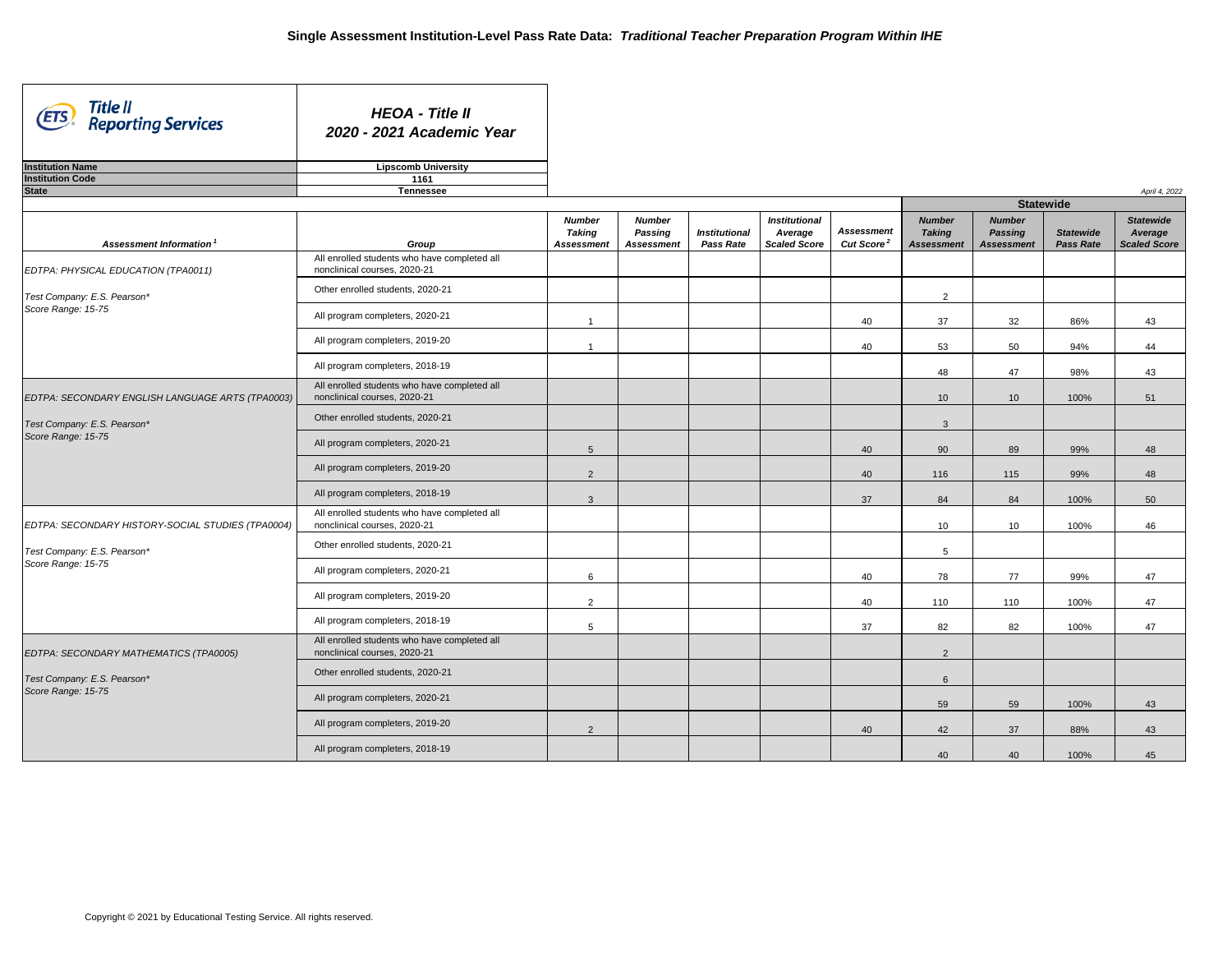| Title II<br>(ETS)<br><b>Reporting Services</b>    | <b>HEOA - Title II</b><br>2020 - 2021 Academic Year                          |                   |                   |                      |                      |                              |                   |                   |                  |                     |
|---------------------------------------------------|------------------------------------------------------------------------------|-------------------|-------------------|----------------------|----------------------|------------------------------|-------------------|-------------------|------------------|---------------------|
| <b>Institution Name</b>                           | <b>Lipscomb University</b>                                                   |                   |                   |                      |                      |                              |                   |                   |                  |                     |
| <b>Institution Code</b>                           | 1161                                                                         |                   |                   |                      |                      |                              |                   |                   |                  |                     |
| <b>State</b>                                      | <b>Tennessee</b>                                                             |                   |                   |                      |                      |                              |                   | <b>Statewide</b>  |                  | April 4, 2022       |
|                                                   |                                                                              | <b>Number</b>     | <b>Number</b>     |                      | <b>Institutional</b> |                              | <b>Number</b>     | <b>Number</b>     |                  | <b>Statewide</b>    |
|                                                   |                                                                              | <b>Taking</b>     | <b>Passing</b>    | <b>Institutional</b> | Average              | <b>Assessment</b>            | <b>Taking</b>     | <b>Passing</b>    | <b>Statewide</b> | Average             |
| Assessment Information <sup>1</sup>               | Group                                                                        | <b>Assessment</b> | <b>Assessment</b> | <b>Pass Rate</b>     | <b>Scaled Score</b>  | <b>Cut Score<sup>2</sup></b> | <b>Assessment</b> | <b>Assessment</b> | <b>Pass Rate</b> | <b>Scaled Score</b> |
| EDTPA: PHYSICAL EDUCATION (TPA0011)               | All enrolled students who have completed all<br>nonclinical courses, 2020-21 |                   |                   |                      |                      |                              |                   |                   |                  |                     |
| Test Company: E.S. Pearson*                       | Other enrolled students, 2020-21                                             |                   |                   |                      |                      |                              | $\overline{2}$    |                   |                  |                     |
| Score Range: 15-75                                | All program completers, 2020-21                                              |                   |                   |                      |                      | 40                           | 37                | 32                | 86%              | 43                  |
|                                                   | All program completers, 2019-20                                              |                   |                   |                      |                      | 40                           | 53                | 50                | 94%              | 44                  |
|                                                   | All program completers, 2018-19                                              |                   |                   |                      |                      |                              | 48                | 47                | 98%              | 43                  |
| EDTPA: SECONDARY ENGLISH LANGUAGE ARTS (TPA0003)  | All enrolled students who have completed all<br>nonclinical courses, 2020-21 |                   |                   |                      |                      |                              | 10 <sup>°</sup>   | 10 <sup>°</sup>   | 100%             | 51                  |
| Test Company: E.S. Pearson*                       | Other enrolled students, 2020-21                                             |                   |                   |                      |                      |                              | $\mathbf{3}$      |                   |                  |                     |
| Score Range: 15-75                                | All program completers, 2020-21                                              | 5                 |                   |                      |                      | 40                           | 90                | 89                | 99%              | 48                  |
|                                                   | All program completers, 2019-20                                              | $\overline{2}$    |                   |                      |                      | 40                           | 116               | 115               | 99%              | 48                  |
|                                                   | All program completers, 2018-19                                              | $\mathbf{3}$      |                   |                      |                      | 37                           | 84                | 84                | 100%             | 50                  |
| EDTPA: SECONDARY HISTORY-SOCIAL STUDIES (TPA0004) | All enrolled students who have completed all<br>nonclinical courses, 2020-21 |                   |                   |                      |                      |                              | 10 <sup>°</sup>   | 10                | 100%             | 46                  |
| Test Company: E.S. Pearson*                       | Other enrolled students, 2020-21                                             |                   |                   |                      |                      |                              | $5\phantom{.0}$   |                   |                  |                     |
| Score Range: 15-75                                | All program completers, 2020-21                                              | $6\overline{6}$   |                   |                      |                      | 40                           | 78                | 77                | 99%              | 47                  |
|                                                   | All program completers, 2019-20                                              | $\overline{2}$    |                   |                      |                      | 40                           | 110               | 110               | 100%             | 47                  |
|                                                   | All program completers, 2018-19                                              | $5\phantom{.0}$   |                   |                      |                      | 37                           | 82                | 82                | 100%             | 47                  |
| EDTPA: SECONDARY MATHEMATICS (TPA0005)            | All enrolled students who have completed all<br>nonclinical courses, 2020-21 |                   |                   |                      |                      |                              | $2^{\circ}$       |                   |                  |                     |
| Test Company: E.S. Pearson*                       | Other enrolled students, 2020-21                                             |                   |                   |                      |                      |                              | $6\overline{6}$   |                   |                  |                     |
| Score Range: 15-75                                | All program completers, 2020-21                                              |                   |                   |                      |                      |                              | 59                | 59                | 100%             | 43                  |
|                                                   | All program completers, 2019-20                                              | $\overline{2}$    |                   |                      |                      | 40                           | 42                | 37                | 88%              | 43                  |
|                                                   | All program completers, 2018-19                                              |                   |                   |                      |                      |                              | 40                | 40                | 100%             | 45                  |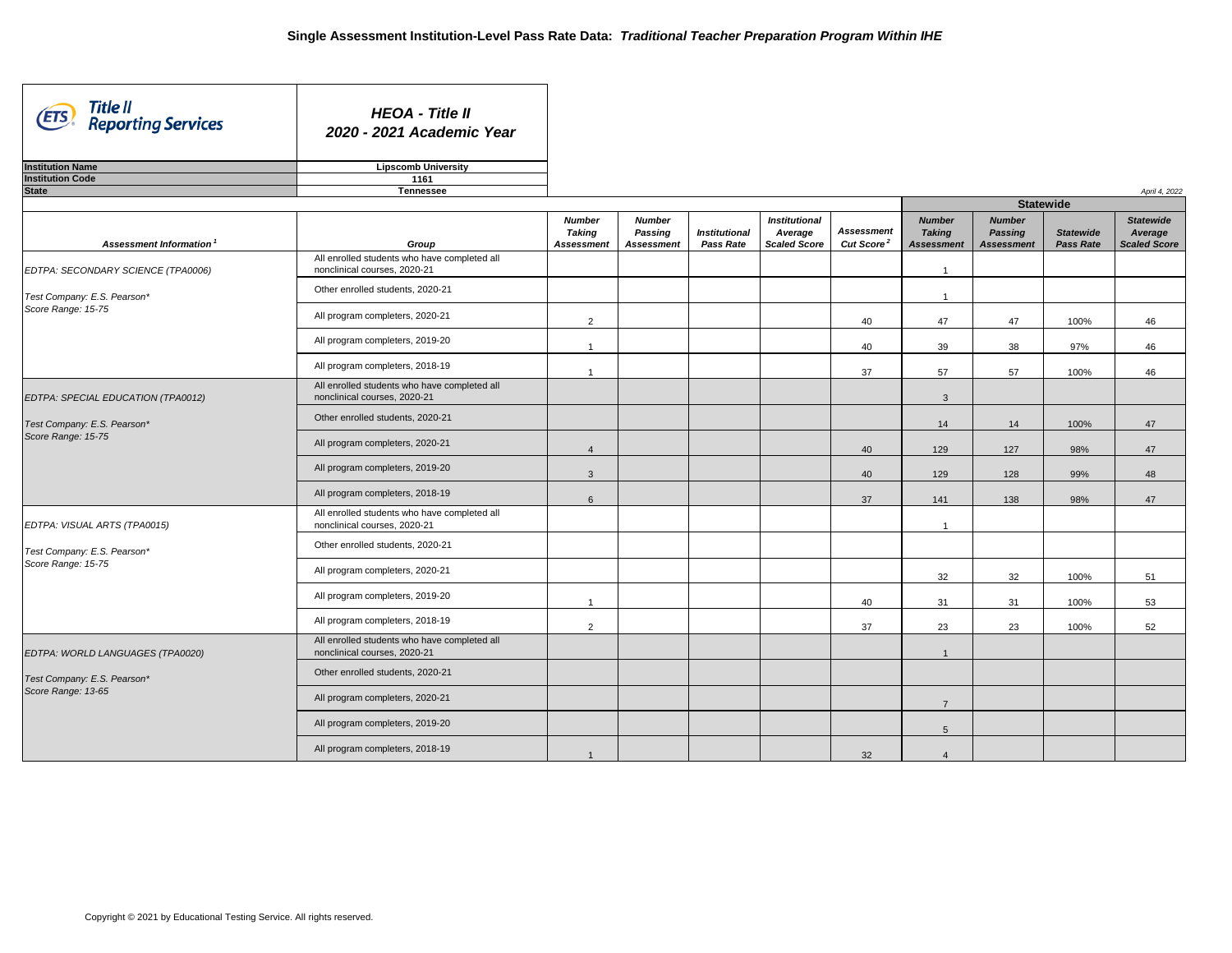| Title II<br>(ETS)<br><b>Reporting Services</b> | <b>HEOA - Title II</b><br>2020 - 2021 Academic Year                          |                                                     |                                                      |                                          |                                                        |                                                   |                                                     |                                                      |                                      |                                                    |
|------------------------------------------------|------------------------------------------------------------------------------|-----------------------------------------------------|------------------------------------------------------|------------------------------------------|--------------------------------------------------------|---------------------------------------------------|-----------------------------------------------------|------------------------------------------------------|--------------------------------------|----------------------------------------------------|
| <b>Institution Name</b>                        | <b>Lipscomb University</b>                                                   |                                                     |                                                      |                                          |                                                        |                                                   |                                                     |                                                      |                                      |                                                    |
| <b>Institution Code</b>                        | 1161                                                                         |                                                     |                                                      |                                          |                                                        |                                                   |                                                     |                                                      |                                      |                                                    |
| <b>State</b>                                   | <b>Tennessee</b>                                                             |                                                     |                                                      |                                          |                                                        |                                                   |                                                     | <b>Statewide</b>                                     |                                      | April 4, 2022                                      |
|                                                |                                                                              |                                                     |                                                      |                                          |                                                        |                                                   |                                                     |                                                      |                                      |                                                    |
| Assessment Information <sup>1</sup>            | Group                                                                        | <b>Number</b><br><b>Taking</b><br><b>Assessment</b> | <b>Number</b><br><b>Passing</b><br><b>Assessment</b> | <b>Institutional</b><br><b>Pass Rate</b> | <b>Institutional</b><br>Average<br><b>Scaled Score</b> | <b>Assessment</b><br><b>Cut Score<sup>2</sup></b> | <b>Number</b><br><b>Taking</b><br><b>Assessment</b> | <b>Number</b><br><b>Passing</b><br><b>Assessment</b> | <b>Statewide</b><br><b>Pass Rate</b> | <b>Statewide</b><br>Average<br><b>Scaled Score</b> |
| EDTPA: SECONDARY SCIENCE (TPA0006)             | All enrolled students who have completed all<br>nonclinical courses, 2020-21 |                                                     |                                                      |                                          |                                                        |                                                   |                                                     |                                                      |                                      |                                                    |
| Test Company: E.S. Pearson*                    | Other enrolled students, 2020-21                                             |                                                     |                                                      |                                          |                                                        |                                                   | -1                                                  |                                                      |                                      |                                                    |
| Score Range: 15-75                             | All program completers, 2020-21                                              | 2                                                   |                                                      |                                          |                                                        | 40                                                | 47                                                  | 47                                                   | 100%                                 | 46                                                 |
|                                                | All program completers, 2019-20                                              |                                                     |                                                      |                                          |                                                        | 40                                                | 39                                                  | 38                                                   | 97%                                  | 46                                                 |
|                                                | All program completers, 2018-19                                              |                                                     |                                                      |                                          |                                                        | 37                                                | 57                                                  | 57                                                   | 100%                                 | 46                                                 |
| EDTPA: SPECIAL EDUCATION (TPA0012)             | All enrolled students who have completed all<br>nonclinical courses, 2020-21 |                                                     |                                                      |                                          |                                                        |                                                   | $\mathbf{3}$                                        |                                                      |                                      |                                                    |
| Test Company: E.S. Pearson*                    | Other enrolled students, 2020-21                                             |                                                     |                                                      |                                          |                                                        |                                                   | 14                                                  | 14                                                   | 100%                                 | 47                                                 |
| Score Range: 15-75                             | All program completers, 2020-21                                              |                                                     |                                                      |                                          |                                                        | 40                                                | 129                                                 | 127                                                  | 98%                                  | 47                                                 |
|                                                | All program completers, 2019-20                                              | $\mathbf{3}$                                        |                                                      |                                          |                                                        | 40                                                | 129                                                 | 128                                                  | 99%                                  | 48                                                 |
|                                                | All program completers, 2018-19                                              | 6                                                   |                                                      |                                          |                                                        | 37                                                | 141                                                 | 138                                                  | 98%                                  | 47                                                 |
| EDTPA: VISUAL ARTS (TPA0015)                   | All enrolled students who have completed all<br>nonclinical courses, 2020-21 |                                                     |                                                      |                                          |                                                        |                                                   | -1                                                  |                                                      |                                      |                                                    |
| Test Company: E.S. Pearson*                    | Other enrolled students, 2020-21                                             |                                                     |                                                      |                                          |                                                        |                                                   |                                                     |                                                      |                                      |                                                    |
| Score Range: 15-75                             | All program completers, 2020-21                                              |                                                     |                                                      |                                          |                                                        |                                                   | 32                                                  | 32                                                   | 100%                                 | 51                                                 |
|                                                | All program completers, 2019-20                                              |                                                     |                                                      |                                          |                                                        | 40                                                | 31                                                  | 31                                                   | 100%                                 | 53                                                 |
|                                                | All program completers, 2018-19                                              | 2                                                   |                                                      |                                          |                                                        | 37                                                | 23                                                  | 23                                                   | 100%                                 | 52                                                 |
| EDTPA: WORLD LANGUAGES (TPA0020)               | All enrolled students who have completed all<br>nonclinical courses, 2020-21 |                                                     |                                                      |                                          |                                                        |                                                   |                                                     |                                                      |                                      |                                                    |
| Test Company: E.S. Pearson*                    | Other enrolled students, 2020-21                                             |                                                     |                                                      |                                          |                                                        |                                                   |                                                     |                                                      |                                      |                                                    |
| Score Range: 13-65                             | All program completers, 2020-21                                              |                                                     |                                                      |                                          |                                                        |                                                   | $\overline{7}$                                      |                                                      |                                      |                                                    |
|                                                | All program completers, 2019-20                                              |                                                     |                                                      |                                          |                                                        |                                                   | 5                                                   |                                                      |                                      |                                                    |
|                                                | All program completers, 2018-19                                              |                                                     |                                                      |                                          |                                                        | 32                                                |                                                     |                                                      |                                      |                                                    |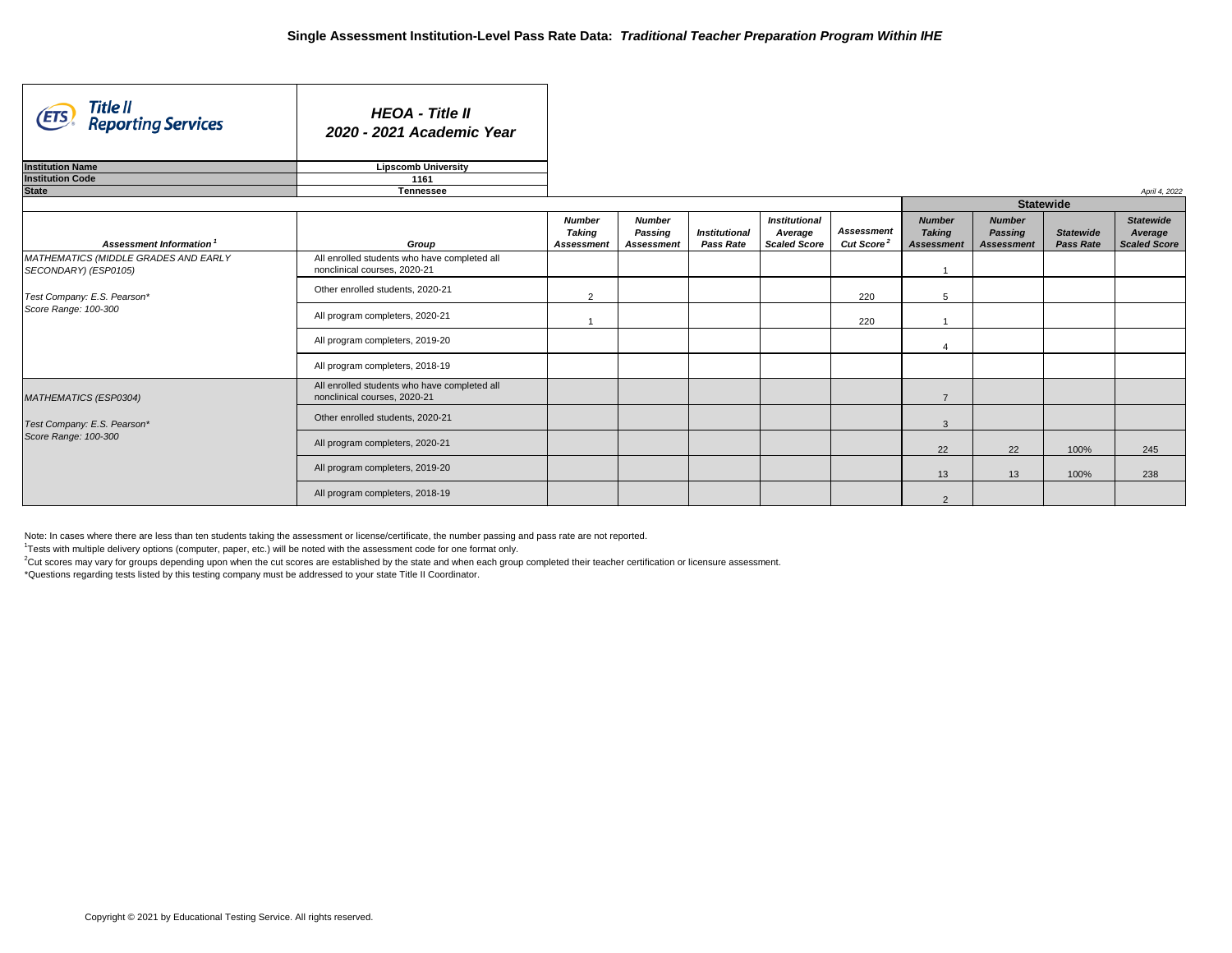$2$ Cut scores may vary for groups depending upon when the cut scores are established by the state and when each group completed their teacher certification or licensure assessment. \*Questions regarding tests listed by this testing company must be addressed to your state Title II Coordinator.

| Title II<br>Reporting Services<br>(ETS)                      | <b>HEOA - Title II</b><br>2020 - 2021 Academic Year                          |                                                     |                                                      |                                          |                                                        |                                             |                                                     |                                                      |                                      |                                                    |
|--------------------------------------------------------------|------------------------------------------------------------------------------|-----------------------------------------------------|------------------------------------------------------|------------------------------------------|--------------------------------------------------------|---------------------------------------------|-----------------------------------------------------|------------------------------------------------------|--------------------------------------|----------------------------------------------------|
| <b>Institution Name</b>                                      | <b>Lipscomb University</b>                                                   |                                                     |                                                      |                                          |                                                        |                                             |                                                     |                                                      |                                      |                                                    |
| <b>Institution Code</b>                                      | 1161                                                                         |                                                     |                                                      |                                          |                                                        |                                             |                                                     |                                                      |                                      |                                                    |
| <b>State</b>                                                 | <b>Tennessee</b>                                                             |                                                     |                                                      |                                          |                                                        |                                             |                                                     |                                                      |                                      | April 4, 2022                                      |
|                                                              |                                                                              |                                                     |                                                      |                                          |                                                        |                                             |                                                     | <b>Statewide</b>                                     |                                      |                                                    |
| Assessment Information <sup>1</sup>                          | Group                                                                        | <b>Number</b><br><b>Taking</b><br><b>Assessment</b> | <b>Number</b><br><b>Passing</b><br><b>Assessment</b> | <b>Institutional</b><br><b>Pass Rate</b> | <b>Institutional</b><br>Average<br><b>Scaled Score</b> | <b>Assessment</b><br>Cut Score <sup>2</sup> | <b>Number</b><br><b>Taking</b><br><b>Assessment</b> | <b>Number</b><br><b>Passing</b><br><b>Assessment</b> | <b>Statewide</b><br><b>Pass Rate</b> | <b>Statewide</b><br>Average<br><b>Scaled Score</b> |
| MATHEMATICS (MIDDLE GRADES AND EARLY<br>SECONDARY) (ESP0105) | All enrolled students who have completed all<br>nonclinical courses, 2020-21 |                                                     |                                                      |                                          |                                                        |                                             | -1                                                  |                                                      |                                      |                                                    |
| Test Company: E.S. Pearson*                                  | Other enrolled students, 2020-21                                             | $\overline{2}$                                      |                                                      |                                          |                                                        | 220                                         | 5                                                   |                                                      |                                      |                                                    |
| Score Range: 100-300                                         | All program completers, 2020-21                                              |                                                     |                                                      |                                          |                                                        | 220                                         |                                                     |                                                      |                                      |                                                    |
|                                                              | All program completers, 2019-20                                              |                                                     |                                                      |                                          |                                                        |                                             |                                                     |                                                      |                                      |                                                    |
|                                                              | All program completers, 2018-19                                              |                                                     |                                                      |                                          |                                                        |                                             |                                                     |                                                      |                                      |                                                    |
| MATHEMATICS (ESP0304)                                        | All enrolled students who have completed all<br>nonclinical courses, 2020-21 |                                                     |                                                      |                                          |                                                        |                                             | $\overline{7}$                                      |                                                      |                                      |                                                    |
| Test Company: E.S. Pearson*                                  | Other enrolled students, 2020-21                                             |                                                     |                                                      |                                          |                                                        |                                             | $\mathbf{3}$                                        |                                                      |                                      |                                                    |
| Score Range: 100-300                                         | All program completers, 2020-21                                              |                                                     |                                                      |                                          |                                                        |                                             | 22                                                  | 22                                                   | 100%                                 | 245                                                |
|                                                              | All program completers, 2019-20                                              |                                                     |                                                      |                                          |                                                        |                                             | 13                                                  | 13                                                   | 100%                                 | 238                                                |
|                                                              | All program completers, 2018-19                                              |                                                     |                                                      |                                          |                                                        |                                             | $\overline{2}$                                      |                                                      |                                      |                                                    |

Note: In cases where there are less than ten students taking the assessment or license/certificate, the number passing and pass rate are not reported.

<sup>1</sup>Tests with multiple delivery options (computer, paper, etc.) will be noted with the assessment code for one format only.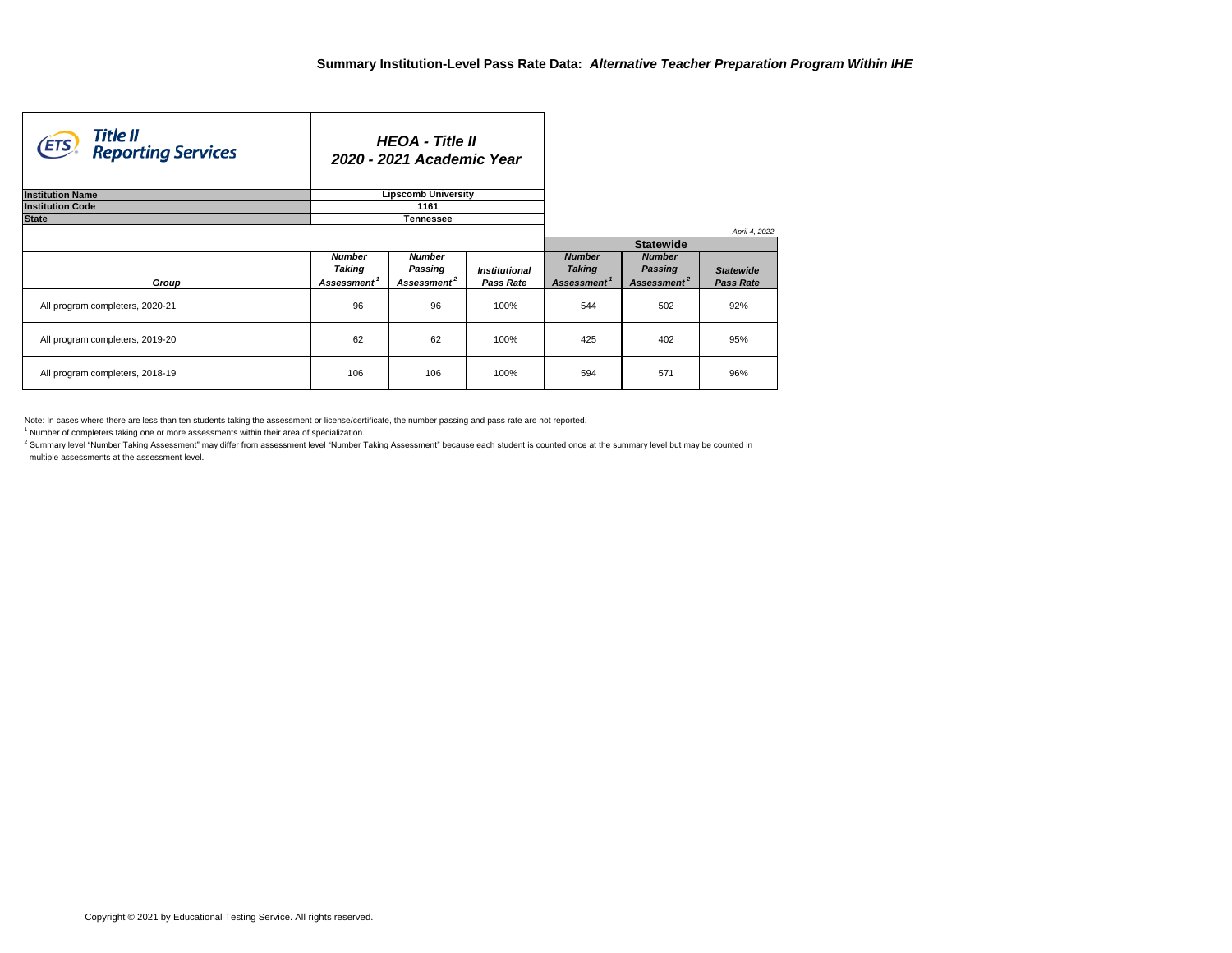$^{\text{2}}$  Summary level "Number Taking Assessment" may differ from assessment level "Number Taking Assessment" because each student is counted once at the summary level but may be counted in multiple assessments at the assessment level.

Note: In cases where there are less than ten students taking the assessment or license/certificate, the number passing and pass rate are not reported.

 $1$  Number of completers taking one or more assessments within their area of specialization.

| Title II<br>(ETS<br><b>Reporting Services</b> |                                                           | <b>HEOA - Title II</b><br>2020 - 2021 Academic Year        |                                                 |                                                           |                                                            |                                      |
|-----------------------------------------------|-----------------------------------------------------------|------------------------------------------------------------|-------------------------------------------------|-----------------------------------------------------------|------------------------------------------------------------|--------------------------------------|
| <b>Institution Name</b>                       |                                                           | <b>Lipscomb University</b>                                 |                                                 |                                                           |                                                            |                                      |
| <b>Institution Code</b>                       |                                                           | 1161                                                       |                                                 |                                                           |                                                            |                                      |
| <b>State</b>                                  |                                                           | <b>Tennessee</b>                                           |                                                 |                                                           |                                                            |                                      |
|                                               |                                                           |                                                            |                                                 |                                                           | <b>Statewide</b>                                           | April 4, 2022                        |
|                                               |                                                           |                                                            |                                                 |                                                           |                                                            |                                      |
|                                               | <b>Number</b><br><b>Taking</b><br>Assessment <sup>1</sup> | <b>Number</b><br><b>Passing</b><br>Assessment <sup>2</sup> | <i><b>Institutional</b></i><br><b>Pass Rate</b> | <b>Number</b><br><b>Taking</b><br>Assessment <sup>1</sup> | <b>Number</b><br><b>Passing</b><br>Assessment <sup>2</sup> | <b>Statewide</b><br><b>Pass Rate</b> |
| Group                                         |                                                           |                                                            |                                                 |                                                           |                                                            |                                      |
| All program completers, 2020-21               | 96                                                        | 96                                                         | 100%                                            | 544                                                       | 502                                                        | 92%                                  |
| All program completers, 2019-20               | 62                                                        | 62                                                         | 100%                                            | 425                                                       | 402                                                        | 95%                                  |
| All program completers, 2018-19               | 106                                                       | 106                                                        | 100%                                            | 594                                                       | 571                                                        | 96%                                  |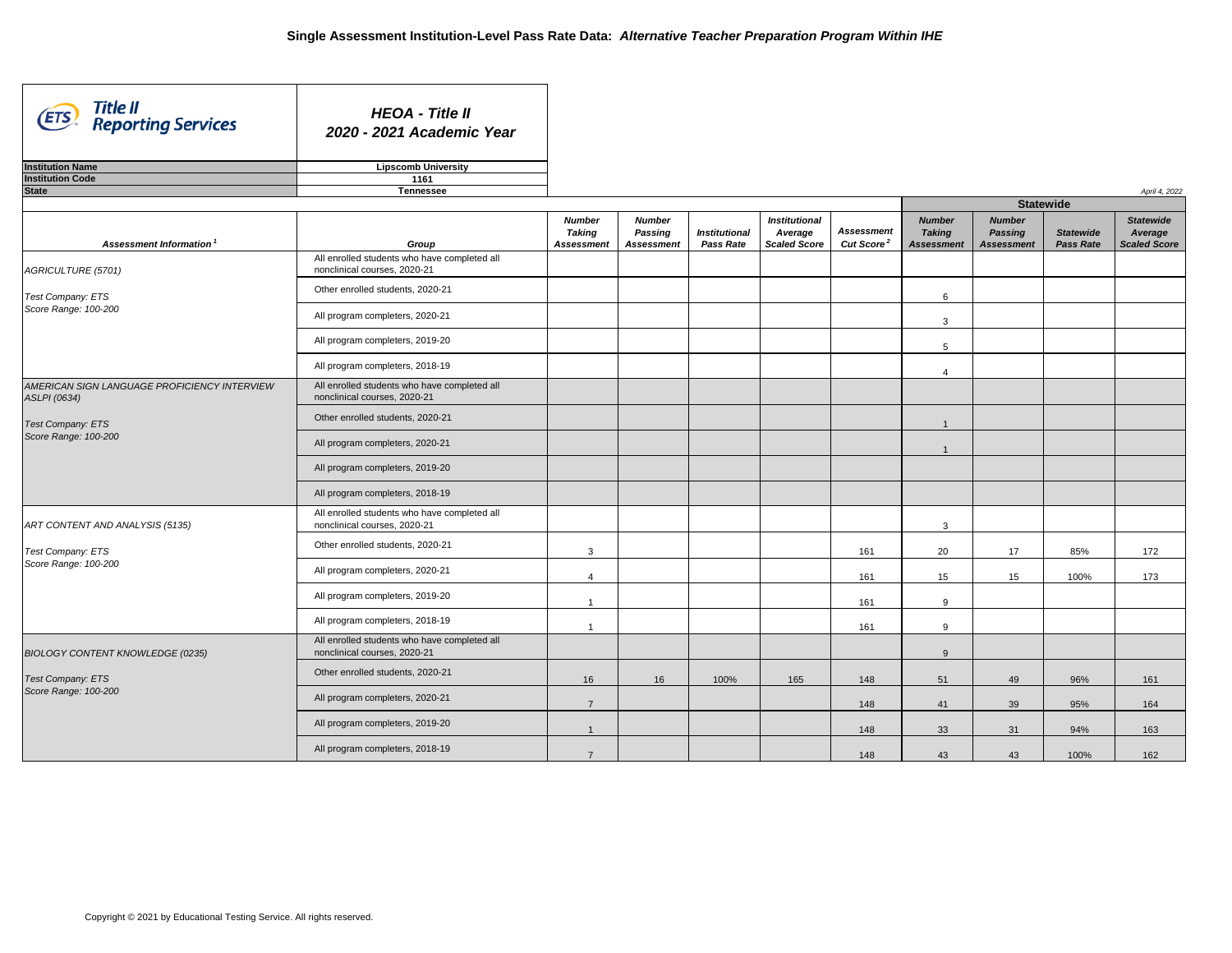| Title II<br><b>ETS</b><br><b>Reporting Services</b>                 | <b>HEOA - Title II</b><br>2020 - 2021 Academic Year                          |                                                     |                                                      |                                          |                                                        |                                             |                                                     |                                                      |                                      |                                                    |  |  |
|---------------------------------------------------------------------|------------------------------------------------------------------------------|-----------------------------------------------------|------------------------------------------------------|------------------------------------------|--------------------------------------------------------|---------------------------------------------|-----------------------------------------------------|------------------------------------------------------|--------------------------------------|----------------------------------------------------|--|--|
| <b>Institution Name</b>                                             | <b>Lipscomb University</b>                                                   |                                                     |                                                      |                                          |                                                        |                                             |                                                     |                                                      |                                      |                                                    |  |  |
| <b>Institution Code</b>                                             | 1161                                                                         |                                                     |                                                      |                                          |                                                        |                                             |                                                     |                                                      |                                      |                                                    |  |  |
| <b>State</b>                                                        | <b>Tennessee</b>                                                             |                                                     |                                                      |                                          |                                                        |                                             |                                                     |                                                      |                                      | April 4, 2022                                      |  |  |
|                                                                     |                                                                              |                                                     |                                                      |                                          |                                                        |                                             |                                                     | <b>Statewide</b>                                     |                                      |                                                    |  |  |
| Assessment Information <sup>1</sup>                                 | Group                                                                        | <b>Number</b><br><b>Taking</b><br><b>Assessment</b> | <b>Number</b><br><b>Passing</b><br><b>Assessment</b> | <b>Institutional</b><br><b>Pass Rate</b> | <b>Institutional</b><br>Average<br><b>Scaled Score</b> | <b>Assessment</b><br>Cut Score <sup>2</sup> | <b>Number</b><br><b>Taking</b><br><b>Assessment</b> | <b>Number</b><br><b>Passing</b><br><b>Assessment</b> | <b>Statewide</b><br><b>Pass Rate</b> | <b>Statewide</b><br>Average<br><b>Scaled Score</b> |  |  |
| AGRICULTURE (5701)                                                  | All enrolled students who have completed all<br>nonclinical courses, 2020-21 |                                                     |                                                      |                                          |                                                        |                                             |                                                     |                                                      |                                      |                                                    |  |  |
| <b>Test Company: ETS</b>                                            | Other enrolled students, 2020-21                                             |                                                     |                                                      |                                          |                                                        |                                             | 6                                                   |                                                      |                                      |                                                    |  |  |
| Score Range: 100-200                                                | All program completers, 2020-21                                              |                                                     |                                                      |                                          |                                                        |                                             | $\mathbf{3}$                                        |                                                      |                                      |                                                    |  |  |
|                                                                     | All program completers, 2019-20                                              |                                                     |                                                      |                                          |                                                        |                                             | 5                                                   |                                                      |                                      |                                                    |  |  |
|                                                                     | All program completers, 2018-19                                              |                                                     |                                                      |                                          |                                                        |                                             | 4                                                   |                                                      |                                      |                                                    |  |  |
| AMERICAN SIGN LANGUAGE PROFICIENCY INTERVIEW<br><b>ASLPI</b> (0634) | All enrolled students who have completed all<br>nonclinical courses, 2020-21 |                                                     |                                                      |                                          |                                                        |                                             |                                                     |                                                      |                                      |                                                    |  |  |
| <b>Test Company: ETS</b>                                            | Other enrolled students, 2020-21                                             |                                                     |                                                      |                                          |                                                        |                                             |                                                     |                                                      |                                      |                                                    |  |  |
| Score Range: 100-200                                                | All program completers, 2020-21                                              |                                                     |                                                      |                                          |                                                        |                                             |                                                     |                                                      |                                      |                                                    |  |  |
|                                                                     | All program completers, 2019-20                                              |                                                     |                                                      |                                          |                                                        |                                             |                                                     |                                                      |                                      |                                                    |  |  |
|                                                                     | All program completers, 2018-19                                              |                                                     |                                                      |                                          |                                                        |                                             |                                                     |                                                      |                                      |                                                    |  |  |
| ART CONTENT AND ANALYSIS (5135)                                     | All enrolled students who have completed all<br>nonclinical courses, 2020-21 |                                                     |                                                      |                                          |                                                        |                                             | $\mathbf{3}$                                        |                                                      |                                      |                                                    |  |  |
| <b>Test Company: ETS</b>                                            | Other enrolled students, 2020-21                                             | $\mathbf{3}$                                        |                                                      |                                          |                                                        | 161                                         | 20                                                  | 17                                                   | 85%                                  | 172                                                |  |  |
| Score Range: 100-200                                                | All program completers, 2020-21                                              | $\overline{4}$                                      |                                                      |                                          |                                                        | 161                                         | 15 <sub>15</sub>                                    | 15                                                   | 100%                                 | 173                                                |  |  |
|                                                                     | All program completers, 2019-20                                              |                                                     |                                                      |                                          |                                                        | 161                                         | 9                                                   |                                                      |                                      |                                                    |  |  |
|                                                                     | All program completers, 2018-19                                              |                                                     |                                                      |                                          |                                                        | 161                                         | 9                                                   |                                                      |                                      |                                                    |  |  |
| <b>BIOLOGY CONTENT KNOWLEDGE (0235)</b>                             | All enrolled students who have completed all<br>nonclinical courses, 2020-21 |                                                     |                                                      |                                          |                                                        |                                             | 9                                                   |                                                      |                                      |                                                    |  |  |
| <b>Test Company: ETS</b>                                            | Other enrolled students, 2020-21                                             | 16                                                  | 16                                                   | 100%                                     | 165                                                    | 148                                         | 51                                                  | 49                                                   | 96%                                  | 161                                                |  |  |
| Score Range: 100-200                                                | All program completers, 2020-21                                              | $\overline{7}$                                      |                                                      |                                          |                                                        | 148                                         | 41                                                  | 39                                                   | 95%                                  | 164                                                |  |  |
|                                                                     | All program completers, 2019-20                                              |                                                     |                                                      |                                          |                                                        | 148                                         | 33                                                  | 31                                                   | 94%                                  | 163                                                |  |  |
|                                                                     | All program completers, 2018-19                                              | $\overline{7}$                                      |                                                      |                                          |                                                        | 148                                         | 43                                                  | 43                                                   | 100%                                 | 162                                                |  |  |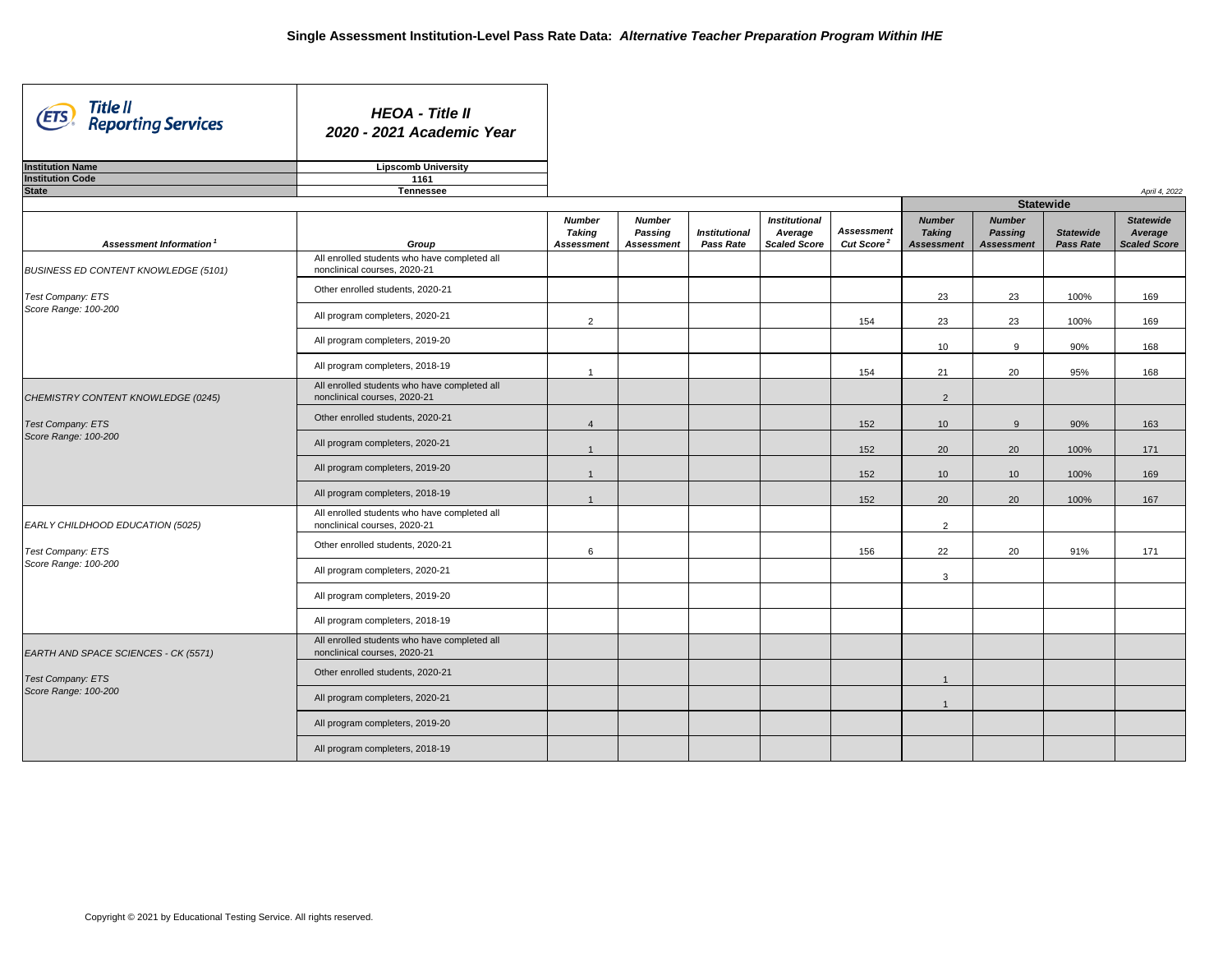| Title II<br>(ETS)<br><b>Reporting Services</b>                                         | <b>HEOA - Title II</b><br>2020 - 2021 Academic Year                          |                                |                                 |                      |                                 |                                             |                                |                                 |                  |                             |
|----------------------------------------------------------------------------------------|------------------------------------------------------------------------------|--------------------------------|---------------------------------|----------------------|---------------------------------|---------------------------------------------|--------------------------------|---------------------------------|------------------|-----------------------------|
| <b>Institution Name</b>                                                                | <b>Lipscomb University</b>                                                   |                                |                                 |                      |                                 |                                             |                                |                                 |                  |                             |
| <b>Institution Code</b>                                                                | 1161                                                                         |                                |                                 |                      |                                 |                                             |                                |                                 |                  |                             |
| <b>State</b>                                                                           | <b>Tennessee</b>                                                             |                                |                                 |                      |                                 |                                             |                                |                                 | <b>Statewide</b> | April 4, 2022               |
|                                                                                        |                                                                              |                                |                                 |                      |                                 |                                             |                                |                                 |                  |                             |
| <b>Assessment Information</b>                                                          |                                                                              | <b>Number</b><br><b>Taking</b> | <b>Number</b><br><b>Passing</b> | <b>Institutional</b> | <b>Institutional</b><br>Average | <b>Assessment</b><br>Cut Score <sup>2</sup> | <b>Number</b><br><b>Taking</b> | <b>Number</b><br><b>Passing</b> | <b>Statewide</b> | <b>Statewide</b><br>Average |
|                                                                                        | Group<br>All enrolled students who have completed all                        | <b>Assessment</b>              | <b>Assessment</b>               | <b>Pass Rate</b>     | <b>Scaled Score</b>             |                                             | <b>Assessment</b>              | <b>Assessment</b>               | <b>Pass Rate</b> | <b>Scaled Score</b>         |
| <b>BUSINESS ED CONTENT KNOWLEDGE (5101)</b>                                            | nonclinical courses, 2020-21                                                 |                                |                                 |                      |                                 |                                             |                                |                                 |                  |                             |
| Test Company: ETS<br>Score Range: 100-200                                              | Other enrolled students, 2020-21                                             |                                |                                 |                      |                                 |                                             | 23                             | 23                              | 100%             | 169                         |
|                                                                                        | All program completers, 2020-21                                              | $\overline{2}$                 |                                 |                      |                                 | 154                                         | 23                             | 23                              | 100%             | 169                         |
|                                                                                        | All program completers, 2019-20                                              |                                |                                 |                      |                                 |                                             | 10 <sup>°</sup>                | 9                               | 90%              | 168                         |
|                                                                                        | All program completers, 2018-19                                              |                                |                                 |                      |                                 | 154                                         | 21                             | 20                              | 95%              | 168                         |
| CHEMISTRY CONTENT KNOWLEDGE (0245)<br><b>Test Company: ETS</b><br>Score Range: 100-200 | All enrolled students who have completed all<br>nonclinical courses, 2020-21 |                                |                                 |                      |                                 |                                             | $\overline{2}$                 |                                 |                  |                             |
|                                                                                        | Other enrolled students, 2020-21                                             | $\overline{4}$                 |                                 |                      |                                 | 152                                         | 10 <sup>°</sup>                | 9                               | 90%              | 163                         |
|                                                                                        | All program completers, 2020-21                                              |                                |                                 |                      |                                 | 152                                         | 20                             | 20                              | 100%             | 171                         |
|                                                                                        | All program completers, 2019-20                                              |                                |                                 |                      |                                 | 152                                         | 10 <sup>°</sup>                | 10 <sup>°</sup>                 | 100%             | 169                         |
|                                                                                        | All program completers, 2018-19                                              |                                |                                 |                      |                                 | 152                                         | 20                             | 20                              | 100%             | 167                         |
| EARLY CHILDHOOD EDUCATION (5025)                                                       | All enrolled students who have completed all<br>nonclinical courses, 2020-21 |                                |                                 |                      |                                 |                                             | $\overline{2}$                 |                                 |                  |                             |
| Test Company: ETS                                                                      | Other enrolled students, 2020-21                                             | 6                              |                                 |                      |                                 | 156                                         | 22                             | 20                              | 91%              | 171                         |
| Score Range: 100-200                                                                   | All program completers, 2020-21                                              |                                |                                 |                      |                                 |                                             | $\mathbf{3}$                   |                                 |                  |                             |
|                                                                                        | All program completers, 2019-20                                              |                                |                                 |                      |                                 |                                             |                                |                                 |                  |                             |
|                                                                                        | All program completers, 2018-19                                              |                                |                                 |                      |                                 |                                             |                                |                                 |                  |                             |
| EARTH AND SPACE SCIENCES - CK (5571)                                                   | All enrolled students who have completed all<br>nonclinical courses, 2020-21 |                                |                                 |                      |                                 |                                             |                                |                                 |                  |                             |
| <b>Test Company: ETS</b>                                                               | Other enrolled students, 2020-21                                             |                                |                                 |                      |                                 |                                             |                                |                                 |                  |                             |
| Score Range: 100-200                                                                   | All program completers, 2020-21                                              |                                |                                 |                      |                                 |                                             |                                |                                 |                  |                             |
|                                                                                        | All program completers, 2019-20                                              |                                |                                 |                      |                                 |                                             |                                |                                 |                  |                             |
|                                                                                        | All program completers, 2018-19                                              |                                |                                 |                      |                                 |                                             |                                |                                 |                  |                             |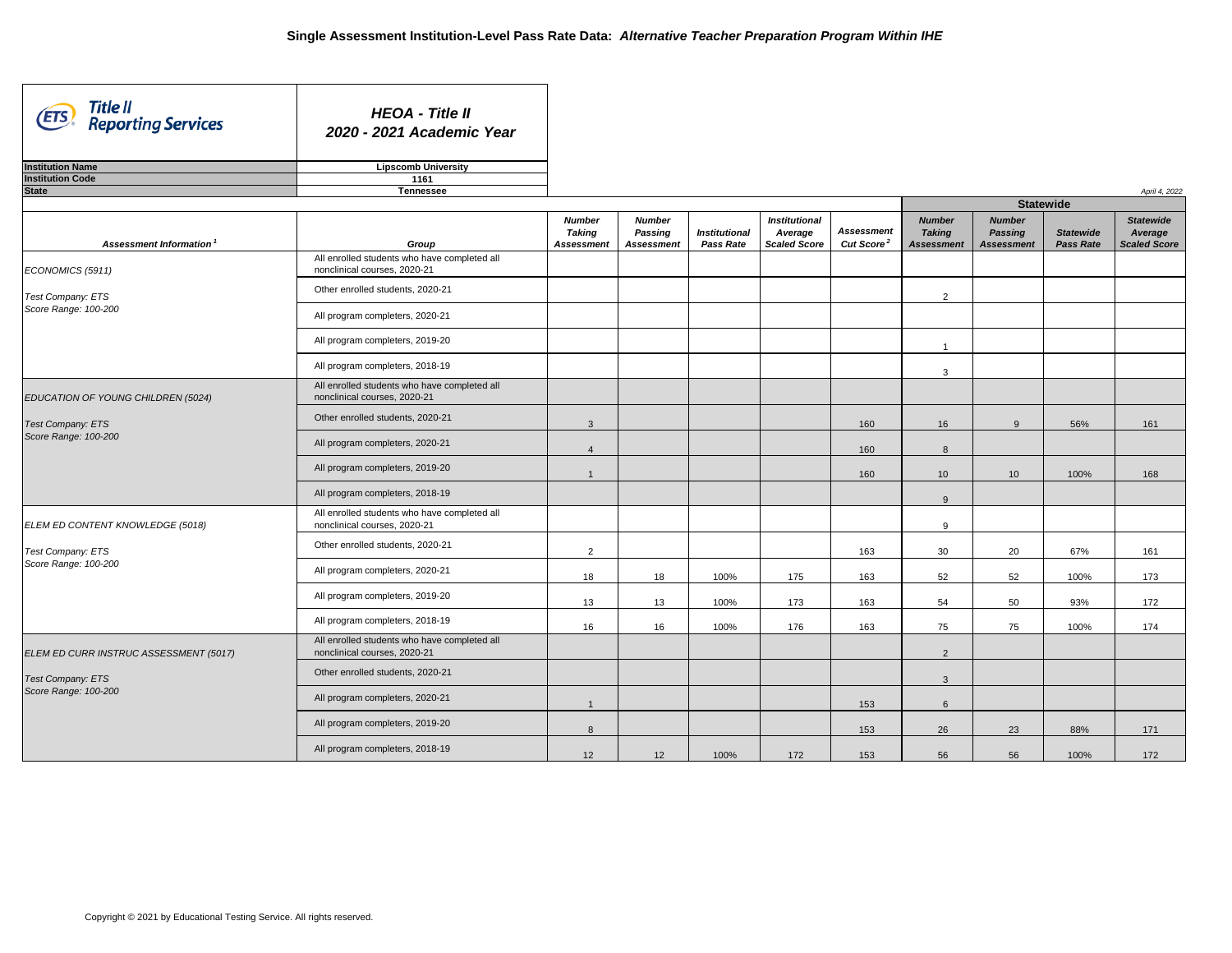| Title II<br>Reporting Services<br>(ETS) | <b>HEOA - Title II</b><br>2020 - 2021 Academic Year                          |                                                     |                                                      |                                          |                                                        |                                             |                                                     |                                                      |                                      |                                                    |
|-----------------------------------------|------------------------------------------------------------------------------|-----------------------------------------------------|------------------------------------------------------|------------------------------------------|--------------------------------------------------------|---------------------------------------------|-----------------------------------------------------|------------------------------------------------------|--------------------------------------|----------------------------------------------------|
| <b>Institution Name</b>                 | <b>Lipscomb University</b>                                                   |                                                     |                                                      |                                          |                                                        |                                             |                                                     |                                                      |                                      |                                                    |
| <b>Institution Code</b>                 | 1161                                                                         |                                                     |                                                      |                                          |                                                        |                                             |                                                     |                                                      |                                      |                                                    |
| <b>State</b>                            | <b>Tennessee</b>                                                             |                                                     |                                                      |                                          |                                                        |                                             |                                                     |                                                      |                                      | April 4, 2022                                      |
|                                         |                                                                              |                                                     |                                                      |                                          |                                                        |                                             |                                                     | <b>Statewide</b>                                     |                                      |                                                    |
| Assessment Information <sup>1</sup>     | Group                                                                        | <b>Number</b><br><b>Taking</b><br><b>Assessment</b> | <b>Number</b><br><b>Passing</b><br><b>Assessment</b> | <b>Institutional</b><br><b>Pass Rate</b> | <b>Institutional</b><br>Average<br><b>Scaled Score</b> | <b>Assessment</b><br>Cut Score <sup>2</sup> | <b>Number</b><br><b>Taking</b><br><b>Assessment</b> | <b>Number</b><br><b>Passing</b><br><b>Assessment</b> | <b>Statewide</b><br><b>Pass Rate</b> | <b>Statewide</b><br>Average<br><b>Scaled Score</b> |
| ECONOMICS (5911)                        | All enrolled students who have completed all<br>nonclinical courses, 2020-21 |                                                     |                                                      |                                          |                                                        |                                             |                                                     |                                                      |                                      |                                                    |
| Test Company: ETS                       | Other enrolled students, 2020-21                                             |                                                     |                                                      |                                          |                                                        |                                             | $\overline{2}$                                      |                                                      |                                      |                                                    |
| Score Range: 100-200                    | All program completers, 2020-21                                              |                                                     |                                                      |                                          |                                                        |                                             |                                                     |                                                      |                                      |                                                    |
|                                         | All program completers, 2019-20                                              |                                                     |                                                      |                                          |                                                        |                                             |                                                     |                                                      |                                      |                                                    |
|                                         | All program completers, 2018-19                                              |                                                     |                                                      |                                          |                                                        |                                             | 3                                                   |                                                      |                                      |                                                    |
| EDUCATION OF YOUNG CHILDREN (5024)      | All enrolled students who have completed all<br>nonclinical courses, 2020-21 |                                                     |                                                      |                                          |                                                        |                                             |                                                     |                                                      |                                      |                                                    |
| <b>Test Company: ETS</b>                | Other enrolled students, 2020-21                                             | $\mathbf{3}$                                        |                                                      |                                          |                                                        | 160                                         | 16                                                  | $\alpha$                                             | 56%                                  | 161                                                |
| Score Range: 100-200                    | All program completers, 2020-21                                              |                                                     |                                                      |                                          |                                                        | 160                                         | 8                                                   |                                                      |                                      |                                                    |
|                                         | All program completers, 2019-20                                              |                                                     |                                                      |                                          |                                                        | 160                                         | 10 <sup>°</sup>                                     | 10 <sup>°</sup>                                      | 100%                                 | 168                                                |
|                                         | All program completers, 2018-19                                              |                                                     |                                                      |                                          |                                                        |                                             | 9                                                   |                                                      |                                      |                                                    |
| ELEM ED CONTENT KNOWLEDGE (5018)        | All enrolled students who have completed all<br>nonclinical courses, 2020-21 |                                                     |                                                      |                                          |                                                        |                                             | 9                                                   |                                                      |                                      |                                                    |
| <b>Test Company: ETS</b>                | Other enrolled students, 2020-21                                             | $\overline{2}$                                      |                                                      |                                          |                                                        | 163                                         | 30                                                  | 20                                                   | 67%                                  | 161                                                |
| Score Range: 100-200                    | All program completers, 2020-21                                              | 18                                                  | 18                                                   | 100%                                     | 175                                                    | 163                                         | 52                                                  | 52                                                   | 100%                                 | 173                                                |
|                                         | All program completers, 2019-20                                              | 13                                                  | 13                                                   | 100%                                     | 173                                                    | 163                                         | 54                                                  | 50                                                   | 93%                                  | 172                                                |
|                                         | All program completers, 2018-19                                              | 16                                                  | 16                                                   | 100%                                     | 176                                                    | 163                                         | 75                                                  | 75                                                   | 100%                                 | 174                                                |
| ELEM ED CURR INSTRUC ASSESSMENT (5017)  | All enrolled students who have completed all<br>nonclinical courses, 2020-21 |                                                     |                                                      |                                          |                                                        |                                             | $\overline{2}$                                      |                                                      |                                      |                                                    |
| <b>Test Company: ETS</b>                | Other enrolled students, 2020-21                                             |                                                     |                                                      |                                          |                                                        |                                             | $\mathbf{3}$                                        |                                                      |                                      |                                                    |
| Score Range: 100-200                    | All program completers, 2020-21                                              | 1                                                   |                                                      |                                          |                                                        | 153                                         | $6\overline{6}$                                     |                                                      |                                      |                                                    |
|                                         | All program completers, 2019-20                                              | 8                                                   |                                                      |                                          |                                                        | 153                                         | 26                                                  | 23                                                   | 88%                                  | 171                                                |
|                                         | All program completers, 2018-19                                              | 12                                                  | 12                                                   | 100%                                     | 172                                                    | 153                                         | 56                                                  | 56                                                   | 100%                                 | 172                                                |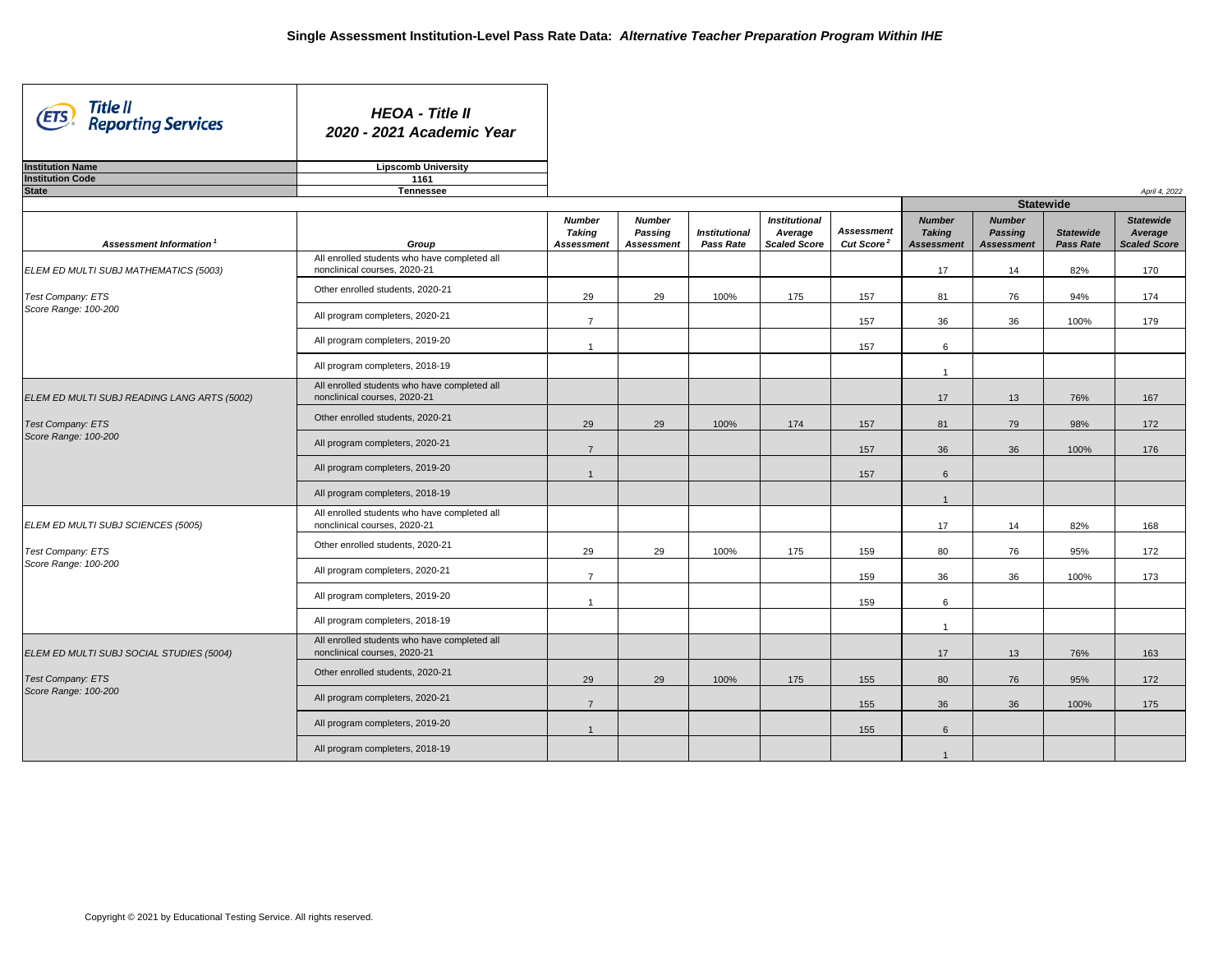| Title II<br>(ETS)<br><b>Reporting Services</b>                                                  | <b>HEOA - Title II</b><br>2020 - 2021 Academic Year                          |                                |                                 |                      |                                 |                        |                                |                                 |                  |                             |
|-------------------------------------------------------------------------------------------------|------------------------------------------------------------------------------|--------------------------------|---------------------------------|----------------------|---------------------------------|------------------------|--------------------------------|---------------------------------|------------------|-----------------------------|
| <b>Institution Name</b>                                                                         | <b>Lipscomb University</b>                                                   |                                |                                 |                      |                                 |                        |                                |                                 |                  |                             |
| <b>Institution Code</b>                                                                         | 1161                                                                         |                                |                                 |                      |                                 |                        |                                |                                 |                  |                             |
| <b>State</b>                                                                                    | <b>Tennessee</b>                                                             |                                |                                 |                      |                                 |                        |                                | <b>Statewide</b>                |                  | April 4, 2022               |
|                                                                                                 |                                                                              |                                |                                 |                      |                                 |                        |                                |                                 |                  |                             |
|                                                                                                 |                                                                              | <b>Number</b><br><b>Taking</b> | <b>Number</b><br><b>Passing</b> | <b>Institutional</b> | <b>Institutional</b><br>Average | <b>Assessment</b>      | <b>Number</b><br><b>Taking</b> | <b>Number</b><br><b>Passing</b> | <b>Statewide</b> | <b>Statewide</b><br>Average |
| <b>Assessment Information</b>                                                                   | Group                                                                        | <b>Assessment</b>              | <b>Assessment</b>               | <b>Pass Rate</b>     | <b>Scaled Score</b>             | Cut Score <sup>2</sup> | <b>Assessment</b>              | <b>Assessment</b>               | <b>Pass Rate</b> | <b>Scaled Score</b>         |
| ELEM ED MULTI SUBJ MATHEMATICS (5003)                                                           | All enrolled students who have completed all<br>nonclinical courses, 2020-21 |                                |                                 |                      |                                 |                        | 17                             | 14                              | 82%              | 170                         |
| Test Company: ETS                                                                               | Other enrolled students, 2020-21                                             | 29                             | 29                              | 100%                 | 175                             | 157                    | 81                             | 76                              | 94%              | 174                         |
| Score Range: 100-200                                                                            | All program completers, 2020-21                                              | $\overline{7}$                 |                                 |                      |                                 | 157                    | 36                             | 36                              | 100%             | 179                         |
|                                                                                                 | All program completers, 2019-20                                              |                                |                                 |                      |                                 | 157                    | 6                              |                                 |                  |                             |
|                                                                                                 | All program completers, 2018-19                                              |                                |                                 |                      |                                 |                        |                                |                                 |                  |                             |
| ELEM ED MULTI SUBJ READING LANG ARTS (5002)<br><b>Test Company: ETS</b><br>Score Range: 100-200 | All enrolled students who have completed all<br>nonclinical courses, 2020-21 |                                |                                 |                      |                                 |                        | 17                             | 13                              | 76%              | 167                         |
|                                                                                                 | Other enrolled students, 2020-21                                             | 29                             | 29                              | 100%                 | 174                             | 157                    | 81                             | 79                              | 98%              | 172                         |
|                                                                                                 | All program completers, 2020-21                                              | $\overline{7}$                 |                                 |                      |                                 | 157                    | 36                             | 36                              | 100%             | 176                         |
|                                                                                                 | All program completers, 2019-20                                              |                                |                                 |                      |                                 | 157                    | $6\phantom{1}$                 |                                 |                  |                             |
|                                                                                                 | All program completers, 2018-19                                              |                                |                                 |                      |                                 |                        |                                |                                 |                  |                             |
| ELEM ED MULTI SUBJ SCIENCES (5005)                                                              | All enrolled students who have completed all<br>nonclinical courses, 2020-21 |                                |                                 |                      |                                 |                        | 17                             | 14                              | 82%              | 168                         |
| <b>Test Company: ETS</b>                                                                        | Other enrolled students, 2020-21                                             | 29                             | 29                              | 100%                 | 175                             | 159                    | 80                             | 76                              | 95%              | 172                         |
| Score Range: 100-200                                                                            | All program completers, 2020-21                                              | $\overline{7}$                 |                                 |                      |                                 | 159                    | 36                             | 36                              | 100%             | 173                         |
|                                                                                                 | All program completers, 2019-20                                              |                                |                                 |                      |                                 | 159                    | $6\overline{6}$                |                                 |                  |                             |
|                                                                                                 | All program completers, 2018-19                                              |                                |                                 |                      |                                 |                        | $\overline{ }$                 |                                 |                  |                             |
| ELEM ED MULTI SUBJ SOCIAL STUDIES (5004)                                                        | All enrolled students who have completed all<br>nonclinical courses, 2020-21 |                                |                                 |                      |                                 |                        | 17                             | 13                              | 76%              | 163                         |
| <b>Test Company: ETS</b>                                                                        | Other enrolled students, 2020-21                                             | 29                             | 29                              | 100%                 | 175                             | 155                    | 80                             | 76                              | 95%              | 172                         |
| Score Range: 100-200                                                                            | All program completers, 2020-21                                              | $\overline{7}$                 |                                 |                      |                                 | 155                    | 36                             | 36                              | 100%             | 175                         |
|                                                                                                 | All program completers, 2019-20                                              |                                |                                 |                      |                                 | 155                    | 6                              |                                 |                  |                             |
|                                                                                                 | All program completers, 2018-19                                              |                                |                                 |                      |                                 |                        |                                |                                 |                  |                             |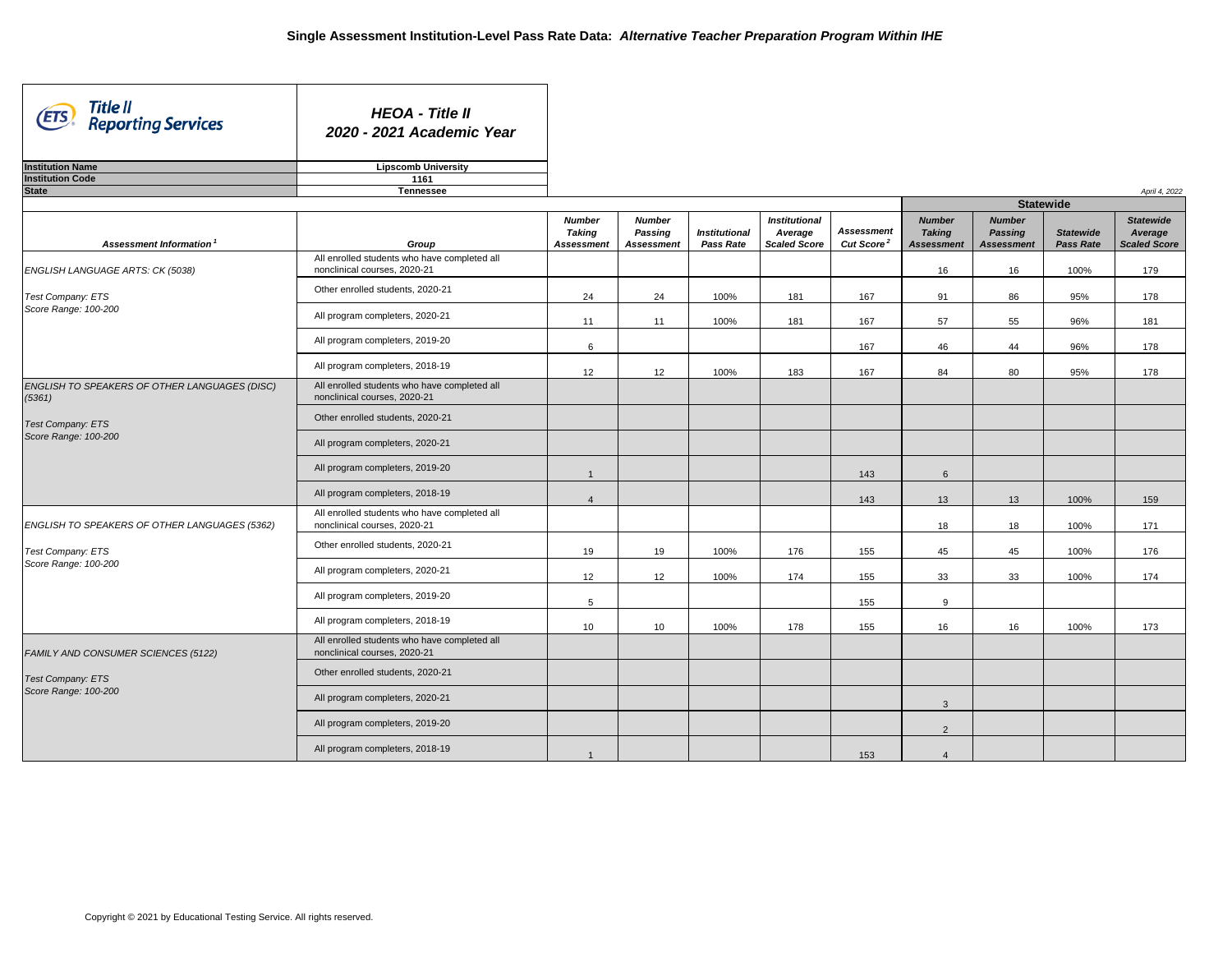| Title II<br>(ETS)<br><b>Reporting Services</b>          | <b>HEOA - Title II</b><br>2020 - 2021 Academic Year                          |                   |                   |                      |                      |                        |                   |                   |                  |                     |
|---------------------------------------------------------|------------------------------------------------------------------------------|-------------------|-------------------|----------------------|----------------------|------------------------|-------------------|-------------------|------------------|---------------------|
| <b>Institution Name</b>                                 | <b>Lipscomb University</b>                                                   |                   |                   |                      |                      |                        |                   |                   |                  |                     |
| <b>Institution Code</b>                                 | 1161                                                                         |                   |                   |                      |                      |                        |                   |                   |                  |                     |
| <b>State</b>                                            | <b>Tennessee</b>                                                             |                   |                   |                      |                      |                        |                   |                   | <b>Statewide</b> | April 4, 2022       |
|                                                         |                                                                              | <b>Number</b>     | <b>Number</b>     |                      | <b>Institutional</b> |                        | <b>Number</b>     | <b>Number</b>     |                  | <b>Statewide</b>    |
|                                                         |                                                                              | <b>Taking</b>     | <b>Passing</b>    | <b>Institutional</b> | Average              | <b>Assessment</b>      | <b>Taking</b>     | <b>Passing</b>    | <b>Statewide</b> | Average             |
| Assessment Information <sup>1</sup>                     | Group                                                                        | <b>Assessment</b> | <b>Assessment</b> | <b>Pass Rate</b>     | <b>Scaled Score</b>  | Cut Score <sup>2</sup> | <b>Assessment</b> | <b>Assessment</b> | <b>Pass Rate</b> | <b>Scaled Score</b> |
| ENGLISH LANGUAGE ARTS: CK (5038)                        | All enrolled students who have completed all<br>nonclinical courses, 2020-21 |                   |                   |                      |                      |                        | 16                | 16                | 100%             | 179                 |
| Test Company: ETS<br>Score Range: 100-200               | Other enrolled students, 2020-21                                             | 24                | 24                | 100%                 | 181                  | 167                    | 91                | 86                | 95%              | 178                 |
|                                                         | All program completers, 2020-21                                              | 11                | 11                | 100%                 | 181                  | 167                    | 57                | 55                | 96%              | 181                 |
|                                                         | All program completers, 2019-20                                              | 6                 |                   |                      |                      | 167                    | 46                | 44                | 96%              | 178                 |
|                                                         | All program completers, 2018-19                                              | 12                | 12                | 100%                 | 183                  | 167                    | 84                | 80                | 95%              | 178                 |
| ENGLISH TO SPEAKERS OF OTHER LANGUAGES (DISC)<br>(5361) | All enrolled students who have completed all<br>nonclinical courses, 2020-21 |                   |                   |                      |                      |                        |                   |                   |                  |                     |
| <b>Test Company: ETS</b><br>Score Range: 100-200        | Other enrolled students, 2020-21                                             |                   |                   |                      |                      |                        |                   |                   |                  |                     |
|                                                         | All program completers, 2020-21                                              |                   |                   |                      |                      |                        |                   |                   |                  |                     |
|                                                         | All program completers, 2019-20                                              |                   |                   |                      |                      | 143                    | $6\phantom{1}$    |                   |                  |                     |
|                                                         | All program completers, 2018-19                                              |                   |                   |                      |                      | 143                    | 13                | 13                | 100%             | 159                 |
| ENGLISH TO SPEAKERS OF OTHER LANGUAGES (5362)           | All enrolled students who have completed all<br>nonclinical courses, 2020-21 |                   |                   |                      |                      |                        | 18                | 18                | 100%             | 171                 |
| Test Company: ETS                                       | Other enrolled students, 2020-21                                             | 19                | 19                | 100%                 | 176                  | 155                    | 45                | 45                | 100%             | 176                 |
| Score Range: 100-200                                    | All program completers, 2020-21                                              | 12                | 12                | 100%                 | 174                  | 155                    | 33                | 33                | 100%             | 174                 |
|                                                         | All program completers, 2019-20                                              | $5\phantom{.0}$   |                   |                      |                      | 155                    | 9                 |                   |                  |                     |
|                                                         | All program completers, 2018-19                                              | 10                | 10                | 100%                 | 178                  | 155                    | 16                | 16                | 100%             | 173                 |
| FAMILY AND CONSUMER SCIENCES (5122)                     | All enrolled students who have completed all<br>nonclinical courses, 2020-21 |                   |                   |                      |                      |                        |                   |                   |                  |                     |
| <b>Test Company: ETS</b>                                | Other enrolled students, 2020-21                                             |                   |                   |                      |                      |                        |                   |                   |                  |                     |
| Score Range: 100-200                                    | All program completers, 2020-21                                              |                   |                   |                      |                      |                        | $\mathbf{3}$      |                   |                  |                     |
|                                                         | All program completers, 2019-20                                              |                   |                   |                      |                      |                        | $2^{\circ}$       |                   |                  |                     |
|                                                         | All program completers, 2018-19                                              |                   |                   |                      |                      | 153                    |                   |                   |                  |                     |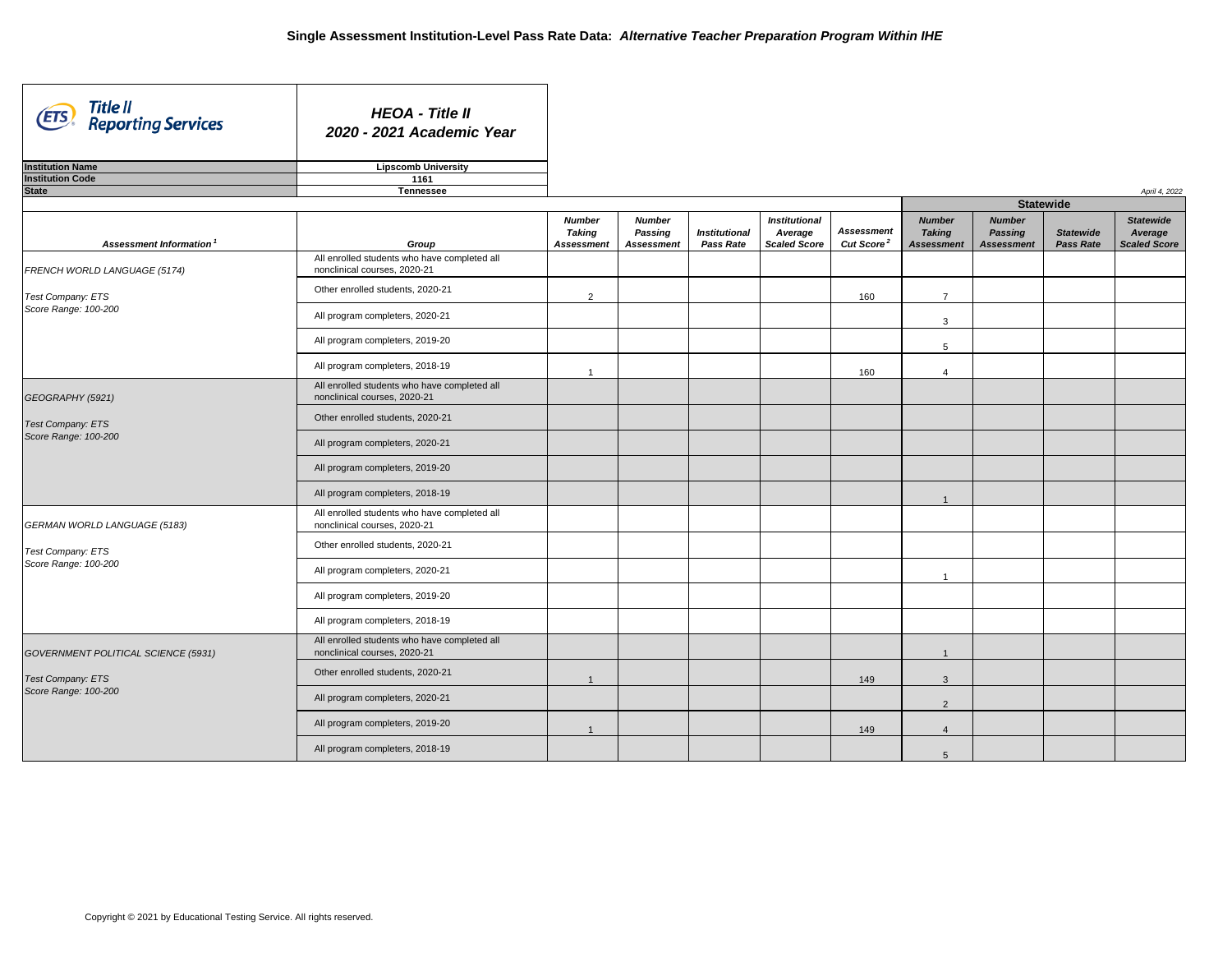| Title II<br>(ETS)<br><b>Reporting Services</b> | <b>HEOA - Title II</b><br>2020 - 2021 Academic Year                          |                                                     |                                                      |                                          |                                                        |                                             |                                               |
|------------------------------------------------|------------------------------------------------------------------------------|-----------------------------------------------------|------------------------------------------------------|------------------------------------------|--------------------------------------------------------|---------------------------------------------|-----------------------------------------------|
| <b>Institution Name</b>                        | <b>Lipscomb University</b>                                                   |                                                     |                                                      |                                          |                                                        |                                             |                                               |
| <b>Institution Code</b>                        | 1161                                                                         |                                                     |                                                      |                                          |                                                        |                                             |                                               |
| <b>State</b>                                   | <b>Tennessee</b>                                                             |                                                     |                                                      |                                          |                                                        |                                             |                                               |
| Assessment Information                         | Group                                                                        | <b>Number</b><br><b>Taking</b><br><b>Assessment</b> | <b>Number</b><br><b>Passing</b><br><b>Assessment</b> | <b>Institutional</b><br><b>Pass Rate</b> | <b>Institutional</b><br>Average<br><b>Scaled Score</b> | <b>Assessment</b><br>Cut Score <sup>2</sup> | <b>Numb</b><br><b>Takin</b><br><b>Assessn</b> |
| FRENCH WORLD LANGUAGE (5174)                   | All enrolled students who have completed all<br>nonclinical courses, 2020-21 |                                                     |                                                      |                                          |                                                        |                                             |                                               |
| Test Company: ETS                              | Other enrolled students, 2020-21                                             | $\overline{2}$                                      |                                                      |                                          |                                                        | 160                                         | 7                                             |
| Score Range: 100-200                           | All program completers, 2020-21                                              |                                                     |                                                      |                                          |                                                        |                                             | 3                                             |
|                                                | All program completers, 2019-20                                              |                                                     |                                                      |                                          |                                                        |                                             | 5                                             |
|                                                | All program completers, 2018-19                                              |                                                     |                                                      |                                          |                                                        | 160                                         |                                               |
| GEOGRAPHY (5921)                               | All enrolled students who have completed all<br>nonclinical courses, 2020-21 |                                                     |                                                      |                                          |                                                        |                                             |                                               |
| Test Company: ETS<br>Score Range: 100-200      | Other enrolled students, 2020-21                                             |                                                     |                                                      |                                          |                                                        |                                             |                                               |
|                                                | All program completers, 2020-21                                              |                                                     |                                                      |                                          |                                                        |                                             |                                               |
|                                                | All program completers, 2019-20                                              |                                                     |                                                      |                                          |                                                        |                                             |                                               |
|                                                | All program completers, 2018-19                                              |                                                     |                                                      |                                          |                                                        |                                             |                                               |
| <b>GERMAN WORLD LANGUAGE (5183)</b>            | All enrolled students who have completed all<br>nonclinical courses, 2020-21 |                                                     |                                                      |                                          |                                                        |                                             |                                               |
| Test Company: ETS                              | Other enrolled students, 2020-21                                             |                                                     |                                                      |                                          |                                                        |                                             |                                               |
| Score Range: 100-200                           | All program completers, 2020-21                                              |                                                     |                                                      |                                          |                                                        |                                             |                                               |
|                                                | All program completers, 2019-20                                              |                                                     |                                                      |                                          |                                                        |                                             |                                               |
|                                                | All program completers, 2018-19                                              |                                                     |                                                      |                                          |                                                        |                                             |                                               |
| GOVERNMENT POLITICAL SCIENCE (5931)            | All enrolled students who have completed all<br>nonclinical courses, 2020-21 |                                                     |                                                      |                                          |                                                        |                                             |                                               |
| <b>Test Company: ETS</b>                       | Other enrolled students, 2020-21                                             |                                                     |                                                      |                                          |                                                        | 149                                         | 3                                             |
| Score Range: 100-200                           | All program completers, 2020-21                                              |                                                     |                                                      |                                          |                                                        |                                             | $\overline{2}$                                |
|                                                | All program completers, 2019-20                                              |                                                     |                                                      |                                          |                                                        | 149                                         |                                               |
|                                                | All program completers, 2018-19                                              |                                                     |                                                      |                                          |                                                        |                                             |                                               |
|                                                |                                                                              |                                                     |                                                      |                                          |                                                        |                                             |                                               |

| April 4, 2022                               |                                                     |                                                      |                                      |                                                    |  |  |  |  |  |  |  |
|---------------------------------------------|-----------------------------------------------------|------------------------------------------------------|--------------------------------------|----------------------------------------------------|--|--|--|--|--|--|--|
|                                             |                                                     |                                                      | <b>Statewide</b>                     |                                                    |  |  |  |  |  |  |  |
| <b>Assessment</b><br>Cut Score <sup>2</sup> | <b>Number</b><br><b>Taking</b><br><b>Assessment</b> | <b>Number</b><br><b>Passing</b><br><b>Assessment</b> | <b>Statewide</b><br><b>Pass Rate</b> | <b>Statewide</b><br>Average<br><b>Scaled Score</b> |  |  |  |  |  |  |  |
|                                             |                                                     |                                                      |                                      |                                                    |  |  |  |  |  |  |  |
| 160                                         | $\overline{7}$                                      |                                                      |                                      |                                                    |  |  |  |  |  |  |  |
|                                             | 3                                                   |                                                      |                                      |                                                    |  |  |  |  |  |  |  |
|                                             | 5                                                   |                                                      |                                      |                                                    |  |  |  |  |  |  |  |
| 160                                         | $\overline{4}$                                      |                                                      |                                      |                                                    |  |  |  |  |  |  |  |
|                                             |                                                     |                                                      |                                      |                                                    |  |  |  |  |  |  |  |
|                                             |                                                     |                                                      |                                      |                                                    |  |  |  |  |  |  |  |
|                                             |                                                     |                                                      |                                      |                                                    |  |  |  |  |  |  |  |
|                                             |                                                     |                                                      |                                      |                                                    |  |  |  |  |  |  |  |
|                                             | $\mathbf 1$                                         |                                                      |                                      |                                                    |  |  |  |  |  |  |  |
|                                             |                                                     |                                                      |                                      |                                                    |  |  |  |  |  |  |  |
|                                             |                                                     |                                                      |                                      |                                                    |  |  |  |  |  |  |  |
|                                             | 1                                                   |                                                      |                                      |                                                    |  |  |  |  |  |  |  |
|                                             |                                                     |                                                      |                                      |                                                    |  |  |  |  |  |  |  |
|                                             |                                                     |                                                      |                                      |                                                    |  |  |  |  |  |  |  |
|                                             | $\mathbf{1}$                                        |                                                      |                                      |                                                    |  |  |  |  |  |  |  |
| 149                                         | $\ensuremath{\mathsf{3}}$                           |                                                      |                                      |                                                    |  |  |  |  |  |  |  |
|                                             | $\overline{c}$                                      |                                                      |                                      |                                                    |  |  |  |  |  |  |  |
| 149                                         | $\overline{\mathbf{4}}$                             |                                                      |                                      |                                                    |  |  |  |  |  |  |  |
|                                             | $\sqrt{5}$                                          |                                                      |                                      |                                                    |  |  |  |  |  |  |  |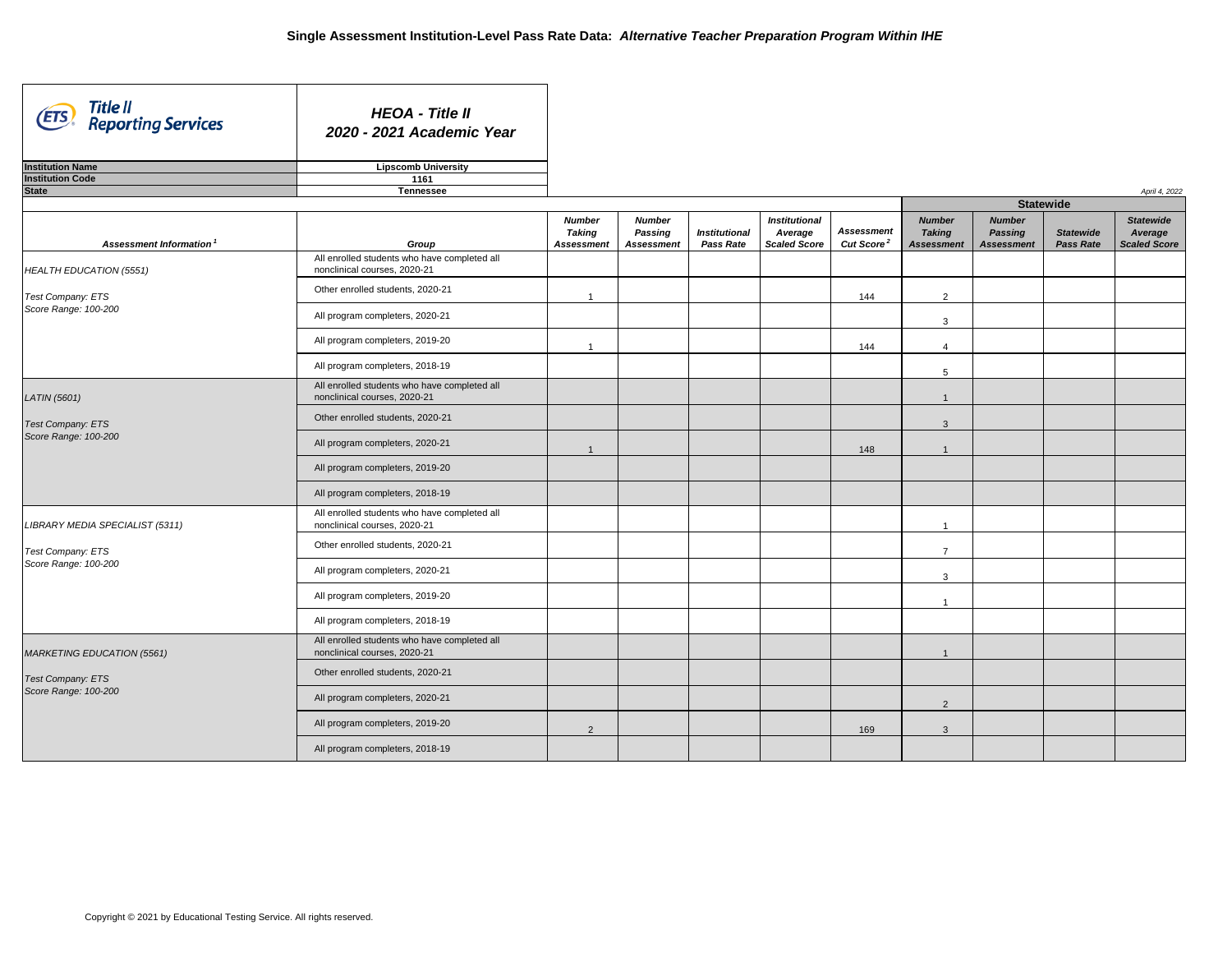| Title II<br>Reporting Services<br>(ETS) | <b>HEOA - Title II</b><br>2020 - 2021 Academic Year                          |                                                     |                                                      |                                          |                                                        |                                             |                                               |
|-----------------------------------------|------------------------------------------------------------------------------|-----------------------------------------------------|------------------------------------------------------|------------------------------------------|--------------------------------------------------------|---------------------------------------------|-----------------------------------------------|
| <b>Institution Name</b>                 | <b>Lipscomb University</b>                                                   |                                                     |                                                      |                                          |                                                        |                                             |                                               |
| <b>Institution Code</b>                 | 1161                                                                         |                                                     |                                                      |                                          |                                                        |                                             |                                               |
| <b>State</b>                            | <b>Tennessee</b>                                                             |                                                     |                                                      |                                          |                                                        |                                             |                                               |
|                                         |                                                                              |                                                     |                                                      |                                          |                                                        |                                             |                                               |
| Assessment Information <sup>1</sup>     | Group                                                                        | <b>Number</b><br><b>Taking</b><br><b>Assessment</b> | <b>Number</b><br><b>Passing</b><br><b>Assessment</b> | <b>Institutional</b><br><b>Pass Rate</b> | <b>Institutional</b><br>Average<br><b>Scaled Score</b> | <b>Assessment</b><br>Cut Score <sup>2</sup> | <b>Numb</b><br><b>Takin</b><br><b>Assessn</b> |
| <b>HEALTH EDUCATION (5551)</b>          | All enrolled students who have completed all<br>nonclinical courses, 2020-21 |                                                     |                                                      |                                          |                                                        |                                             |                                               |
| Test Company: ETS                       | Other enrolled students, 2020-21                                             |                                                     |                                                      |                                          |                                                        | 144                                         | $\overline{c}$                                |
| Score Range: 100-200                    | All program completers, 2020-21                                              |                                                     |                                                      |                                          |                                                        |                                             | 3                                             |
|                                         | All program completers, 2019-20                                              |                                                     |                                                      |                                          |                                                        | 144                                         |                                               |
|                                         | All program completers, 2018-19                                              |                                                     |                                                      |                                          |                                                        |                                             | 5                                             |
| <b>LATIN</b> (5601)                     | All enrolled students who have completed all<br>nonclinical courses, 2020-21 |                                                     |                                                      |                                          |                                                        |                                             | $\mathbf{1}$                                  |
| Test Company: ETS                       | Other enrolled students, 2020-21                                             |                                                     |                                                      |                                          |                                                        |                                             | 3                                             |
| Score Range: 100-200                    | All program completers, 2020-21                                              |                                                     |                                                      |                                          |                                                        | 148                                         |                                               |
|                                         | All program completers, 2019-20                                              |                                                     |                                                      |                                          |                                                        |                                             |                                               |
|                                         | All program completers, 2018-19                                              |                                                     |                                                      |                                          |                                                        |                                             |                                               |
| LIBRARY MEDIA SPECIALIST (5311)         | All enrolled students who have completed all<br>nonclinical courses, 2020-21 |                                                     |                                                      |                                          |                                                        |                                             |                                               |
| Test Company: ETS                       | Other enrolled students, 2020-21                                             |                                                     |                                                      |                                          |                                                        |                                             | 7                                             |
| Score Range: 100-200                    | All program completers, 2020-21                                              |                                                     |                                                      |                                          |                                                        |                                             | 3                                             |
|                                         | All program completers, 2019-20                                              |                                                     |                                                      |                                          |                                                        |                                             |                                               |
|                                         | All program completers, 2018-19                                              |                                                     |                                                      |                                          |                                                        |                                             |                                               |
| MARKETING EDUCATION (5561)              | All enrolled students who have completed all<br>nonclinical courses, 2020-21 |                                                     |                                                      |                                          |                                                        |                                             | -1                                            |
| Test Company: ETS                       | Other enrolled students, 2020-21                                             |                                                     |                                                      |                                          |                                                        |                                             |                                               |
| Score Range: 100-200                    | All program completers, 2020-21                                              |                                                     |                                                      |                                          |                                                        |                                             | $\overline{2}$                                |
|                                         | All program completers, 2019-20                                              | $\overline{2}$                                      |                                                      |                                          |                                                        | 169                                         | 3                                             |
|                                         | All program completers, 2018-19                                              |                                                     |                                                      |                                          |                                                        |                                             |                                               |

| April 4, 2022<br><b>Statewide</b>           |                                                     |                                                      |                                      |                                                    |  |  |  |  |  |  |  |  |
|---------------------------------------------|-----------------------------------------------------|------------------------------------------------------|--------------------------------------|----------------------------------------------------|--|--|--|--|--|--|--|--|
| <b>Assessment</b><br>Cut Score <sup>2</sup> | <b>Number</b><br><b>Taking</b><br><b>Assessment</b> | <b>Number</b><br><b>Passing</b><br><b>Assessment</b> | <b>Statewide</b><br><b>Pass Rate</b> | <b>Statewide</b><br>Average<br><b>Scaled Score</b> |  |  |  |  |  |  |  |  |
|                                             |                                                     |                                                      |                                      |                                                    |  |  |  |  |  |  |  |  |
| 144                                         | $\overline{2}$                                      |                                                      |                                      |                                                    |  |  |  |  |  |  |  |  |
|                                             | $\ensuremath{\mathsf{3}}$                           |                                                      |                                      |                                                    |  |  |  |  |  |  |  |  |
| 144                                         | 4                                                   |                                                      |                                      |                                                    |  |  |  |  |  |  |  |  |
|                                             | 5                                                   |                                                      |                                      |                                                    |  |  |  |  |  |  |  |  |
|                                             | $\mathbf{1}$                                        |                                                      |                                      |                                                    |  |  |  |  |  |  |  |  |
|                                             | $\mathsf 3$                                         |                                                      |                                      |                                                    |  |  |  |  |  |  |  |  |
| 148                                         | $\mathbf{1}$                                        |                                                      |                                      |                                                    |  |  |  |  |  |  |  |  |
|                                             |                                                     |                                                      |                                      |                                                    |  |  |  |  |  |  |  |  |
|                                             |                                                     |                                                      |                                      |                                                    |  |  |  |  |  |  |  |  |
|                                             | $\mathbf 1$                                         |                                                      |                                      |                                                    |  |  |  |  |  |  |  |  |
|                                             | $\overline{7}$                                      |                                                      |                                      |                                                    |  |  |  |  |  |  |  |  |
|                                             | $\ensuremath{\mathsf{3}}$                           |                                                      |                                      |                                                    |  |  |  |  |  |  |  |  |
|                                             | 1                                                   |                                                      |                                      |                                                    |  |  |  |  |  |  |  |  |
|                                             |                                                     |                                                      |                                      |                                                    |  |  |  |  |  |  |  |  |
|                                             | $\mathbf{1}$                                        |                                                      |                                      |                                                    |  |  |  |  |  |  |  |  |
|                                             |                                                     |                                                      |                                      |                                                    |  |  |  |  |  |  |  |  |
|                                             | $\mathbf 2$                                         |                                                      |                                      |                                                    |  |  |  |  |  |  |  |  |
| 169                                         | $\mathsf 3$                                         |                                                      |                                      |                                                    |  |  |  |  |  |  |  |  |
|                                             |                                                     |                                                      |                                      |                                                    |  |  |  |  |  |  |  |  |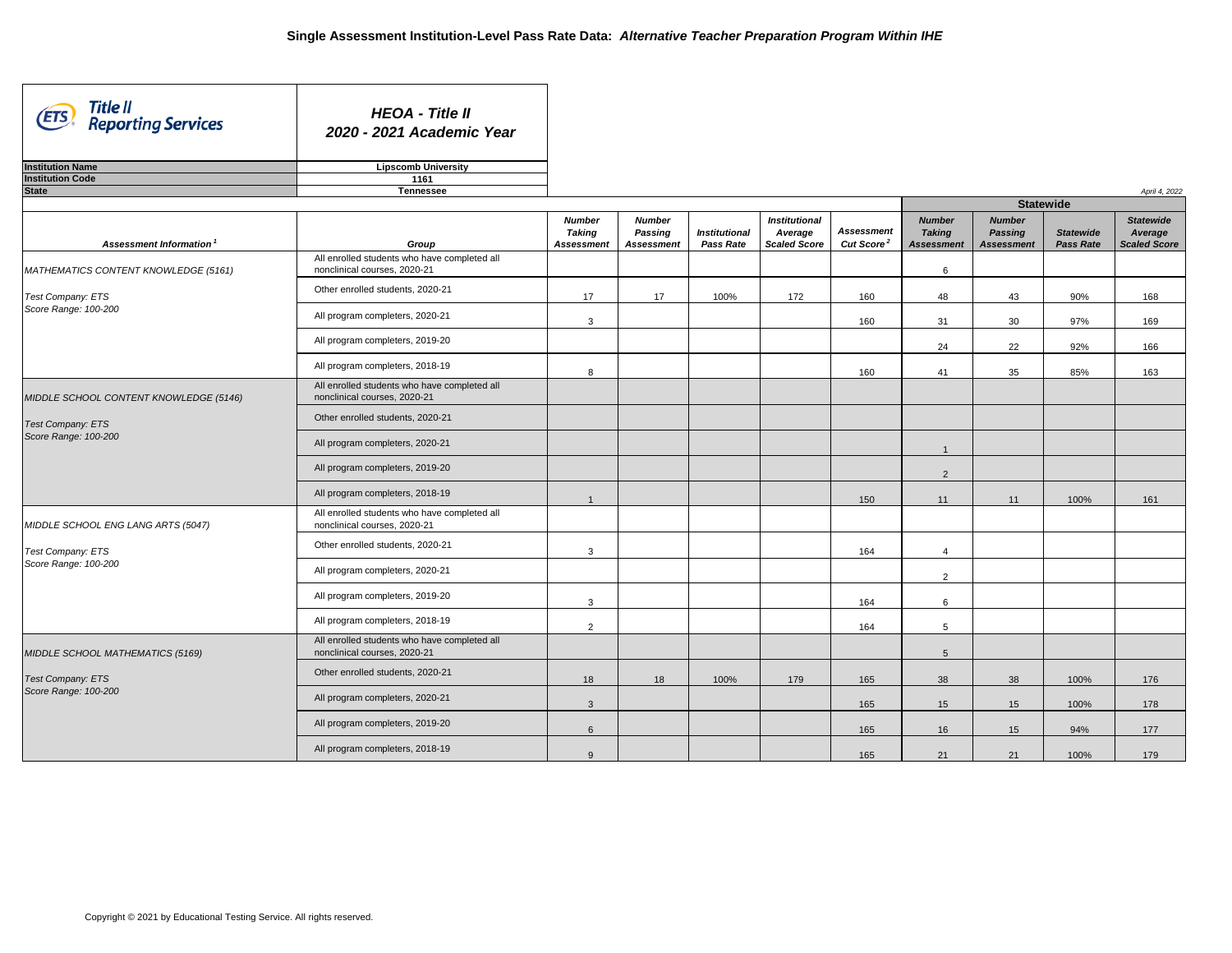| Title II<br>(ETS)<br><b>Reporting Services</b>                                             | <b>HEOA - Title II</b><br>2020 - 2021 Academic Year                          |                   |                   |                      |                      |                        |                   |                   |                  |                     |
|--------------------------------------------------------------------------------------------|------------------------------------------------------------------------------|-------------------|-------------------|----------------------|----------------------|------------------------|-------------------|-------------------|------------------|---------------------|
| <b>Institution Name</b>                                                                    | <b>Lipscomb University</b>                                                   |                   |                   |                      |                      |                        |                   |                   |                  |                     |
| <b>Institution Code</b>                                                                    | 1161                                                                         |                   |                   |                      |                      |                        |                   |                   |                  |                     |
| <b>State</b>                                                                               | <b>Tennessee</b>                                                             |                   |                   |                      |                      |                        |                   | <b>Statewide</b>  |                  | April 4, 2022       |
|                                                                                            |                                                                              | <b>Number</b>     | <b>Number</b>     |                      | <b>Institutional</b> |                        | <b>Number</b>     | <b>Number</b>     |                  | <b>Statewide</b>    |
|                                                                                            |                                                                              | <b>Taking</b>     | <b>Passing</b>    | <b>Institutional</b> | Average              | <b>Assessment</b>      | <b>Taking</b>     | <b>Passing</b>    | <b>Statewide</b> | Average             |
| Assessment Information <sup>1</sup>                                                        | Group                                                                        | <b>Assessment</b> | <b>Assessment</b> | <b>Pass Rate</b>     | <b>Scaled Score</b>  | Cut Score <sup>2</sup> | <b>Assessment</b> | <b>Assessment</b> | <b>Pass Rate</b> | <b>Scaled Score</b> |
| MATHEMATICS CONTENT KNOWLEDGE (5161)                                                       | All enrolled students who have completed all<br>nonclinical courses, 2020-21 |                   |                   |                      |                      |                        | 6                 |                   |                  |                     |
| Test Company: ETS                                                                          | Other enrolled students, 2020-21                                             | 17                | 17                | 100%                 | 172                  | 160                    | 48                | 43                | 90%              | 168                 |
| Score Range: 100-200                                                                       | All program completers, 2020-21                                              | 3                 |                   |                      |                      | 160                    | 31                | 30                | 97%              | 169                 |
|                                                                                            | All program completers, 2019-20                                              |                   |                   |                      |                      |                        | 24                | 22                | 92%              | 166                 |
|                                                                                            | All program completers, 2018-19                                              | 8                 |                   |                      |                      | 160                    | 41                | 35                | 85%              | 163                 |
| MIDDLE SCHOOL CONTENT KNOWLEDGE (5146)<br><b>Test Company: ETS</b><br>Score Range: 100-200 | All enrolled students who have completed all<br>nonclinical courses, 2020-21 |                   |                   |                      |                      |                        |                   |                   |                  |                     |
|                                                                                            | Other enrolled students, 2020-21                                             |                   |                   |                      |                      |                        |                   |                   |                  |                     |
|                                                                                            | All program completers, 2020-21                                              |                   |                   |                      |                      |                        |                   |                   |                  |                     |
|                                                                                            | All program completers, 2019-20                                              |                   |                   |                      |                      |                        | $\overline{2}$    |                   |                  |                     |
|                                                                                            | All program completers, 2018-19                                              |                   |                   |                      |                      | 150                    | 11                | 11                | 100%             | 161                 |
| MIDDLE SCHOOL ENG LANG ARTS (5047)                                                         | All enrolled students who have completed all<br>nonclinical courses, 2020-21 |                   |                   |                      |                      |                        |                   |                   |                  |                     |
| <b>Test Company: ETS</b>                                                                   | Other enrolled students, 2020-21                                             | $\mathbf{3}$      |                   |                      |                      | 164                    | 4                 |                   |                  |                     |
| Score Range: 100-200                                                                       | All program completers, 2020-21                                              |                   |                   |                      |                      |                        | $2^{\circ}$       |                   |                  |                     |
|                                                                                            | All program completers, 2019-20                                              | $\mathbf{3}$      |                   |                      |                      | 164                    | $6\overline{6}$   |                   |                  |                     |
|                                                                                            | All program completers, 2018-19                                              | $\overline{2}$    |                   |                      |                      | 164                    | 5 <sup>5</sup>    |                   |                  |                     |
| MIDDLE SCHOOL MATHEMATICS (5169)                                                           | All enrolled students who have completed all<br>nonclinical courses, 2020-21 |                   |                   |                      |                      |                        | $5\overline{)}$   |                   |                  |                     |
| <b>Test Company: ETS</b>                                                                   | Other enrolled students, 2020-21                                             | 18                | 18                | 100%                 | 179                  | 165                    | 38                | 38                | 100%             | 176                 |
| Score Range: 100-200                                                                       | All program completers, 2020-21                                              | $\mathbf{3}$      |                   |                      |                      | 165                    | 15                | 15                | 100%             | 178                 |
|                                                                                            | All program completers, 2019-20                                              | $6\phantom{1}$    |                   |                      |                      | 165                    | 16                | 15                | 94%              | 177                 |
|                                                                                            | All program completers, 2018-19                                              | 9                 |                   |                      |                      | 165                    | 21                | 21                | 100%             | 179                 |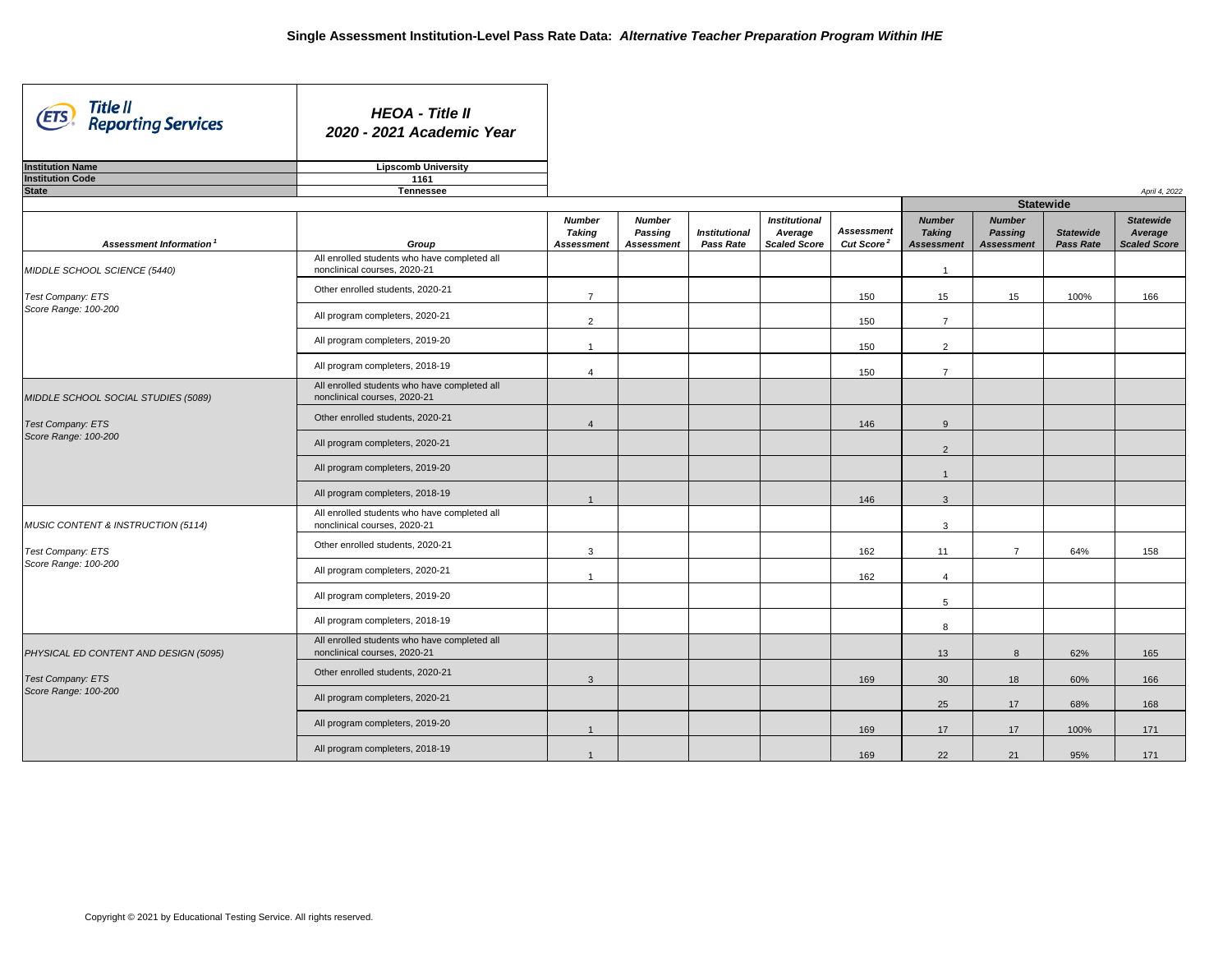ᄀ

| Title II<br>(ETS)<br><b>Reporting Services</b>                                   | <b>HEOA - Title II</b><br>2020 - 2021 Academic Year                          |                                |                                 |                      |                                 |                        |                                |                                 |                  |                             |
|----------------------------------------------------------------------------------|------------------------------------------------------------------------------|--------------------------------|---------------------------------|----------------------|---------------------------------|------------------------|--------------------------------|---------------------------------|------------------|-----------------------------|
| <b>Institution Name</b>                                                          | <b>Lipscomb University</b>                                                   |                                |                                 |                      |                                 |                        |                                |                                 |                  |                             |
| <b>Institution Code</b>                                                          | 1161                                                                         |                                |                                 |                      |                                 |                        |                                |                                 |                  |                             |
| <b>State</b>                                                                     | <b>Tennessee</b>                                                             |                                |                                 |                      |                                 |                        |                                | <b>Statewide</b>                |                  | April 4, 2022               |
|                                                                                  |                                                                              | <b>Number</b><br><b>Taking</b> | <b>Number</b><br><b>Passing</b> | <b>Institutional</b> | <b>Institutional</b><br>Average | <b>Assessment</b>      | <b>Number</b><br><b>Taking</b> | <b>Number</b><br><b>Passing</b> | <b>Statewide</b> | <b>Statewide</b><br>Average |
| Assessment Information <sup>1</sup>                                              | Group                                                                        | <b>Assessment</b>              | <b>Assessment</b>               | <b>Pass Rate</b>     | <b>Scaled Score</b>             | Cut Score <sup>2</sup> | <b>Assessment</b>              | <b>Assessment</b>               | <b>Pass Rate</b> | <b>Scaled Score</b>         |
| MIDDLE SCHOOL SCIENCE (5440)                                                     | All enrolled students who have completed all<br>nonclinical courses, 2020-21 |                                |                                 |                      |                                 |                        |                                |                                 |                  |                             |
| Test Company: ETS<br>Score Range: 100-200                                        | Other enrolled students, 2020-21                                             | $\overline{7}$                 |                                 |                      |                                 | 150                    | 15 <sub>15</sub>               | 15                              | 100%             | 166                         |
|                                                                                  | All program completers, 2020-21                                              | $\overline{2}$                 |                                 |                      |                                 | 150                    | 7                              |                                 |                  |                             |
|                                                                                  | All program completers, 2019-20                                              |                                |                                 |                      |                                 | 150                    | $\overline{2}$                 |                                 |                  |                             |
|                                                                                  | All program completers, 2018-19                                              |                                |                                 |                      |                                 | 150                    | $\overline{7}$                 |                                 |                  |                             |
| MIDDLE SCHOOL SOCIAL STUDIES (5089)<br>Test Company: ETS<br>Score Range: 100-200 | All enrolled students who have completed all<br>nonclinical courses, 2020-21 |                                |                                 |                      |                                 |                        |                                |                                 |                  |                             |
|                                                                                  | Other enrolled students, 2020-21                                             |                                |                                 |                      |                                 | 146                    | 9                              |                                 |                  |                             |
|                                                                                  | All program completers, 2020-21                                              |                                |                                 |                      |                                 |                        | $\overline{2}$                 |                                 |                  |                             |
|                                                                                  | All program completers, 2019-20                                              |                                |                                 |                      |                                 |                        | -1                             |                                 |                  |                             |
|                                                                                  | All program completers, 2018-19                                              |                                |                                 |                      |                                 | 146                    | 3                              |                                 |                  |                             |
| MUSIC CONTENT & INSTRUCTION (5114)                                               | All enrolled students who have completed all<br>nonclinical courses, 2020-21 |                                |                                 |                      |                                 |                        | 3 <sup>1</sup>                 |                                 |                  |                             |
| Test Company: ETS                                                                | Other enrolled students, 2020-21                                             | $\mathbf{3}$                   |                                 |                      |                                 | 162                    | 11                             | $\overline{7}$                  | 64%              | 158                         |
| Score Range: 100-200                                                             | All program completers, 2020-21                                              |                                |                                 |                      |                                 | 162                    | $\overline{4}$                 |                                 |                  |                             |
|                                                                                  | All program completers, 2019-20                                              |                                |                                 |                      |                                 |                        | $5\phantom{.0}$                |                                 |                  |                             |
|                                                                                  | All program completers, 2018-19                                              |                                |                                 |                      |                                 |                        | 8                              |                                 |                  |                             |
| PHYSICAL ED CONTENT AND DESIGN (5095)                                            | All enrolled students who have completed all<br>nonclinical courses, 2020-21 |                                |                                 |                      |                                 |                        | 13                             | 8                               | 62%              | 165                         |
| <b>Test Company: ETS</b>                                                         | Other enrolled students, 2020-21                                             | $\mathbf{3}$                   |                                 |                      |                                 | 169                    | 30                             | 18                              | 60%              | 166                         |
| Score Range: 100-200                                                             | All program completers, 2020-21                                              |                                |                                 |                      |                                 |                        | 25                             | 17                              | 68%              | 168                         |
|                                                                                  | All program completers, 2019-20                                              |                                |                                 |                      |                                 | 169                    | 17                             | 17                              | 100%             | 171                         |
|                                                                                  | All program completers, 2018-19                                              |                                |                                 |                      |                                 | 169                    | 22                             | 21                              | 95%              | 171                         |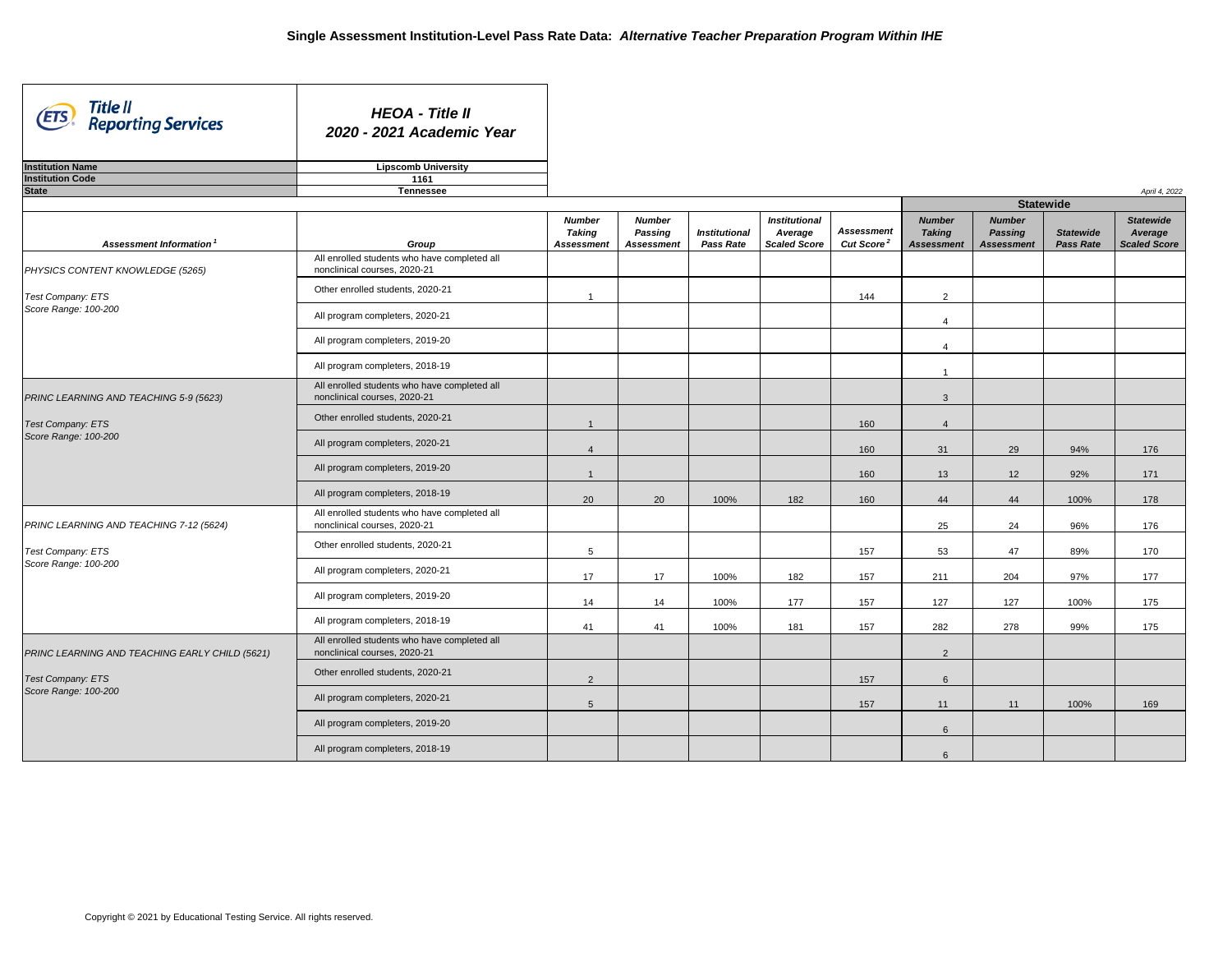| Title II<br>(ETS)<br><b>Reporting Services</b>                     | <b>HEOA - Title II</b><br>2020 - 2021 Academic Year                          |                                                     |                                                      |                                          |                                                        |                                             |                                                     |                                                      |                                      |                                             |
|--------------------------------------------------------------------|------------------------------------------------------------------------------|-----------------------------------------------------|------------------------------------------------------|------------------------------------------|--------------------------------------------------------|---------------------------------------------|-----------------------------------------------------|------------------------------------------------------|--------------------------------------|---------------------------------------------|
| <b>Institution Name</b>                                            | <b>Lipscomb University</b>                                                   |                                                     |                                                      |                                          |                                                        |                                             |                                                     |                                                      |                                      |                                             |
| <b>Institution Code</b>                                            | 1161                                                                         |                                                     |                                                      |                                          |                                                        |                                             |                                                     |                                                      |                                      |                                             |
| <b>State</b>                                                       | <b>Tennessee</b>                                                             |                                                     |                                                      |                                          |                                                        |                                             |                                                     |                                                      |                                      | April 4, 2022                               |
|                                                                    |                                                                              |                                                     |                                                      |                                          |                                                        |                                             |                                                     |                                                      | <b>Statewide</b>                     |                                             |
| Assessment Information <sup>1</sup>                                | Group                                                                        | <b>Number</b><br><b>Taking</b><br><b>Assessment</b> | <b>Number</b><br><b>Passing</b><br><b>Assessment</b> | <b>Institutional</b><br><b>Pass Rate</b> | <b>Institutional</b><br>Average<br><b>Scaled Score</b> | <b>Assessment</b><br>Cut Score <sup>2</sup> | <b>Number</b><br><b>Taking</b><br><b>Assessment</b> | <b>Number</b><br><b>Passing</b><br><b>Assessment</b> | <b>Statewide</b><br><b>Pass Rate</b> | <b>Statewide</b><br>Average<br>Scaled Score |
| PHYSICS CONTENT KNOWLEDGE (5265)                                   | All enrolled students who have completed all<br>nonclinical courses, 2020-21 |                                                     |                                                      |                                          |                                                        |                                             |                                                     |                                                      |                                      |                                             |
| Test Company: ETS<br>Score Range: 100-200                          | Other enrolled students, 2020-21                                             |                                                     |                                                      |                                          |                                                        | 144                                         | $\overline{2}$                                      |                                                      |                                      |                                             |
|                                                                    | All program completers, 2020-21                                              |                                                     |                                                      |                                          |                                                        |                                             | $\overline{4}$                                      |                                                      |                                      |                                             |
|                                                                    | All program completers, 2019-20                                              |                                                     |                                                      |                                          |                                                        |                                             | $\overline{4}$                                      |                                                      |                                      |                                             |
|                                                                    | All program completers, 2018-19                                              |                                                     |                                                      |                                          |                                                        |                                             |                                                     |                                                      |                                      |                                             |
| PRINC LEARNING AND TEACHING 5-9 (5623)<br><b>Test Company: ETS</b> | All enrolled students who have completed all<br>nonclinical courses, 2020-21 |                                                     |                                                      |                                          |                                                        |                                             | $\mathbf{3}$                                        |                                                      |                                      |                                             |
|                                                                    | Other enrolled students, 2020-21                                             |                                                     |                                                      |                                          |                                                        | 160                                         | $\overline{4}$                                      |                                                      |                                      |                                             |
| Score Range: 100-200                                               | All program completers, 2020-21                                              |                                                     |                                                      |                                          |                                                        | 160                                         | 31                                                  | 29                                                   | 94%                                  | 176                                         |
|                                                                    | All program completers, 2019-20                                              |                                                     |                                                      |                                          |                                                        | 160                                         | 13                                                  | 12                                                   | 92%                                  | 171                                         |
|                                                                    | All program completers, 2018-19                                              | 20                                                  | 20                                                   | 100%                                     | 182                                                    | 160                                         | 44                                                  | 44                                                   | 100%                                 | 178                                         |
| PRINC LEARNING AND TEACHING 7-12 (5624)                            | All enrolled students who have completed all<br>nonclinical courses, 2020-21 |                                                     |                                                      |                                          |                                                        |                                             | 25                                                  | 24                                                   | 96%                                  | 176                                         |
| Test Company: ETS                                                  | Other enrolled students, 2020-21                                             | $5\phantom{.0}$                                     |                                                      |                                          |                                                        | 157                                         | 53                                                  | 47                                                   | 89%                                  | 170                                         |
| Score Range: 100-200                                               | All program completers, 2020-21                                              | 17                                                  | 17                                                   | 100%                                     | 182                                                    | 157                                         | 211                                                 | 204                                                  | 97%                                  | 177                                         |
|                                                                    | All program completers, 2019-20                                              | 14                                                  | 14                                                   | 100%                                     | 177                                                    | 157                                         | 127                                                 | 127                                                  | 100%                                 | 175                                         |
|                                                                    | All program completers, 2018-19                                              | 41                                                  | 41                                                   | 100%                                     | 181                                                    | 157                                         | 282                                                 | 278                                                  | 99%                                  | 175                                         |
| PRINC LEARNING AND TEACHING EARLY CHILD (5621)                     | All enrolled students who have completed all<br>nonclinical courses, 2020-21 |                                                     |                                                      |                                          |                                                        |                                             | $\overline{2}$                                      |                                                      |                                      |                                             |
| <b>Test Company: ETS</b>                                           | Other enrolled students, 2020-21                                             | $\overline{2}$                                      |                                                      |                                          |                                                        | 157                                         | $6\phantom{1}$                                      |                                                      |                                      |                                             |
| Score Range: 100-200                                               | All program completers, 2020-21                                              | $\sqrt{5}$                                          |                                                      |                                          |                                                        | 157                                         | 11                                                  | 11                                                   | 100%                                 | 169                                         |
|                                                                    | All program completers, 2019-20                                              |                                                     |                                                      |                                          |                                                        |                                             | $6\overline{6}$                                     |                                                      |                                      |                                             |
|                                                                    | All program completers, 2018-19                                              |                                                     |                                                      |                                          |                                                        |                                             | $6\phantom{.}6$                                     |                                                      |                                      |                                             |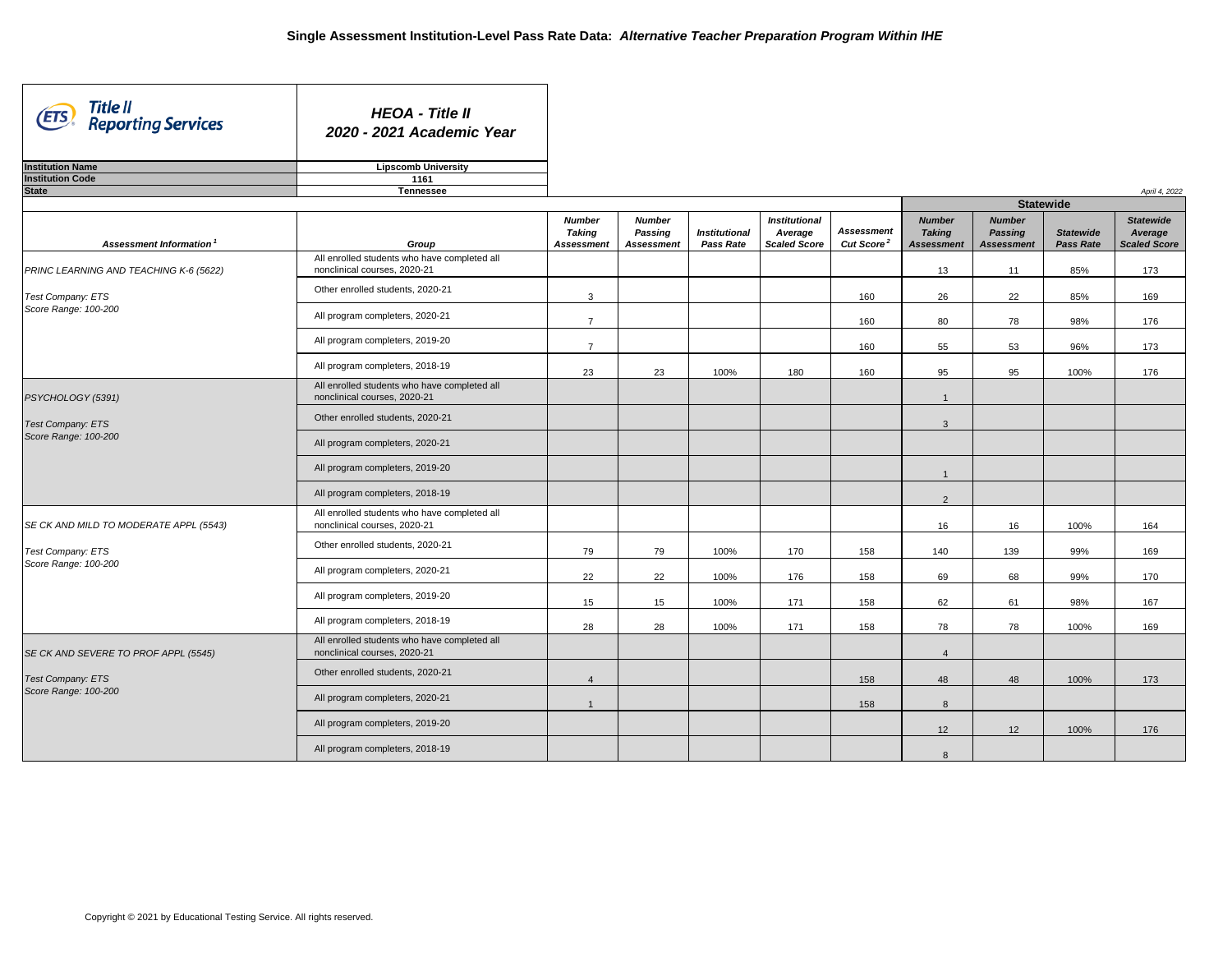| Title II<br>(ETS)<br><b>Reporting Services</b>                        | <b>HEOA - Title II</b><br>2020 - 2021 Academic Year                          |                                                     |                                                      |                                          |                                                        |                                             |                                                     |                                                      |                                      |                                             |
|-----------------------------------------------------------------------|------------------------------------------------------------------------------|-----------------------------------------------------|------------------------------------------------------|------------------------------------------|--------------------------------------------------------|---------------------------------------------|-----------------------------------------------------|------------------------------------------------------|--------------------------------------|---------------------------------------------|
| <b>Institution Name</b>                                               | <b>Lipscomb University</b>                                                   |                                                     |                                                      |                                          |                                                        |                                             |                                                     |                                                      |                                      |                                             |
| <b>Institution Code</b>                                               | 1161                                                                         |                                                     |                                                      |                                          |                                                        |                                             |                                                     |                                                      |                                      |                                             |
| <b>State</b>                                                          | <b>Tennessee</b>                                                             |                                                     |                                                      |                                          |                                                        |                                             |                                                     | <b>Statewide</b>                                     |                                      | April 4, 2022                               |
| Assessment Information <sup>1</sup>                                   | Group                                                                        | <b>Number</b><br><b>Taking</b><br><b>Assessment</b> | <b>Number</b><br><b>Passing</b><br><b>Assessment</b> | <b>Institutional</b><br><b>Pass Rate</b> | <b>Institutional</b><br>Average<br><b>Scaled Score</b> | <b>Assessment</b><br>Cut Score <sup>2</sup> | <b>Number</b><br><b>Taking</b><br><b>Assessment</b> | <b>Number</b><br><b>Passing</b><br><b>Assessment</b> | <b>Statewide</b><br><b>Pass Rate</b> | <b>Statewide</b><br>Average<br>Scaled Score |
| PRINC LEARNING AND TEACHING K-6 (5622)                                | All enrolled students who have completed all<br>nonclinical courses, 2020-21 |                                                     |                                                      |                                          |                                                        |                                             | 13                                                  | 11                                                   | 85%                                  | 173                                         |
| Test Company: ETS<br>Score Range: 100-200                             | Other enrolled students, 2020-21                                             | 3                                                   |                                                      |                                          |                                                        | 160                                         | 26                                                  | 22                                                   | 85%                                  | 169                                         |
|                                                                       | All program completers, 2020-21                                              | $\overline{7}$                                      |                                                      |                                          |                                                        | 160                                         | 80                                                  | 78                                                   | 98%                                  | 176                                         |
|                                                                       | All program completers, 2019-20                                              | $\overline{7}$                                      |                                                      |                                          |                                                        | 160                                         | 55                                                  | 53                                                   | 96%                                  | 173                                         |
|                                                                       | All program completers, 2018-19                                              | 23                                                  | 23                                                   | 100%                                     | 180                                                    | 160                                         | 95                                                  | 95                                                   | 100%                                 | 176                                         |
| PSYCHOLOGY (5391)<br><b>Test Company: ETS</b><br>Score Range: 100-200 | All enrolled students who have completed all<br>nonclinical courses, 2020-21 |                                                     |                                                      |                                          |                                                        |                                             | $\overline{\phantom{a}}$                            |                                                      |                                      |                                             |
|                                                                       | Other enrolled students, 2020-21                                             |                                                     |                                                      |                                          |                                                        |                                             | 3                                                   |                                                      |                                      |                                             |
|                                                                       | All program completers, 2020-21                                              |                                                     |                                                      |                                          |                                                        |                                             |                                                     |                                                      |                                      |                                             |
|                                                                       | All program completers, 2019-20                                              |                                                     |                                                      |                                          |                                                        |                                             |                                                     |                                                      |                                      |                                             |
|                                                                       | All program completers, 2018-19                                              |                                                     |                                                      |                                          |                                                        |                                             | $\overline{2}$                                      |                                                      |                                      |                                             |
| SE CK AND MILD TO MODERATE APPL (5543)                                | All enrolled students who have completed all<br>nonclinical courses, 2020-21 |                                                     |                                                      |                                          |                                                        |                                             | 16                                                  | 16                                                   | 100%                                 | 164                                         |
| Test Company: ETS                                                     | Other enrolled students, 2020-21                                             | 79                                                  | 79                                                   | 100%                                     | 170                                                    | 158                                         | 140                                                 | 139                                                  | 99%                                  | 169                                         |
| Score Range: 100-200                                                  | All program completers, 2020-21                                              | 22                                                  | 22                                                   | 100%                                     | 176                                                    | 158                                         | 69                                                  | 68                                                   | 99%                                  | 170                                         |
|                                                                       | All program completers, 2019-20                                              | 15                                                  | 15                                                   | 100%                                     | 171                                                    | 158                                         | 62                                                  | 61                                                   | 98%                                  | 167                                         |
|                                                                       | All program completers, 2018-19                                              | 28                                                  | 28                                                   | 100%                                     | 171                                                    | 158                                         | 78                                                  | 78                                                   | 100%                                 | 169                                         |
| SE CK AND SEVERE TO PROF APPL (5545)                                  | All enrolled students who have completed all<br>nonclinical courses, 2020-21 |                                                     |                                                      |                                          |                                                        |                                             | $\overline{4}$                                      |                                                      |                                      |                                             |
| <b>Test Company: ETS</b>                                              | Other enrolled students, 2020-21                                             |                                                     |                                                      |                                          |                                                        | 158                                         | 48                                                  | 48                                                   | 100%                                 | 173                                         |
| Score Range: 100-200                                                  | All program completers, 2020-21                                              |                                                     |                                                      |                                          |                                                        | 158                                         | 8                                                   |                                                      |                                      |                                             |
|                                                                       | All program completers, 2019-20                                              |                                                     |                                                      |                                          |                                                        |                                             | 12 <sup>°</sup>                                     | 12                                                   | 100%                                 | 176                                         |
|                                                                       | All program completers, 2018-19                                              |                                                     |                                                      |                                          |                                                        |                                             | 8                                                   |                                                      |                                      |                                             |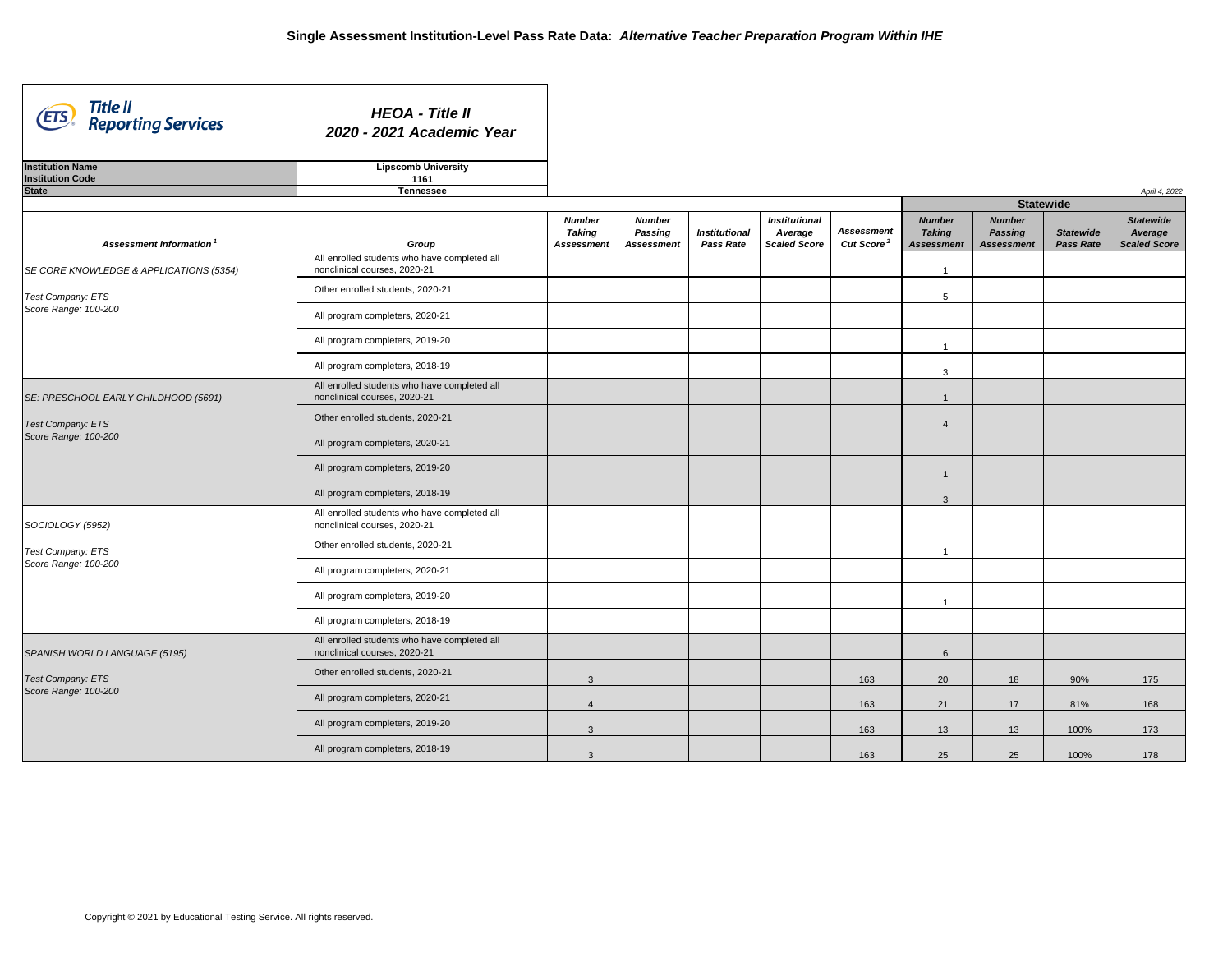ᄀ

| Title II<br>(ETS)<br><b>Reporting Services</b>                                           | <b>HEOA - Title II</b><br>2020 - 2021 Academic Year                          |                                                     |                                                      |                                          |                                                        |                                             |                                                     |                                                      |                                      |                                                    |
|------------------------------------------------------------------------------------------|------------------------------------------------------------------------------|-----------------------------------------------------|------------------------------------------------------|------------------------------------------|--------------------------------------------------------|---------------------------------------------|-----------------------------------------------------|------------------------------------------------------|--------------------------------------|----------------------------------------------------|
| <b>Institution Name</b>                                                                  | <b>Lipscomb University</b>                                                   |                                                     |                                                      |                                          |                                                        |                                             |                                                     |                                                      |                                      |                                                    |
| <b>Institution Code</b>                                                                  | 1161                                                                         |                                                     |                                                      |                                          |                                                        |                                             |                                                     |                                                      |                                      |                                                    |
| <b>State</b>                                                                             | <b>Tennessee</b>                                                             |                                                     |                                                      |                                          |                                                        |                                             |                                                     |                                                      |                                      | April 4, 2022                                      |
|                                                                                          |                                                                              |                                                     |                                                      |                                          |                                                        |                                             |                                                     |                                                      | <b>Statewide</b>                     |                                                    |
| Assessment Information                                                                   | Group                                                                        | <b>Number</b><br><b>Taking</b><br><b>Assessment</b> | <b>Number</b><br><b>Passing</b><br><b>Assessment</b> | <b>Institutional</b><br><b>Pass Rate</b> | <b>Institutional</b><br>Average<br><b>Scaled Score</b> | <b>Assessment</b><br>Cut Score <sup>2</sup> | <b>Number</b><br><b>Taking</b><br><b>Assessment</b> | <b>Number</b><br><b>Passing</b><br><b>Assessment</b> | <b>Statewide</b><br><b>Pass Rate</b> | <b>Statewide</b><br>Average<br><b>Scaled Score</b> |
| SE CORE KNOWLEDGE & APPLICATIONS (5354)                                                  | All enrolled students who have completed all<br>nonclinical courses, 2020-21 |                                                     |                                                      |                                          |                                                        |                                             |                                                     |                                                      |                                      |                                                    |
| Test Company: ETS<br>Score Range: 100-200                                                | Other enrolled students, 2020-21                                             |                                                     |                                                      |                                          |                                                        |                                             | 5                                                   |                                                      |                                      |                                                    |
|                                                                                          | All program completers, 2020-21                                              |                                                     |                                                      |                                          |                                                        |                                             |                                                     |                                                      |                                      |                                                    |
|                                                                                          | All program completers, 2019-20                                              |                                                     |                                                      |                                          |                                                        |                                             |                                                     |                                                      |                                      |                                                    |
|                                                                                          | All program completers, 2018-19                                              |                                                     |                                                      |                                          |                                                        |                                             | 3                                                   |                                                      |                                      |                                                    |
| SE: PRESCHOOL EARLY CHILDHOOD (5691)<br><b>Test Company: ETS</b><br>Score Range: 100-200 | All enrolled students who have completed all<br>nonclinical courses, 2020-21 |                                                     |                                                      |                                          |                                                        |                                             | -1                                                  |                                                      |                                      |                                                    |
|                                                                                          | Other enrolled students, 2020-21                                             |                                                     |                                                      |                                          |                                                        |                                             | $\overline{\mathcal{A}}$                            |                                                      |                                      |                                                    |
|                                                                                          | All program completers, 2020-21                                              |                                                     |                                                      |                                          |                                                        |                                             |                                                     |                                                      |                                      |                                                    |
|                                                                                          | All program completers, 2019-20                                              |                                                     |                                                      |                                          |                                                        |                                             |                                                     |                                                      |                                      |                                                    |
|                                                                                          | All program completers, 2018-19                                              |                                                     |                                                      |                                          |                                                        |                                             | 3                                                   |                                                      |                                      |                                                    |
| SOCIOLOGY (5952)                                                                         | All enrolled students who have completed all<br>nonclinical courses, 2020-21 |                                                     |                                                      |                                          |                                                        |                                             |                                                     |                                                      |                                      |                                                    |
| <b>Test Company: ETS</b><br>Score Range: 100-200                                         | Other enrolled students, 2020-21                                             |                                                     |                                                      |                                          |                                                        |                                             |                                                     |                                                      |                                      |                                                    |
|                                                                                          | All program completers, 2020-21                                              |                                                     |                                                      |                                          |                                                        |                                             |                                                     |                                                      |                                      |                                                    |
|                                                                                          | All program completers, 2019-20                                              |                                                     |                                                      |                                          |                                                        |                                             |                                                     |                                                      |                                      |                                                    |
|                                                                                          | All program completers, 2018-19                                              |                                                     |                                                      |                                          |                                                        |                                             |                                                     |                                                      |                                      |                                                    |
| SPANISH WORLD LANGUAGE (5195)                                                            | All enrolled students who have completed all<br>nonclinical courses, 2020-21 |                                                     |                                                      |                                          |                                                        |                                             | $6\overline{6}$                                     |                                                      |                                      |                                                    |
| <b>Test Company: ETS</b>                                                                 | Other enrolled students, 2020-21                                             | $\mathbf{3}$                                        |                                                      |                                          |                                                        | 163                                         | 20                                                  | 18                                                   | 90%                                  | 175                                                |
| Score Range: 100-200                                                                     | All program completers, 2020-21                                              | $\overline{4}$                                      |                                                      |                                          |                                                        | 163                                         | 21                                                  | 17                                                   | 81%                                  | 168                                                |
|                                                                                          | All program completers, 2019-20                                              | $\mathbf{3}$                                        |                                                      |                                          |                                                        | 163                                         | 13                                                  | 13                                                   | 100%                                 | 173                                                |
|                                                                                          | All program completers, 2018-19                                              | $\mathbf{3}$                                        |                                                      |                                          |                                                        | 163                                         | 25                                                  | 25                                                   | 100%                                 | 178                                                |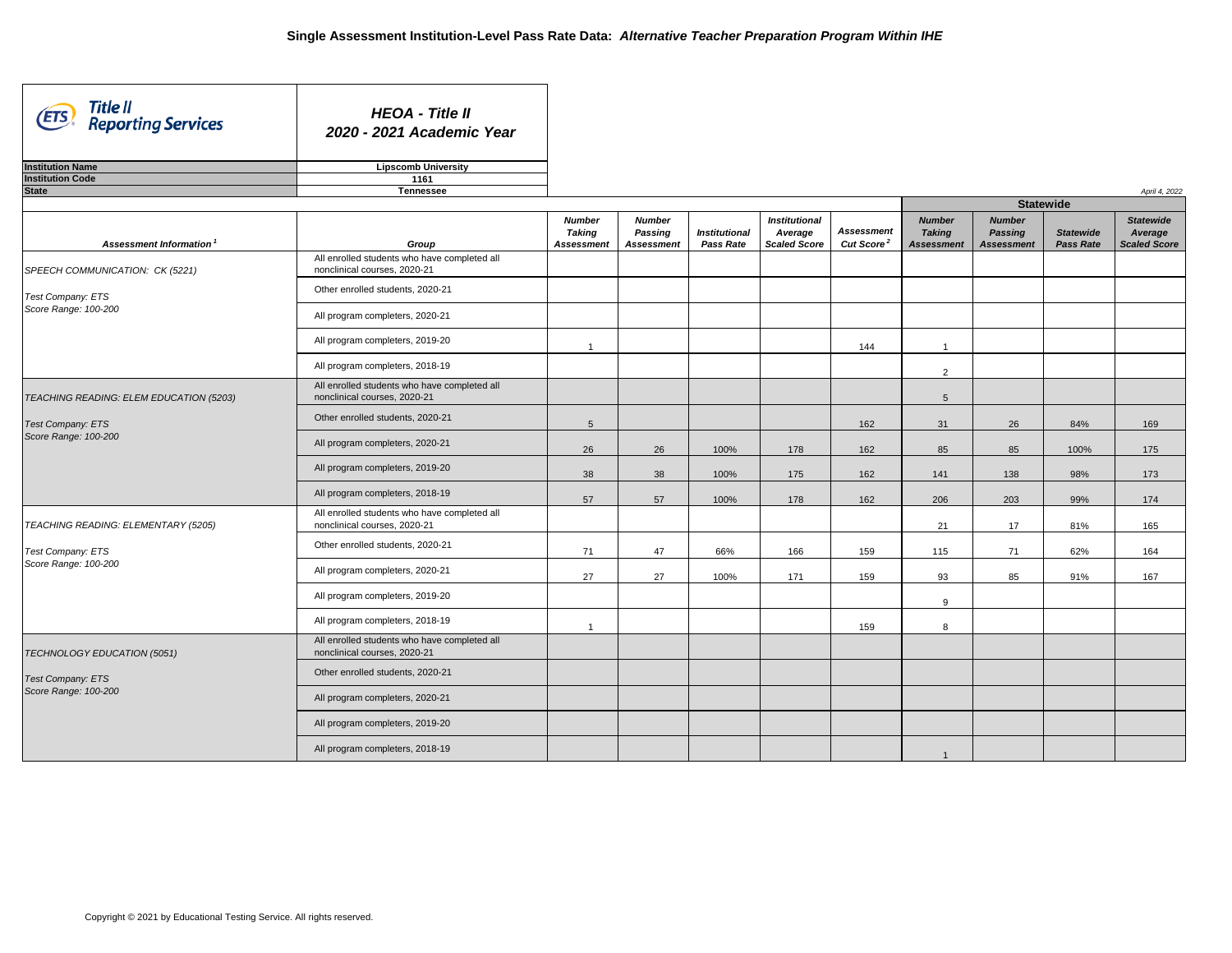| Title II<br>Reporting Services<br>(ETS)                             | <b>HEOA - Title II</b><br>2020 - 2021 Academic Year                          |                                                     |                                                      |                                          |                                                        |                                             |                                                     |                                                      |                                      |                                                    |
|---------------------------------------------------------------------|------------------------------------------------------------------------------|-----------------------------------------------------|------------------------------------------------------|------------------------------------------|--------------------------------------------------------|---------------------------------------------|-----------------------------------------------------|------------------------------------------------------|--------------------------------------|----------------------------------------------------|
| <b>Institution Name</b>                                             | <b>Lipscomb University</b>                                                   |                                                     |                                                      |                                          |                                                        |                                             |                                                     |                                                      |                                      |                                                    |
| <b>Institution Code</b>                                             | 1161                                                                         |                                                     |                                                      |                                          |                                                        |                                             |                                                     |                                                      |                                      |                                                    |
| <b>State</b>                                                        | <b>Tennessee</b>                                                             |                                                     |                                                      |                                          |                                                        |                                             |                                                     |                                                      |                                      | April 4, 2022                                      |
|                                                                     |                                                                              |                                                     |                                                      |                                          |                                                        |                                             |                                                     | <b>Statewide</b>                                     |                                      |                                                    |
| Assessment Information <sup>1</sup>                                 | Group                                                                        | <b>Number</b><br><b>Taking</b><br><b>Assessment</b> | <b>Number</b><br><b>Passing</b><br><b>Assessment</b> | <b>Institutional</b><br><b>Pass Rate</b> | <b>Institutional</b><br>Average<br><b>Scaled Score</b> | <b>Assessment</b><br>Cut Score <sup>2</sup> | <b>Number</b><br><b>Taking</b><br><b>Assessment</b> | <b>Number</b><br><b>Passing</b><br><b>Assessment</b> | <b>Statewide</b><br><b>Pass Rate</b> | <b>Statewide</b><br>Average<br><b>Scaled Score</b> |
| SPEECH COMMUNICATION: CK (5221)                                     | All enrolled students who have completed all<br>nonclinical courses, 2020-21 |                                                     |                                                      |                                          |                                                        |                                             |                                                     |                                                      |                                      |                                                    |
| Test Company: ETS<br>Score Range: 100-200                           | Other enrolled students, 2020-21                                             |                                                     |                                                      |                                          |                                                        |                                             |                                                     |                                                      |                                      |                                                    |
|                                                                     | All program completers, 2020-21                                              |                                                     |                                                      |                                          |                                                        |                                             |                                                     |                                                      |                                      |                                                    |
|                                                                     | All program completers, 2019-20                                              |                                                     |                                                      |                                          |                                                        | 144                                         | $\overline{\phantom{a}}$                            |                                                      |                                      |                                                    |
|                                                                     | All program completers, 2018-19                                              |                                                     |                                                      |                                          |                                                        |                                             | $\overline{2}$                                      |                                                      |                                      |                                                    |
| TEACHING READING: ELEM EDUCATION (5203)<br><b>Test Company: ETS</b> | All enrolled students who have completed all<br>nonclinical courses, 2020-21 |                                                     |                                                      |                                          |                                                        |                                             | 5                                                   |                                                      |                                      |                                                    |
|                                                                     | Other enrolled students, 2020-21                                             | 5                                                   |                                                      |                                          |                                                        | 162                                         | 31                                                  | 26                                                   | 84%                                  | 169                                                |
| Score Range: 100-200                                                | All program completers, 2020-21                                              | 26                                                  | 26                                                   | 100%                                     | 178                                                    | 162                                         | 85                                                  | 85                                                   | 100%                                 | 175                                                |
|                                                                     | All program completers, 2019-20                                              | 38                                                  | 38                                                   | 100%                                     | 175                                                    | 162                                         | 141                                                 | 138                                                  | 98%                                  | 173                                                |
|                                                                     | All program completers, 2018-19                                              | 57                                                  | 57                                                   | 100%                                     | 178                                                    | 162                                         | 206                                                 | 203                                                  | 99%                                  | 174                                                |
| TEACHING READING: ELEMENTARY (5205)                                 | All enrolled students who have completed all<br>nonclinical courses, 2020-21 |                                                     |                                                      |                                          |                                                        |                                             | 21                                                  | 17                                                   | 81%                                  | 165                                                |
| Test Company: ETS                                                   | Other enrolled students, 2020-21                                             | 71                                                  | 47                                                   | 66%                                      | 166                                                    | 159                                         | 115                                                 | 71                                                   | 62%                                  | 164                                                |
| Score Range: 100-200                                                | All program completers, 2020-21                                              | 27                                                  | 27                                                   | 100%                                     | 171                                                    | 159                                         | 93                                                  | 85                                                   | 91%                                  | 167                                                |
|                                                                     | All program completers, 2019-20                                              |                                                     |                                                      |                                          |                                                        |                                             | 9                                                   |                                                      |                                      |                                                    |
|                                                                     | All program completers, 2018-19                                              |                                                     |                                                      |                                          |                                                        | 159                                         | 8                                                   |                                                      |                                      |                                                    |
| TECHNOLOGY EDUCATION (5051)                                         | All enrolled students who have completed all<br>nonclinical courses, 2020-21 |                                                     |                                                      |                                          |                                                        |                                             |                                                     |                                                      |                                      |                                                    |
| <b>Test Company: ETS</b>                                            | Other enrolled students, 2020-21                                             |                                                     |                                                      |                                          |                                                        |                                             |                                                     |                                                      |                                      |                                                    |
| Score Range: 100-200                                                | All program completers, 2020-21                                              |                                                     |                                                      |                                          |                                                        |                                             |                                                     |                                                      |                                      |                                                    |
|                                                                     | All program completers, 2019-20                                              |                                                     |                                                      |                                          |                                                        |                                             |                                                     |                                                      |                                      |                                                    |
|                                                                     | All program completers, 2018-19                                              |                                                     |                                                      |                                          |                                                        |                                             |                                                     |                                                      |                                      |                                                    |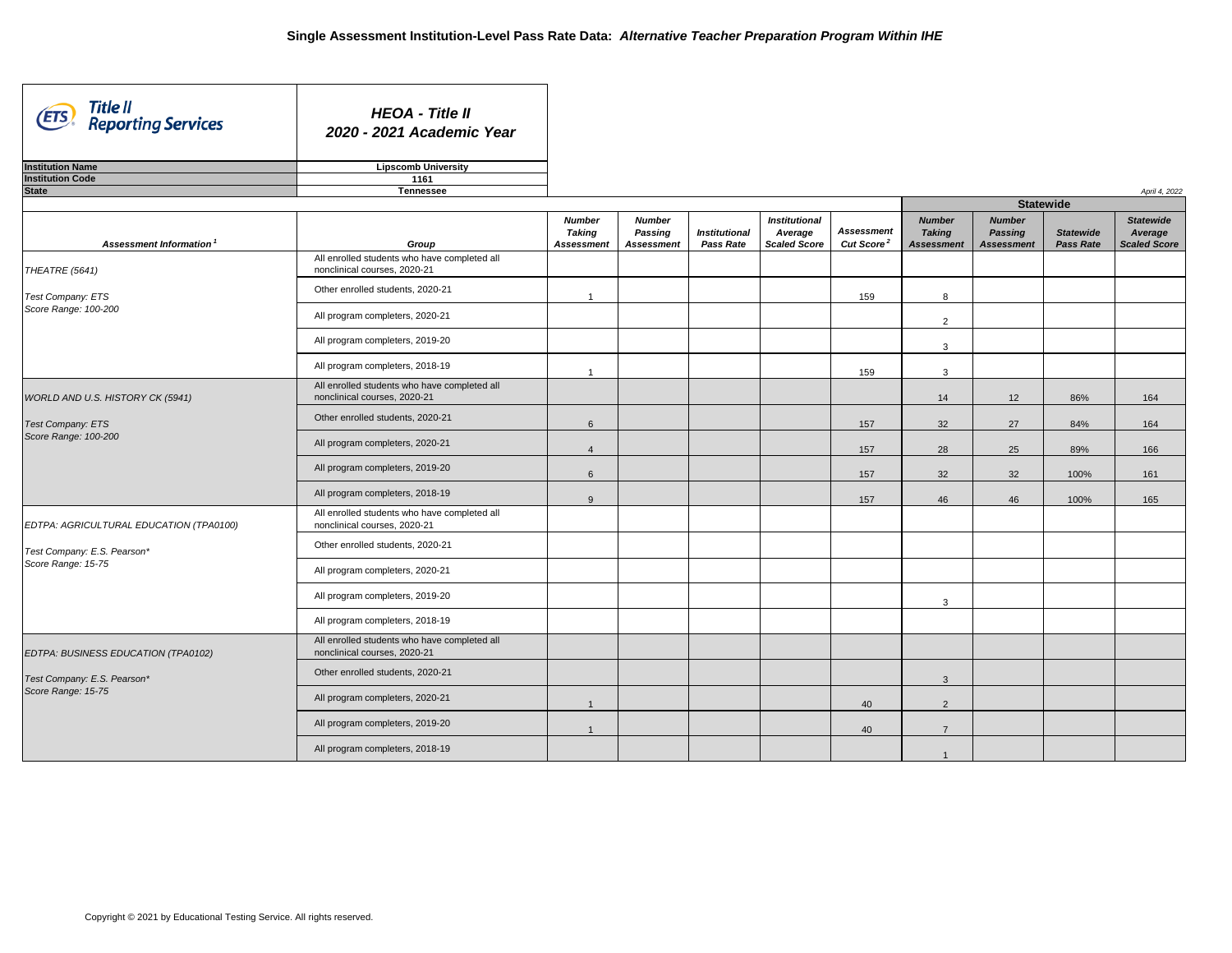| Title II<br>Reporting Services<br>(ETS)           | <b>HEOA - Title II</b><br>2020 - 2021 Academic Year                          |                                                     |                                                      |                                          |                                                        |                                                   |                                                     |                                                      |                                      |                                                    |
|---------------------------------------------------|------------------------------------------------------------------------------|-----------------------------------------------------|------------------------------------------------------|------------------------------------------|--------------------------------------------------------|---------------------------------------------------|-----------------------------------------------------|------------------------------------------------------|--------------------------------------|----------------------------------------------------|
| <b>Institution Name</b>                           | <b>Lipscomb University</b>                                                   |                                                     |                                                      |                                          |                                                        |                                                   |                                                     |                                                      |                                      |                                                    |
| <b>Institution Code</b>                           | 1161                                                                         |                                                     |                                                      |                                          |                                                        |                                                   |                                                     |                                                      |                                      |                                                    |
| <b>State</b>                                      | <b>Tennessee</b>                                                             |                                                     |                                                      |                                          |                                                        |                                                   |                                                     |                                                      |                                      | April 4, 2022                                      |
|                                                   |                                                                              |                                                     |                                                      |                                          |                                                        |                                                   |                                                     | <b>Statewide</b>                                     |                                      |                                                    |
| Assessment Information <sup>1</sup>               | Group                                                                        | <b>Number</b><br><b>Taking</b><br><b>Assessment</b> | <b>Number</b><br><b>Passing</b><br><b>Assessment</b> | <b>Institutional</b><br><b>Pass Rate</b> | <b>Institutional</b><br>Average<br><b>Scaled Score</b> | <b>Assessment</b><br><b>Cut Score<sup>2</sup></b> | <b>Number</b><br><b>Taking</b><br><b>Assessment</b> | <b>Number</b><br><b>Passing</b><br><b>Assessment</b> | <b>Statewide</b><br><b>Pass Rate</b> | <b>Statewide</b><br>Average<br><b>Scaled Score</b> |
| THEATRE (5641)                                    | All enrolled students who have completed all<br>nonclinical courses, 2020-21 |                                                     |                                                      |                                          |                                                        |                                                   |                                                     |                                                      |                                      |                                                    |
| <b>Test Company: ETS</b><br>Score Range: 100-200  | Other enrolled students, 2020-21                                             |                                                     |                                                      |                                          |                                                        | 159                                               | 8                                                   |                                                      |                                      |                                                    |
|                                                   | All program completers, 2020-21                                              |                                                     |                                                      |                                          |                                                        |                                                   | $\overline{2}$                                      |                                                      |                                      |                                                    |
|                                                   | All program completers, 2019-20                                              |                                                     |                                                      |                                          |                                                        |                                                   | 3                                                   |                                                      |                                      |                                                    |
|                                                   | All program completers, 2018-19                                              |                                                     |                                                      |                                          |                                                        | 159                                               | 3                                                   |                                                      |                                      |                                                    |
| WORLD AND U.S. HISTORY CK (5941)                  | All enrolled students who have completed all<br>nonclinical courses, 2020-21 |                                                     |                                                      |                                          |                                                        |                                                   | 14                                                  | 12                                                   | 86%                                  | 164                                                |
| Test Company: ETS                                 | Other enrolled students, 2020-21                                             | 6                                                   |                                                      |                                          |                                                        | 157                                               | 32                                                  | 27                                                   | 84%                                  | 164                                                |
| Score Range: 100-200                              | All program completers, 2020-21                                              |                                                     |                                                      |                                          |                                                        | 157                                               | 28                                                  | 25                                                   | 89%                                  | 166                                                |
|                                                   | All program completers, 2019-20                                              | 6                                                   |                                                      |                                          |                                                        | 157                                               | 32                                                  | 32                                                   | 100%                                 | 161                                                |
|                                                   | All program completers, 2018-19                                              | 9                                                   |                                                      |                                          |                                                        | 157                                               | 46                                                  | 46                                                   | 100%                                 | 165                                                |
| EDTPA: AGRICULTURAL EDUCATION (TPA0100)           | All enrolled students who have completed all<br>nonclinical courses, 2020-21 |                                                     |                                                      |                                          |                                                        |                                                   |                                                     |                                                      |                                      |                                                    |
| Test Company: E.S. Pearson*                       | Other enrolled students, 2020-21                                             |                                                     |                                                      |                                          |                                                        |                                                   |                                                     |                                                      |                                      |                                                    |
| Score Range: 15-75                                | All program completers, 2020-21                                              |                                                     |                                                      |                                          |                                                        |                                                   |                                                     |                                                      |                                      |                                                    |
|                                                   | All program completers, 2019-20                                              |                                                     |                                                      |                                          |                                                        |                                                   | 3                                                   |                                                      |                                      |                                                    |
|                                                   | All program completers, 2018-19                                              |                                                     |                                                      |                                          |                                                        |                                                   |                                                     |                                                      |                                      |                                                    |
| EDTPA: BUSINESS EDUCATION (TPA0102)               | All enrolled students who have completed all<br>nonclinical courses, 2020-21 |                                                     |                                                      |                                          |                                                        |                                                   |                                                     |                                                      |                                      |                                                    |
| Test Company: E.S. Pearson*<br>Score Range: 15-75 | Other enrolled students, 2020-21                                             |                                                     |                                                      |                                          |                                                        |                                                   | 3                                                   |                                                      |                                      |                                                    |
|                                                   | All program completers, 2020-21                                              |                                                     |                                                      |                                          |                                                        | 40                                                | $\overline{2}$                                      |                                                      |                                      |                                                    |
|                                                   | All program completers, 2019-20                                              |                                                     |                                                      |                                          |                                                        | 40                                                | $\overline{7}$                                      |                                                      |                                      |                                                    |
|                                                   | All program completers, 2018-19                                              |                                                     |                                                      |                                          |                                                        |                                                   |                                                     |                                                      |                                      |                                                    |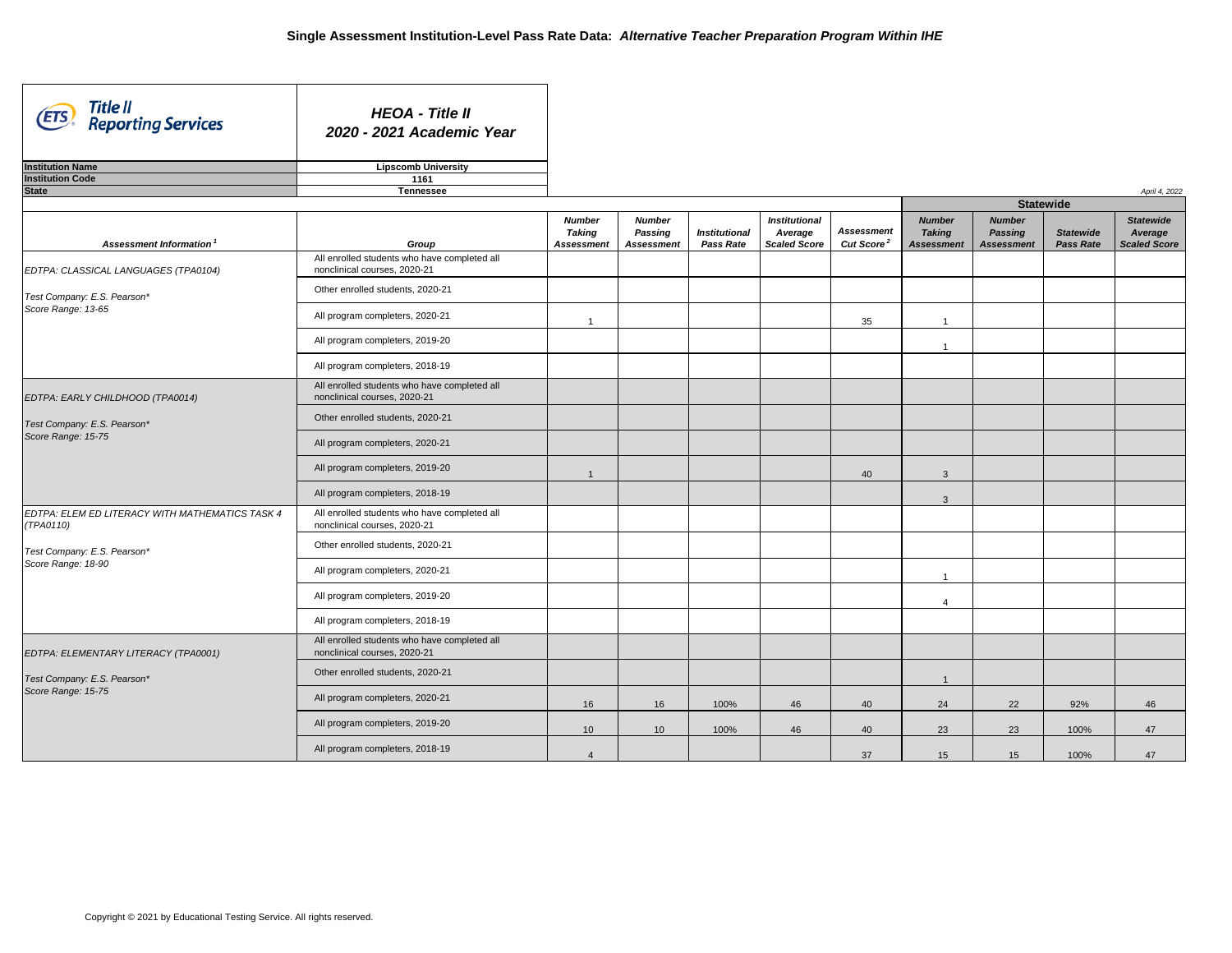ᄀ

| Title II<br>(ETS)<br><b>Reporting Services</b>                                        | <b>HEOA - Title II</b><br>2020 - 2021 Academic Year                          |                                                     |                                                      |                                          |                                                        |                                             |                                                     |                                                      |                                      |                                                    |
|---------------------------------------------------------------------------------------|------------------------------------------------------------------------------|-----------------------------------------------------|------------------------------------------------------|------------------------------------------|--------------------------------------------------------|---------------------------------------------|-----------------------------------------------------|------------------------------------------------------|--------------------------------------|----------------------------------------------------|
| <b>Institution Name</b>                                                               | <b>Lipscomb University</b>                                                   |                                                     |                                                      |                                          |                                                        |                                             |                                                     |                                                      |                                      |                                                    |
| <b>Institution Code</b>                                                               | 1161                                                                         |                                                     |                                                      |                                          |                                                        |                                             |                                                     |                                                      |                                      |                                                    |
| <b>State</b>                                                                          | <b>Tennessee</b>                                                             |                                                     |                                                      |                                          |                                                        |                                             |                                                     |                                                      |                                      | April 4, 2022                                      |
|                                                                                       |                                                                              |                                                     |                                                      |                                          |                                                        |                                             |                                                     | <b>Statewide</b>                                     |                                      |                                                    |
| Assessment Information <sup>1</sup>                                                   | Group                                                                        | <b>Number</b><br><b>Taking</b><br><b>Assessment</b> | <b>Number</b><br><b>Passing</b><br><b>Assessment</b> | <b>Institutional</b><br><b>Pass Rate</b> | <b>Institutional</b><br>Average<br><b>Scaled Score</b> | <b>Assessment</b><br>Cut Score <sup>2</sup> | <b>Number</b><br><b>Taking</b><br><b>Assessment</b> | <b>Number</b><br><b>Passing</b><br><b>Assessment</b> | <b>Statewide</b><br><b>Pass Rate</b> | <b>Statewide</b><br>Average<br><b>Scaled Score</b> |
| EDTPA: CLASSICAL LANGUAGES (TPA0104)                                                  | All enrolled students who have completed all<br>nonclinical courses, 2020-21 |                                                     |                                                      |                                          |                                                        |                                             |                                                     |                                                      |                                      |                                                    |
| Test Company: E.S. Pearson*                                                           | Other enrolled students, 2020-21                                             |                                                     |                                                      |                                          |                                                        |                                             |                                                     |                                                      |                                      |                                                    |
| Score Range: 13-65                                                                    | All program completers, 2020-21                                              |                                                     |                                                      |                                          |                                                        | 35                                          |                                                     |                                                      |                                      |                                                    |
|                                                                                       | All program completers, 2019-20                                              |                                                     |                                                      |                                          |                                                        |                                             |                                                     |                                                      |                                      |                                                    |
|                                                                                       | All program completers, 2018-19                                              |                                                     |                                                      |                                          |                                                        |                                             |                                                     |                                                      |                                      |                                                    |
| EDTPA: EARLY CHILDHOOD (TPA0014)<br>Test Company: E.S. Pearson*<br>Score Range: 15-75 | All enrolled students who have completed all<br>nonclinical courses, 2020-21 |                                                     |                                                      |                                          |                                                        |                                             |                                                     |                                                      |                                      |                                                    |
|                                                                                       | Other enrolled students, 2020-21                                             |                                                     |                                                      |                                          |                                                        |                                             |                                                     |                                                      |                                      |                                                    |
|                                                                                       | All program completers, 2020-21                                              |                                                     |                                                      |                                          |                                                        |                                             |                                                     |                                                      |                                      |                                                    |
|                                                                                       | All program completers, 2019-20                                              |                                                     |                                                      |                                          |                                                        | 40                                          | 3                                                   |                                                      |                                      |                                                    |
|                                                                                       | All program completers, 2018-19                                              |                                                     |                                                      |                                          |                                                        |                                             | 3                                                   |                                                      |                                      |                                                    |
| EDTPA: ELEM ED LITERACY WITH MATHEMATICS TASK 4<br>(TPA0110)                          | All enrolled students who have completed all<br>nonclinical courses, 2020-21 |                                                     |                                                      |                                          |                                                        |                                             |                                                     |                                                      |                                      |                                                    |
| Test Company: E.S. Pearson*                                                           | Other enrolled students, 2020-21                                             |                                                     |                                                      |                                          |                                                        |                                             |                                                     |                                                      |                                      |                                                    |
| Score Range: 18-90                                                                    | All program completers, 2020-21                                              |                                                     |                                                      |                                          |                                                        |                                             |                                                     |                                                      |                                      |                                                    |
|                                                                                       | All program completers, 2019-20                                              |                                                     |                                                      |                                          |                                                        |                                             | $\overline{4}$                                      |                                                      |                                      |                                                    |
|                                                                                       | All program completers, 2018-19                                              |                                                     |                                                      |                                          |                                                        |                                             |                                                     |                                                      |                                      |                                                    |
| EDTPA: ELEMENTARY LITERACY (TPA0001)                                                  | All enrolled students who have completed all<br>nonclinical courses, 2020-21 |                                                     |                                                      |                                          |                                                        |                                             |                                                     |                                                      |                                      |                                                    |
| Test Company: E.S. Pearson*                                                           | Other enrolled students, 2020-21                                             |                                                     |                                                      |                                          |                                                        |                                             | $\overline{1}$                                      |                                                      |                                      |                                                    |
| Score Range: 15-75                                                                    | All program completers, 2020-21                                              | 16                                                  | 16                                                   | 100%                                     | 46                                                     | 40                                          | 24                                                  | 22                                                   | 92%                                  | 46                                                 |
|                                                                                       | All program completers, 2019-20                                              | 10                                                  | 10                                                   | 100%                                     | 46                                                     | 40                                          | 23                                                  | 23                                                   | 100%                                 | 47                                                 |
|                                                                                       | All program completers, 2018-19                                              | $\overline{4}$                                      |                                                      |                                          |                                                        | 37                                          | 15                                                  | 15                                                   | 100%                                 | 47                                                 |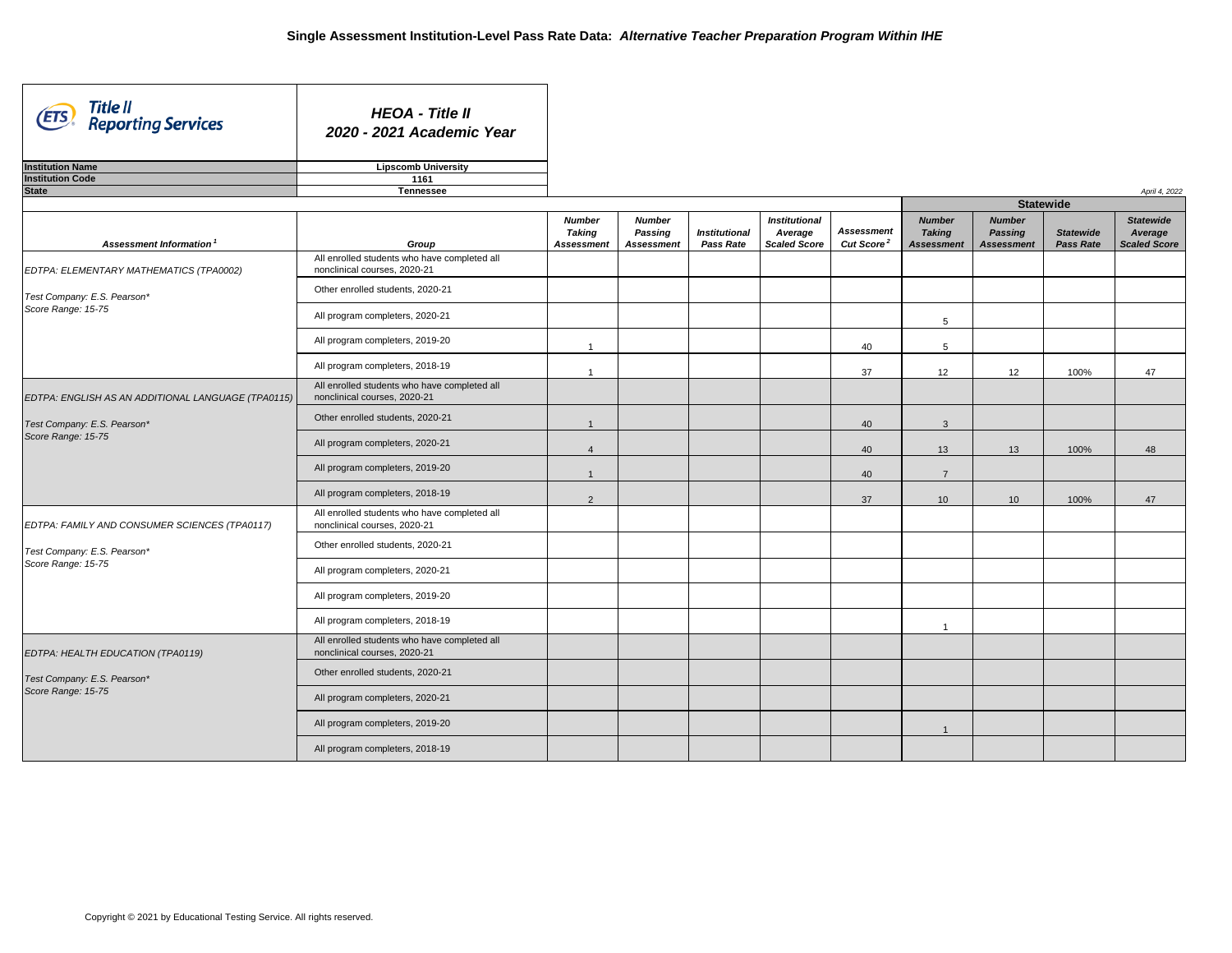ᄀ

| Title II<br>(ETS)<br><b>Reporting Services</b>                                                          | <b>HEOA - Title II</b><br>2020 - 2021 Academic Year                          |                                                     |                                                      |                                          |                                                        |                                             |                                                     |                                                      |                                      |                                                    |
|---------------------------------------------------------------------------------------------------------|------------------------------------------------------------------------------|-----------------------------------------------------|------------------------------------------------------|------------------------------------------|--------------------------------------------------------|---------------------------------------------|-----------------------------------------------------|------------------------------------------------------|--------------------------------------|----------------------------------------------------|
| <b>Institution Name</b>                                                                                 | <b>Lipscomb University</b>                                                   |                                                     |                                                      |                                          |                                                        |                                             |                                                     |                                                      |                                      |                                                    |
| <b>Institution Code</b>                                                                                 | 1161                                                                         |                                                     |                                                      |                                          |                                                        |                                             |                                                     |                                                      |                                      |                                                    |
| <b>State</b>                                                                                            | <b>Tennessee</b>                                                             |                                                     |                                                      |                                          |                                                        |                                             |                                                     | <b>Statewide</b>                                     |                                      | April 4, 2022                                      |
|                                                                                                         |                                                                              |                                                     |                                                      |                                          |                                                        |                                             |                                                     |                                                      |                                      |                                                    |
| Assessment Information <sup>1</sup>                                                                     | Group                                                                        | <b>Number</b><br><b>Taking</b><br><b>Assessment</b> | <b>Number</b><br><b>Passing</b><br><b>Assessment</b> | <b>Institutional</b><br><b>Pass Rate</b> | <b>Institutional</b><br>Average<br><b>Scaled Score</b> | <b>Assessment</b><br>Cut Score <sup>2</sup> | <b>Number</b><br><b>Taking</b><br><b>Assessment</b> | <b>Number</b><br><b>Passing</b><br><b>Assessment</b> | <b>Statewide</b><br><b>Pass Rate</b> | <b>Statewide</b><br>Average<br><b>Scaled Score</b> |
| EDTPA: ELEMENTARY MATHEMATICS (TPA0002)                                                                 | All enrolled students who have completed all<br>nonclinical courses, 2020-21 |                                                     |                                                      |                                          |                                                        |                                             |                                                     |                                                      |                                      |                                                    |
| Test Company: E.S. Pearson*                                                                             | Other enrolled students, 2020-21                                             |                                                     |                                                      |                                          |                                                        |                                             |                                                     |                                                      |                                      |                                                    |
| Score Range: 15-75                                                                                      | All program completers, 2020-21                                              |                                                     |                                                      |                                          |                                                        |                                             | 5                                                   |                                                      |                                      |                                                    |
|                                                                                                         | All program completers, 2019-20                                              |                                                     |                                                      |                                          |                                                        | 40                                          | $5\phantom{.0}$                                     |                                                      |                                      |                                                    |
|                                                                                                         | All program completers, 2018-19                                              |                                                     |                                                      |                                          |                                                        | 37                                          | 12 <sup>°</sup>                                     | 12                                                   | 100%                                 | 47                                                 |
| EDTPA: ENGLISH AS AN ADDITIONAL LANGUAGE (TPA0115)<br>Test Company: E.S. Pearson*<br>Score Range: 15-75 | All enrolled students who have completed all<br>nonclinical courses, 2020-21 |                                                     |                                                      |                                          |                                                        |                                             |                                                     |                                                      |                                      |                                                    |
|                                                                                                         | Other enrolled students, 2020-21                                             |                                                     |                                                      |                                          |                                                        | 40                                          | 3                                                   |                                                      |                                      |                                                    |
|                                                                                                         | All program completers, 2020-21                                              |                                                     |                                                      |                                          |                                                        | 40                                          | 13                                                  | 13                                                   | 100%                                 | 48                                                 |
|                                                                                                         | All program completers, 2019-20                                              |                                                     |                                                      |                                          |                                                        | 40                                          | $\overline{7}$                                      |                                                      |                                      |                                                    |
|                                                                                                         | All program completers, 2018-19                                              | $\overline{2}$                                      |                                                      |                                          |                                                        | 37                                          | 10 <sup>°</sup>                                     | 10 <sup>°</sup>                                      | 100%                                 | 47                                                 |
| EDTPA: FAMILY AND CONSUMER SCIENCES (TPA0117)                                                           | All enrolled students who have completed all<br>nonclinical courses, 2020-21 |                                                     |                                                      |                                          |                                                        |                                             |                                                     |                                                      |                                      |                                                    |
| Test Company: E.S. Pearson*                                                                             | Other enrolled students, 2020-21                                             |                                                     |                                                      |                                          |                                                        |                                             |                                                     |                                                      |                                      |                                                    |
| Score Range: 15-75                                                                                      | All program completers, 2020-21                                              |                                                     |                                                      |                                          |                                                        |                                             |                                                     |                                                      |                                      |                                                    |
|                                                                                                         | All program completers, 2019-20                                              |                                                     |                                                      |                                          |                                                        |                                             |                                                     |                                                      |                                      |                                                    |
|                                                                                                         | All program completers, 2018-19                                              |                                                     |                                                      |                                          |                                                        |                                             |                                                     |                                                      |                                      |                                                    |
| EDTPA: HEALTH EDUCATION (TPA0119)                                                                       | All enrolled students who have completed all<br>nonclinical courses, 2020-21 |                                                     |                                                      |                                          |                                                        |                                             |                                                     |                                                      |                                      |                                                    |
| Test Company: E.S. Pearson*                                                                             | Other enrolled students, 2020-21                                             |                                                     |                                                      |                                          |                                                        |                                             |                                                     |                                                      |                                      |                                                    |
| Score Range: 15-75                                                                                      | All program completers, 2020-21                                              |                                                     |                                                      |                                          |                                                        |                                             |                                                     |                                                      |                                      |                                                    |
|                                                                                                         | All program completers, 2019-20                                              |                                                     |                                                      |                                          |                                                        |                                             |                                                     |                                                      |                                      |                                                    |
|                                                                                                         | All program completers, 2018-19                                              |                                                     |                                                      |                                          |                                                        |                                             |                                                     |                                                      |                                      |                                                    |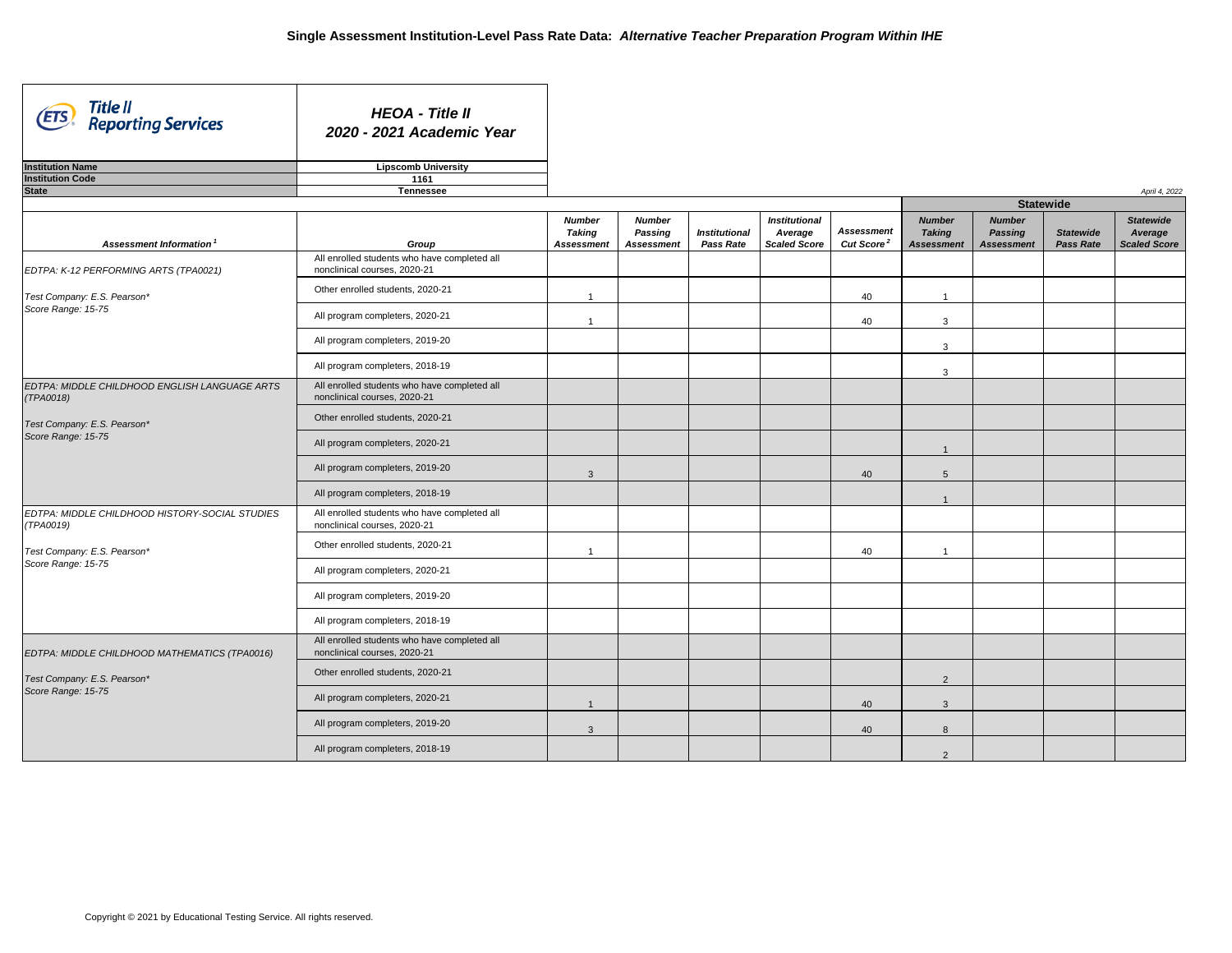| Title II<br>Reporting Services<br>(ETS                      | <b>HEOA - Title II</b><br>2020 - 2021 Academic Year                          |                                                     |                                                      |                                          |                                                        |                                             |                                               |
|-------------------------------------------------------------|------------------------------------------------------------------------------|-----------------------------------------------------|------------------------------------------------------|------------------------------------------|--------------------------------------------------------|---------------------------------------------|-----------------------------------------------|
| <b>Institution Name</b>                                     | <b>Lipscomb University</b>                                                   |                                                     |                                                      |                                          |                                                        |                                             |                                               |
| <b>Institution Code</b>                                     | 1161                                                                         |                                                     |                                                      |                                          |                                                        |                                             |                                               |
| <b>State</b>                                                | <b>Tennessee</b>                                                             |                                                     |                                                      |                                          |                                                        |                                             |                                               |
|                                                             |                                                                              |                                                     |                                                      |                                          |                                                        |                                             |                                               |
| Assessment Information <sup>1</sup>                         | Group                                                                        | <b>Number</b><br><b>Taking</b><br><b>Assessment</b> | <b>Number</b><br><b>Passing</b><br><b>Assessment</b> | <b>Institutional</b><br><b>Pass Rate</b> | <b>Institutional</b><br>Average<br><b>Scaled Score</b> | <b>Assessment</b><br>Cut Score <sup>2</sup> | <b>Numb</b><br><b>Takin</b><br><b>Assessn</b> |
| EDTPA: K-12 PERFORMING ARTS (TPA0021)                       | All enrolled students who have completed all<br>nonclinical courses, 2020-21 |                                                     |                                                      |                                          |                                                        |                                             |                                               |
| Test Company: E.S. Pearson*                                 | Other enrolled students, 2020-21                                             | -1                                                  |                                                      |                                          |                                                        | 40                                          |                                               |
| Score Range: 15-75                                          | All program completers, 2020-21                                              |                                                     |                                                      |                                          |                                                        | 40                                          | 3                                             |
|                                                             | All program completers, 2019-20                                              |                                                     |                                                      |                                          |                                                        |                                             | 3                                             |
|                                                             | All program completers, 2018-19                                              |                                                     |                                                      |                                          |                                                        |                                             | 3                                             |
| EDTPA: MIDDLE CHILDHOOD ENGLISH LANGUAGE ARTS<br>(TPA0018)  | All enrolled students who have completed all<br>nonclinical courses, 2020-21 |                                                     |                                                      |                                          |                                                        |                                             |                                               |
| Test Company: E.S. Pearson*                                 | Other enrolled students, 2020-21                                             |                                                     |                                                      |                                          |                                                        |                                             |                                               |
| Score Range: 15-75                                          | All program completers, 2020-21                                              |                                                     |                                                      |                                          |                                                        |                                             |                                               |
|                                                             | All program completers, 2019-20                                              | 3                                                   |                                                      |                                          |                                                        | 40                                          | 5                                             |
|                                                             | All program completers, 2018-19                                              |                                                     |                                                      |                                          |                                                        |                                             |                                               |
| EDTPA: MIDDLE CHILDHOOD HISTORY-SOCIAL STUDIES<br>(TPA0019) | All enrolled students who have completed all<br>nonclinical courses, 2020-21 |                                                     |                                                      |                                          |                                                        |                                             |                                               |
| Test Company: E.S. Pearson*                                 | Other enrolled students, 2020-21                                             |                                                     |                                                      |                                          |                                                        | 40                                          |                                               |
| Score Range: 15-75                                          | All program completers, 2020-21                                              |                                                     |                                                      |                                          |                                                        |                                             |                                               |
|                                                             | All program completers, 2019-20                                              |                                                     |                                                      |                                          |                                                        |                                             |                                               |
|                                                             | All program completers, 2018-19                                              |                                                     |                                                      |                                          |                                                        |                                             |                                               |
| EDTPA: MIDDLE CHILDHOOD MATHEMATICS (TPA0016)               | All enrolled students who have completed all<br>nonclinical courses, 2020-21 |                                                     |                                                      |                                          |                                                        |                                             |                                               |
| Test Company: E.S. Pearson*                                 | Other enrolled students, 2020-21                                             |                                                     |                                                      |                                          |                                                        |                                             | 2                                             |
| Score Range: 15-75                                          | All program completers, 2020-21                                              | $\overline{1}$                                      |                                                      |                                          |                                                        | 40                                          | 3                                             |
|                                                             | All program completers, 2019-20                                              | 3                                                   |                                                      |                                          |                                                        | 40                                          | 8                                             |
|                                                             | All program completers, 2018-19                                              |                                                     |                                                      |                                          |                                                        |                                             |                                               |

|                                             |                                                     |                                                      |                                      | April 4, 2022                                      |
|---------------------------------------------|-----------------------------------------------------|------------------------------------------------------|--------------------------------------|----------------------------------------------------|
|                                             |                                                     |                                                      | <b>Statewide</b>                     |                                                    |
| <b>Assessment</b><br>Cut Score <sup>2</sup> | <b>Number</b><br><b>Taking</b><br><b>Assessment</b> | <b>Number</b><br><b>Passing</b><br><b>Assessment</b> | <b>Statewide</b><br><b>Pass Rate</b> | <b>Statewide</b><br>Average<br><b>Scaled Score</b> |
|                                             |                                                     |                                                      |                                      |                                                    |
| 40                                          | 1                                                   |                                                      |                                      |                                                    |
| 40                                          | $\ensuremath{\mathsf{3}}$                           |                                                      |                                      |                                                    |
|                                             | $\mathbf{3}$                                        |                                                      |                                      |                                                    |
|                                             | $\sqrt{3}$                                          |                                                      |                                      |                                                    |
|                                             |                                                     |                                                      |                                      |                                                    |
|                                             |                                                     |                                                      |                                      |                                                    |
|                                             | $\mathbf{1}$                                        |                                                      |                                      |                                                    |
| 40                                          | $\sqrt{5}$                                          |                                                      |                                      |                                                    |
|                                             | $\mathbf{1}$                                        |                                                      |                                      |                                                    |
|                                             |                                                     |                                                      |                                      |                                                    |
| 40                                          | $\mathbf{1}$                                        |                                                      |                                      |                                                    |
|                                             |                                                     |                                                      |                                      |                                                    |
|                                             |                                                     |                                                      |                                      |                                                    |
|                                             |                                                     |                                                      |                                      |                                                    |
|                                             |                                                     |                                                      |                                      |                                                    |
|                                             | $\overline{c}$                                      |                                                      |                                      |                                                    |
| 40                                          | $\overline{3}$                                      |                                                      |                                      |                                                    |
| 40                                          | $\bf 8$                                             |                                                      |                                      |                                                    |
|                                             | $\overline{2}$                                      |                                                      |                                      |                                                    |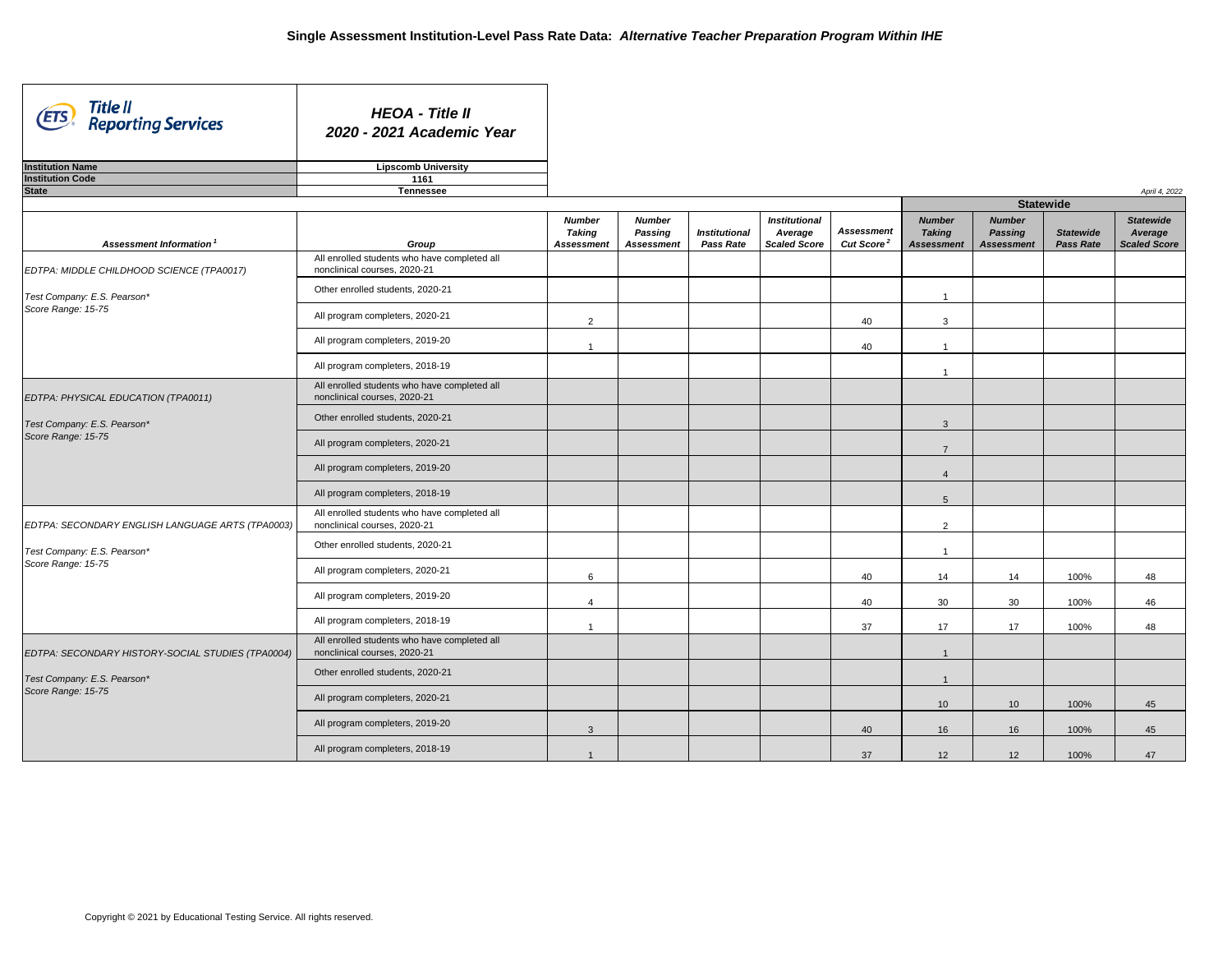| Title II<br>Reporting Services<br>(ETS)                            | <b>HEOA - Title II</b><br>2020 - 2021 Academic Year                          |                                                     |                                                      |                                          |                                                        |                                             |                                                     |                                                      |                                      |                                                    |  |  |
|--------------------------------------------------------------------|------------------------------------------------------------------------------|-----------------------------------------------------|------------------------------------------------------|------------------------------------------|--------------------------------------------------------|---------------------------------------------|-----------------------------------------------------|------------------------------------------------------|--------------------------------------|----------------------------------------------------|--|--|
| <b>Institution Name</b>                                            | <b>Lipscomb University</b>                                                   |                                                     |                                                      |                                          |                                                        |                                             |                                                     |                                                      |                                      |                                                    |  |  |
| <b>Institution Code</b>                                            | 1161                                                                         |                                                     |                                                      |                                          |                                                        |                                             |                                                     |                                                      |                                      |                                                    |  |  |
| <b>State</b>                                                       | <b>Tennessee</b>                                                             |                                                     |                                                      |                                          |                                                        |                                             |                                                     |                                                      |                                      | April 4, 2022                                      |  |  |
|                                                                    |                                                                              |                                                     |                                                      |                                          |                                                        |                                             |                                                     | <b>Statewide</b>                                     |                                      |                                                    |  |  |
| Assessment Information <sup>1</sup>                                | Group                                                                        | <b>Number</b><br><b>Taking</b><br><b>Assessment</b> | <b>Number</b><br><b>Passing</b><br><b>Assessment</b> | <b>Institutional</b><br><b>Pass Rate</b> | <b>Institutional</b><br>Average<br><b>Scaled Score</b> | <b>Assessment</b><br>Cut Score <sup>2</sup> | <b>Number</b><br><b>Taking</b><br><b>Assessment</b> | <b>Number</b><br><b>Passing</b><br><b>Assessment</b> | <b>Statewide</b><br><b>Pass Rate</b> | <b>Statewide</b><br>Average<br><b>Scaled Score</b> |  |  |
| EDTPA: MIDDLE CHILDHOOD SCIENCE (TPA0017)                          | All enrolled students who have completed all<br>nonclinical courses, 2020-21 |                                                     |                                                      |                                          |                                                        |                                             |                                                     |                                                      |                                      |                                                    |  |  |
| Test Company: E.S. Pearson*                                        | Other enrolled students, 2020-21                                             |                                                     |                                                      |                                          |                                                        |                                             |                                                     |                                                      |                                      |                                                    |  |  |
| Score Range: 15-75                                                 | All program completers, 2020-21                                              | $\overline{2}$                                      |                                                      |                                          |                                                        | 40                                          | 3                                                   |                                                      |                                      |                                                    |  |  |
|                                                                    | All program completers, 2019-20                                              |                                                     |                                                      |                                          |                                                        | 40                                          |                                                     |                                                      |                                      |                                                    |  |  |
|                                                                    | All program completers, 2018-19                                              |                                                     |                                                      |                                          |                                                        |                                             |                                                     |                                                      |                                      |                                                    |  |  |
| EDTPA: PHYSICAL EDUCATION (TPA0011)<br>Test Company: E.S. Pearson* | All enrolled students who have completed all<br>nonclinical courses, 2020-21 |                                                     |                                                      |                                          |                                                        |                                             |                                                     |                                                      |                                      |                                                    |  |  |
|                                                                    | Other enrolled students, 2020-21                                             |                                                     |                                                      |                                          |                                                        |                                             | 3                                                   |                                                      |                                      |                                                    |  |  |
| Score Range: 15-75                                                 | All program completers, 2020-21                                              |                                                     |                                                      |                                          |                                                        |                                             | $\overline{7}$                                      |                                                      |                                      |                                                    |  |  |
|                                                                    | All program completers, 2019-20                                              |                                                     |                                                      |                                          |                                                        |                                             | $\overline{4}$                                      |                                                      |                                      |                                                    |  |  |
|                                                                    | All program completers, 2018-19                                              |                                                     |                                                      |                                          |                                                        |                                             | 5                                                   |                                                      |                                      |                                                    |  |  |
| EDTPA: SECONDARY ENGLISH LANGUAGE ARTS (TPA0003)                   | All enrolled students who have completed all<br>nonclinical courses, 2020-21 |                                                     |                                                      |                                          |                                                        |                                             | $\overline{2}$                                      |                                                      |                                      |                                                    |  |  |
| Test Company: E.S. Pearson*                                        | Other enrolled students, 2020-21                                             |                                                     |                                                      |                                          |                                                        |                                             |                                                     |                                                      |                                      |                                                    |  |  |
| Score Range: 15-75                                                 | All program completers, 2020-21                                              | $6\overline{6}$                                     |                                                      |                                          |                                                        | 40                                          | 14                                                  | 14                                                   | 100%                                 | 48                                                 |  |  |
|                                                                    | All program completers, 2019-20                                              |                                                     |                                                      |                                          |                                                        | 40                                          | 30                                                  | 30                                                   | 100%                                 | 46                                                 |  |  |
|                                                                    | All program completers, 2018-19                                              |                                                     |                                                      |                                          |                                                        | 37                                          | 17                                                  | 17                                                   | 100%                                 | 48                                                 |  |  |
| EDTPA: SECONDARY HISTORY-SOCIAL STUDIES (TPA0004)                  | All enrolled students who have completed all<br>nonclinical courses, 2020-21 |                                                     |                                                      |                                          |                                                        |                                             |                                                     |                                                      |                                      |                                                    |  |  |
| Test Company: E.S. Pearson*                                        | Other enrolled students, 2020-21                                             |                                                     |                                                      |                                          |                                                        |                                             |                                                     |                                                      |                                      |                                                    |  |  |
| Score Range: 15-75                                                 | All program completers, 2020-21                                              |                                                     |                                                      |                                          |                                                        |                                             | 10 <sup>1</sup>                                     | 10                                                   | 100%                                 | 45                                                 |  |  |
|                                                                    | All program completers, 2019-20                                              | $\mathbf{3}$                                        |                                                      |                                          |                                                        | 40                                          | 16                                                  | 16                                                   | 100%                                 | 45                                                 |  |  |
|                                                                    | All program completers, 2018-19                                              |                                                     |                                                      |                                          |                                                        | 37                                          | 12                                                  | 12                                                   | 100%                                 | 47                                                 |  |  |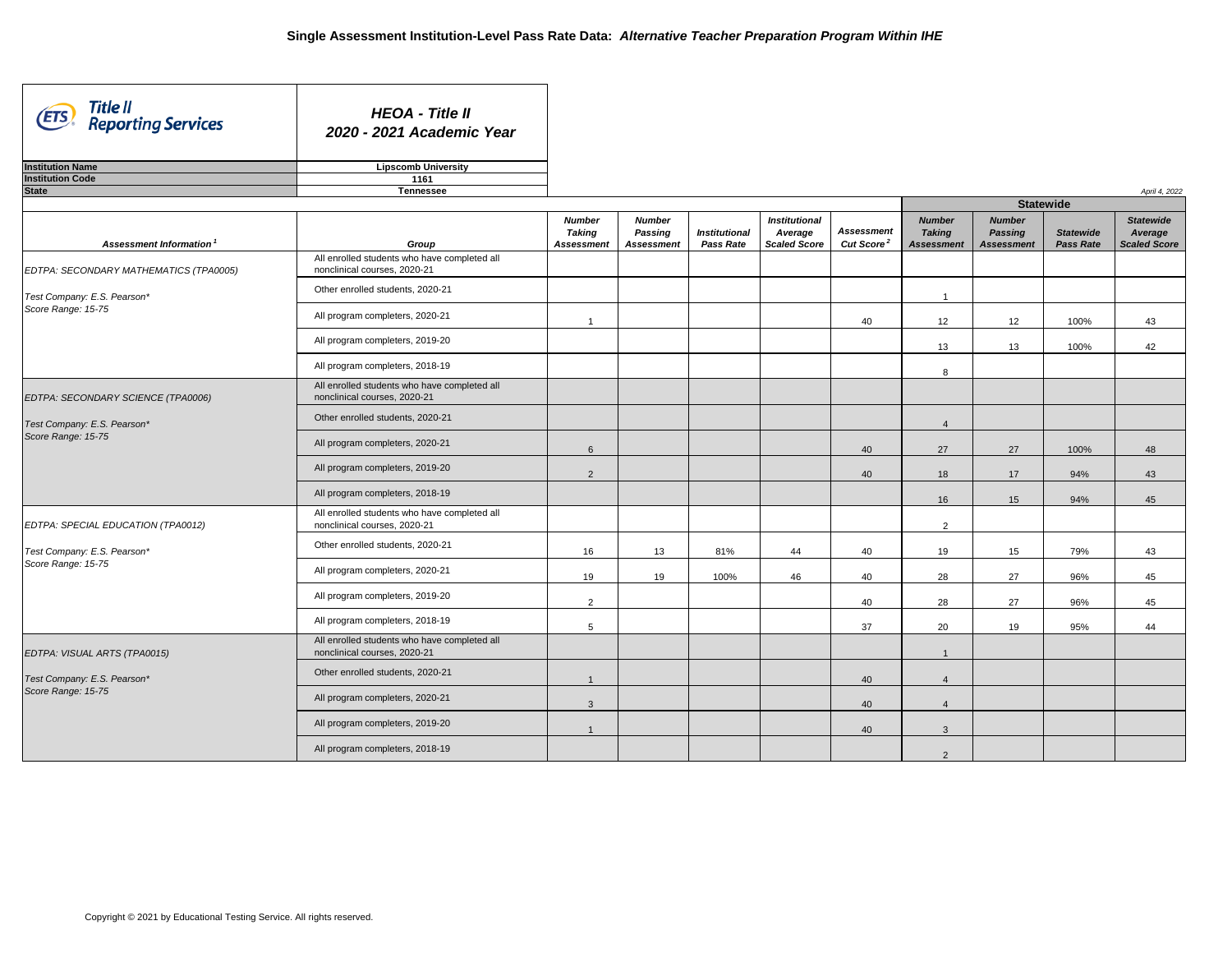| Title II<br>Reporting Services<br>(ETS)                                                 | <b>HEOA - Title II</b><br>2020 - 2021 Academic Year                          |                                                     |                                                      |                                          |                                                        |                                             |                                                     |                                                      |                                      |                                                    |
|-----------------------------------------------------------------------------------------|------------------------------------------------------------------------------|-----------------------------------------------------|------------------------------------------------------|------------------------------------------|--------------------------------------------------------|---------------------------------------------|-----------------------------------------------------|------------------------------------------------------|--------------------------------------|----------------------------------------------------|
| <b>Institution Name</b>                                                                 | <b>Lipscomb University</b>                                                   |                                                     |                                                      |                                          |                                                        |                                             |                                                     |                                                      |                                      |                                                    |
| <b>Institution Code</b>                                                                 | 1161                                                                         |                                                     |                                                      |                                          |                                                        |                                             |                                                     |                                                      |                                      |                                                    |
| <b>State</b>                                                                            | <b>Tennessee</b>                                                             |                                                     |                                                      |                                          |                                                        |                                             |                                                     |                                                      |                                      | April 4, 2022                                      |
|                                                                                         |                                                                              |                                                     |                                                      |                                          |                                                        |                                             |                                                     |                                                      |                                      |                                                    |
| Assessment Information <sup>1</sup>                                                     | Group                                                                        | <b>Number</b><br><b>Taking</b><br><b>Assessment</b> | <b>Number</b><br><b>Passing</b><br><b>Assessment</b> | <b>Institutional</b><br><b>Pass Rate</b> | <b>Institutional</b><br>Average<br><b>Scaled Score</b> | <b>Assessment</b><br>Cut Score <sup>2</sup> | <b>Number</b><br><b>Taking</b><br><b>Assessment</b> | <b>Number</b><br><b>Passing</b><br><b>Assessment</b> | <b>Statewide</b><br><b>Pass Rate</b> | <b>Statewide</b><br>Average<br><b>Scaled Score</b> |
| EDTPA: SECONDARY MATHEMATICS (TPA0005)                                                  | All enrolled students who have completed all<br>nonclinical courses, 2020-21 |                                                     |                                                      |                                          |                                                        |                                             |                                                     |                                                      |                                      |                                                    |
| Test Company: E.S. Pearson*                                                             | Other enrolled students, 2020-21                                             |                                                     |                                                      |                                          |                                                        |                                             |                                                     |                                                      |                                      |                                                    |
| Score Range: 15-75                                                                      | All program completers, 2020-21                                              |                                                     |                                                      |                                          |                                                        | 40                                          | 12                                                  | 12                                                   | 100%                                 | 43                                                 |
|                                                                                         | All program completers, 2019-20                                              |                                                     |                                                      |                                          |                                                        |                                             | 13 <sup>°</sup>                                     | 13                                                   | 100%                                 | 42                                                 |
|                                                                                         | All program completers, 2018-19                                              |                                                     |                                                      |                                          |                                                        |                                             | 8                                                   |                                                      |                                      |                                                    |
| EDTPA: SECONDARY SCIENCE (TPA0006)<br>Test Company: E.S. Pearson*<br>Score Range: 15-75 | All enrolled students who have completed all<br>nonclinical courses, 2020-21 |                                                     |                                                      |                                          |                                                        |                                             |                                                     |                                                      |                                      |                                                    |
|                                                                                         | Other enrolled students, 2020-21                                             |                                                     |                                                      |                                          |                                                        |                                             | $\overline{4}$                                      |                                                      |                                      |                                                    |
|                                                                                         | All program completers, 2020-21                                              | 6                                                   |                                                      |                                          |                                                        | 40                                          | 27                                                  | 27                                                   | 100%                                 | 48                                                 |
|                                                                                         | All program completers, 2019-20                                              | $\overline{2}$                                      |                                                      |                                          |                                                        | 40                                          | 18                                                  | 17                                                   | 94%                                  | 43                                                 |
|                                                                                         | All program completers, 2018-19                                              |                                                     |                                                      |                                          |                                                        |                                             | 16                                                  | 15                                                   | 94%                                  | 45                                                 |
| EDTPA: SPECIAL EDUCATION (TPA0012)                                                      | All enrolled students who have completed all<br>nonclinical courses, 2020-21 |                                                     |                                                      |                                          |                                                        |                                             | $\overline{2}$                                      |                                                      |                                      |                                                    |
| Test Company: E.S. Pearson*                                                             | Other enrolled students, 2020-21                                             | 16                                                  | 13                                                   | 81%                                      | 44                                                     | 40                                          | 19                                                  | 15                                                   | 79%                                  | 43                                                 |
| Score Range: 15-75                                                                      | All program completers, 2020-21                                              | 19                                                  | 19                                                   | 100%                                     | 46                                                     | 40                                          | 28                                                  | 27                                                   | 96%                                  | 45                                                 |
|                                                                                         | All program completers, 2019-20                                              | $\overline{2}$                                      |                                                      |                                          |                                                        | 40                                          | 28                                                  | 27                                                   | 96%                                  | 45                                                 |
|                                                                                         | All program completers, 2018-19                                              | $5\phantom{.0}$                                     |                                                      |                                          |                                                        | 37                                          | 20                                                  | 19                                                   | 95%                                  | 44                                                 |
| EDTPA: VISUAL ARTS (TPA0015)                                                            | All enrolled students who have completed all<br>nonclinical courses, 2020-21 |                                                     |                                                      |                                          |                                                        |                                             |                                                     |                                                      |                                      |                                                    |
| Test Company: E.S. Pearson*                                                             | Other enrolled students, 2020-21                                             |                                                     |                                                      |                                          |                                                        | 40                                          | $\overline{4}$                                      |                                                      |                                      |                                                    |
| Score Range: 15-75                                                                      | All program completers, 2020-21                                              | 3                                                   |                                                      |                                          |                                                        | 40                                          | $\overline{4}$                                      |                                                      |                                      |                                                    |
|                                                                                         | All program completers, 2019-20                                              |                                                     |                                                      |                                          |                                                        | 40                                          | $\mathbf{3}$                                        |                                                      |                                      |                                                    |
|                                                                                         | All program completers, 2018-19                                              |                                                     |                                                      |                                          |                                                        |                                             | $\overline{2}$                                      |                                                      |                                      |                                                    |